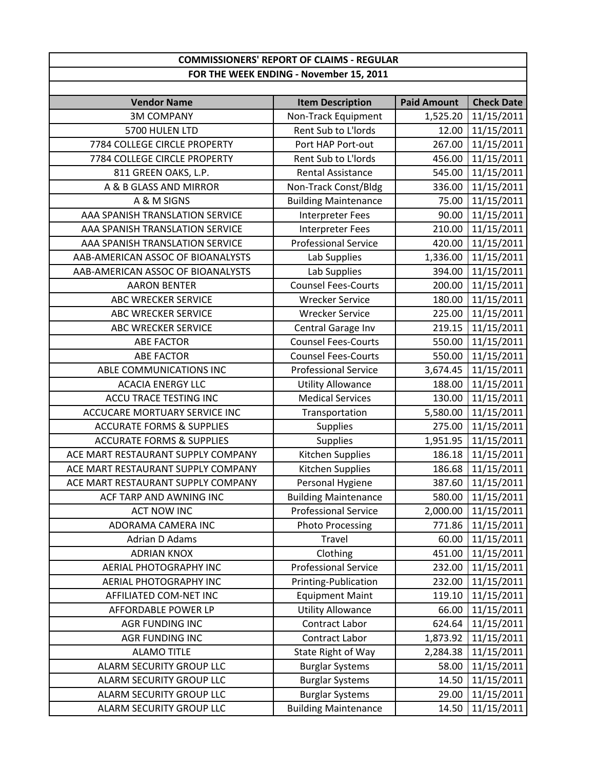## **COMMISSIONERS' REPORT OF CLAIMS ‐ REGULAR FOR THE WEEK ENDING ‐ November 15, 2011**

| <b>Vendor Name</b>                   | <b>Item Description</b>     | <b>Paid Amount</b> | <b>Check Date</b> |
|--------------------------------------|-----------------------------|--------------------|-------------------|
| <b>3M COMPANY</b>                    | Non-Track Equipment         | 1,525.20           | 11/15/2011        |
| 5700 HULEN LTD                       | Rent Sub to L'Iords         | 12.00              | 11/15/2011        |
| 7784 COLLEGE CIRCLE PROPERTY         | Port HAP Port-out           | 267.00             | 11/15/2011        |
| 7784 COLLEGE CIRCLE PROPERTY         | Rent Sub to L'Iords         | 456.00             | 11/15/2011        |
| 811 GREEN OAKS, L.P.                 | <b>Rental Assistance</b>    | 545.00             | 11/15/2011        |
| A & B GLASS AND MIRROR               | Non-Track Const/Bldg        | 336.00             | 11/15/2011        |
| A & M SIGNS                          | <b>Building Maintenance</b> | 75.00              | 11/15/2011        |
| AAA SPANISH TRANSLATION SERVICE      | <b>Interpreter Fees</b>     | 90.00              | 11/15/2011        |
| AAA SPANISH TRANSLATION SERVICE      | Interpreter Fees            | 210.00             | 11/15/2011        |
| AAA SPANISH TRANSLATION SERVICE      | <b>Professional Service</b> | 420.00             | 11/15/2011        |
| AAB-AMERICAN ASSOC OF BIOANALYSTS    | Lab Supplies                | 1,336.00           | 11/15/2011        |
| AAB-AMERICAN ASSOC OF BIOANALYSTS    | Lab Supplies                | 394.00             | 11/15/2011        |
| <b>AARON BENTER</b>                  | <b>Counsel Fees-Courts</b>  | 200.00             | 11/15/2011        |
| <b>ABC WRECKER SERVICE</b>           | <b>Wrecker Service</b>      | 180.00             | 11/15/2011        |
| ABC WRECKER SERVICE                  | <b>Wrecker Service</b>      | 225.00             | 11/15/2011        |
| <b>ABC WRECKER SERVICE</b>           | Central Garage Inv          | 219.15             | 11/15/2011        |
| <b>ABE FACTOR</b>                    | <b>Counsel Fees-Courts</b>  | 550.00             | 11/15/2011        |
| <b>ABE FACTOR</b>                    | <b>Counsel Fees-Courts</b>  | 550.00             | 11/15/2011        |
| ABLE COMMUNICATIONS INC              | <b>Professional Service</b> | 3,674.45           | 11/15/2011        |
| <b>ACACIA ENERGY LLC</b>             | <b>Utility Allowance</b>    | 188.00             | 11/15/2011        |
| ACCU TRACE TESTING INC               | <b>Medical Services</b>     | 130.00             | 11/15/2011        |
| ACCUCARE MORTUARY SERVICE INC        | Transportation              | 5,580.00           | 11/15/2011        |
| <b>ACCURATE FORMS &amp; SUPPLIES</b> | <b>Supplies</b>             | 275.00             | 11/15/2011        |
| <b>ACCURATE FORMS &amp; SUPPLIES</b> | <b>Supplies</b>             | 1,951.95           | 11/15/2011        |
| ACE MART RESTAURANT SUPPLY COMPANY   | Kitchen Supplies            | 186.18             | 11/15/2011        |
| ACE MART RESTAURANT SUPPLY COMPANY   | Kitchen Supplies            | 186.68             | 11/15/2011        |
| ACE MART RESTAURANT SUPPLY COMPANY   | Personal Hygiene            | 387.60             | 11/15/2011        |
| ACF TARP AND AWNING INC              | <b>Building Maintenance</b> | 580.00             | 11/15/2011        |
| <b>ACT NOW INC</b>                   | <b>Professional Service</b> | 2,000.00           | 11/15/2011        |
| ADORAMA CAMERA INC                   | <b>Photo Processing</b>     | 771.86             | 11/15/2011        |
| <b>Adrian D Adams</b>                | Travel                      | 60.00              | 11/15/2011        |
| <b>ADRIAN KNOX</b>                   | Clothing                    | 451.00             | 11/15/2011        |
| AERIAL PHOTOGRAPHY INC               | <b>Professional Service</b> | 232.00             | 11/15/2011        |
| <b>AERIAL PHOTOGRAPHY INC</b>        | Printing-Publication        | 232.00             | 11/15/2011        |
| AFFILIATED COM-NET INC               | <b>Equipment Maint</b>      | 119.10             | 11/15/2011        |
| AFFORDABLE POWER LP                  | <b>Utility Allowance</b>    | 66.00              | 11/15/2011        |
| AGR FUNDING INC                      | Contract Labor              | 624.64             | 11/15/2011        |
| AGR FUNDING INC                      | Contract Labor              | 1,873.92           | 11/15/2011        |
| <b>ALAMO TITLE</b>                   | State Right of Way          | 2,284.38           | 11/15/2011        |
| ALARM SECURITY GROUP LLC             | <b>Burglar Systems</b>      | 58.00              | 11/15/2011        |
| ALARM SECURITY GROUP LLC             | <b>Burglar Systems</b>      | 14.50              | 11/15/2011        |
| ALARM SECURITY GROUP LLC             | <b>Burglar Systems</b>      | 29.00              | 11/15/2011        |
| ALARM SECURITY GROUP LLC             | <b>Building Maintenance</b> | 14.50              | 11/15/2011        |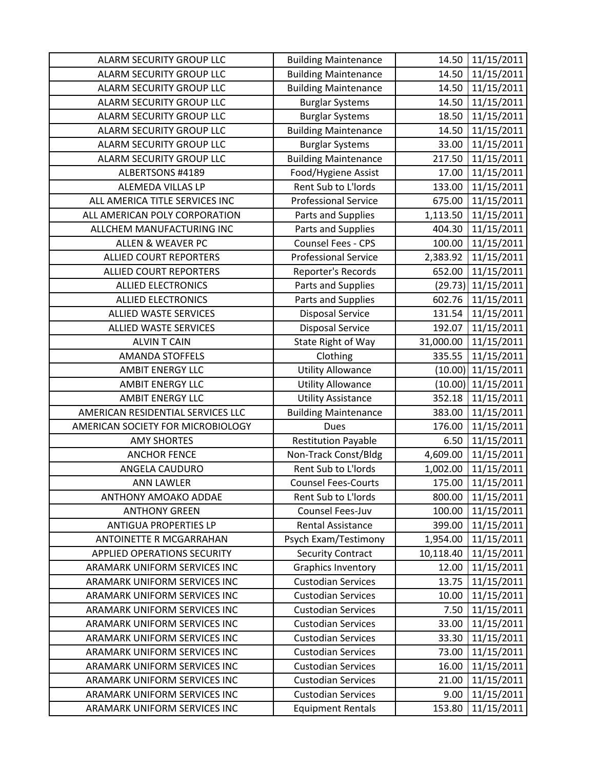| ALARM SECURITY GROUP LLC          | <b>Building Maintenance</b> | 14.50     | 11/15/2011 |
|-----------------------------------|-----------------------------|-----------|------------|
| ALARM SECURITY GROUP LLC          | <b>Building Maintenance</b> | 14.50     | 11/15/2011 |
| ALARM SECURITY GROUP LLC          | <b>Building Maintenance</b> | 14.50     | 11/15/2011 |
| ALARM SECURITY GROUP LLC          | <b>Burglar Systems</b>      | 14.50     | 11/15/2011 |
| ALARM SECURITY GROUP LLC          | <b>Burglar Systems</b>      | 18.50     | 11/15/2011 |
| ALARM SECURITY GROUP LLC          | <b>Building Maintenance</b> | 14.50     | 11/15/2011 |
| ALARM SECURITY GROUP LLC          | <b>Burglar Systems</b>      | 33.00     | 11/15/2011 |
| ALARM SECURITY GROUP LLC          | <b>Building Maintenance</b> | 217.50    | 11/15/2011 |
| ALBERTSONS #4189                  | Food/Hygiene Assist         | 17.00     | 11/15/2011 |
| ALEMEDA VILLAS LP                 | Rent Sub to L'Iords         | 133.00    | 11/15/2011 |
| ALL AMERICA TITLE SERVICES INC    | <b>Professional Service</b> | 675.00    | 11/15/2011 |
| ALL AMERICAN POLY CORPORATION     | Parts and Supplies          | 1,113.50  | 11/15/2011 |
| ALLCHEM MANUFACTURING INC         | Parts and Supplies          | 404.30    | 11/15/2011 |
| <b>ALLEN &amp; WEAVER PC</b>      | Counsel Fees - CPS          | 100.00    | 11/15/2011 |
| <b>ALLIED COURT REPORTERS</b>     | <b>Professional Service</b> | 2,383.92  | 11/15/2011 |
| <b>ALLIED COURT REPORTERS</b>     | Reporter's Records          | 652.00    | 11/15/2011 |
| <b>ALLIED ELECTRONICS</b>         | Parts and Supplies          | (29.73)   | 11/15/2011 |
| <b>ALLIED ELECTRONICS</b>         | Parts and Supplies          | 602.76    | 11/15/2011 |
| <b>ALLIED WASTE SERVICES</b>      | <b>Disposal Service</b>     | 131.54    | 11/15/2011 |
| <b>ALLIED WASTE SERVICES</b>      | <b>Disposal Service</b>     | 192.07    | 11/15/2011 |
| <b>ALVIN T CAIN</b>               | State Right of Way          | 31,000.00 | 11/15/2011 |
| <b>AMANDA STOFFELS</b>            | Clothing                    | 335.55    | 11/15/2011 |
| <b>AMBIT ENERGY LLC</b>           | <b>Utility Allowance</b>    | (10.00)   | 11/15/2011 |
| <b>AMBIT ENERGY LLC</b>           | <b>Utility Allowance</b>    | (10.00)   | 11/15/2011 |
| <b>AMBIT ENERGY LLC</b>           | <b>Utility Assistance</b>   | 352.18    | 11/15/2011 |
| AMERICAN RESIDENTIAL SERVICES LLC | <b>Building Maintenance</b> | 383.00    | 11/15/2011 |
| AMERICAN SOCIETY FOR MICROBIOLOGY | <b>Dues</b>                 | 176.00    | 11/15/2011 |
| <b>AMY SHORTES</b>                | <b>Restitution Payable</b>  | 6.50      | 11/15/2011 |
| <b>ANCHOR FENCE</b>               | Non-Track Const/Bldg        | 4,609.00  | 11/15/2011 |
| ANGELA CAUDURO                    | Rent Sub to L'Iords         | 1,002.00  | 11/15/2011 |
| <b>ANN LAWLER</b>                 | <b>Counsel Fees-Courts</b>  | 175.00    | 11/15/2011 |
| ANTHONY AMOAKO ADDAE              | Rent Sub to L'Iords         | 800.00    | 11/15/2011 |
| <b>ANTHONY GREEN</b>              | Counsel Fees-Juv            | 100.00    | 11/15/2011 |
| <b>ANTIGUA PROPERTIES LP</b>      | <b>Rental Assistance</b>    | 399.00    | 11/15/2011 |
| ANTOINETTE R MCGARRAHAN           | Psych Exam/Testimony        | 1,954.00  | 11/15/2011 |
| APPLIED OPERATIONS SECURITY       | <b>Security Contract</b>    | 10,118.40 | 11/15/2011 |
| ARAMARK UNIFORM SERVICES INC      | <b>Graphics Inventory</b>   | 12.00     | 11/15/2011 |
| ARAMARK UNIFORM SERVICES INC      | <b>Custodian Services</b>   | 13.75     | 11/15/2011 |
| ARAMARK UNIFORM SERVICES INC      | <b>Custodian Services</b>   | 10.00     | 11/15/2011 |
| ARAMARK UNIFORM SERVICES INC      | <b>Custodian Services</b>   | 7.50      | 11/15/2011 |
| ARAMARK UNIFORM SERVICES INC      | <b>Custodian Services</b>   | 33.00     | 11/15/2011 |
| ARAMARK UNIFORM SERVICES INC      | <b>Custodian Services</b>   | 33.30     | 11/15/2011 |
| ARAMARK UNIFORM SERVICES INC      | <b>Custodian Services</b>   | 73.00     | 11/15/2011 |
| ARAMARK UNIFORM SERVICES INC      | <b>Custodian Services</b>   | 16.00     | 11/15/2011 |
| ARAMARK UNIFORM SERVICES INC      | <b>Custodian Services</b>   | 21.00     | 11/15/2011 |
| ARAMARK UNIFORM SERVICES INC      | <b>Custodian Services</b>   | 9.00      | 11/15/2011 |
| ARAMARK UNIFORM SERVICES INC      | <b>Equipment Rentals</b>    | 153.80    | 11/15/2011 |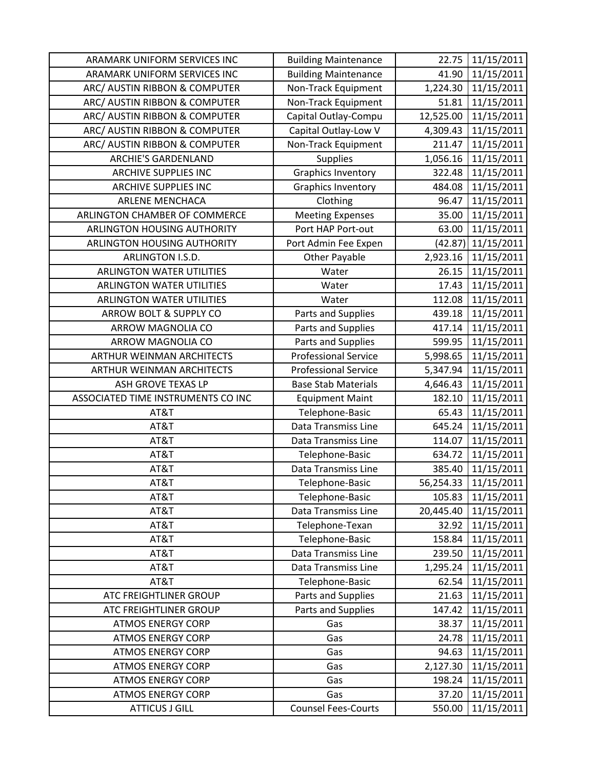| ARAMARK UNIFORM SERVICES INC       | <b>Building Maintenance</b> | 22.75     | 11/15/2011              |
|------------------------------------|-----------------------------|-----------|-------------------------|
| ARAMARK UNIFORM SERVICES INC       | <b>Building Maintenance</b> | 41.90     | 11/15/2011              |
| ARC/ AUSTIN RIBBON & COMPUTER      | Non-Track Equipment         | 1,224.30  | 11/15/2011              |
| ARC/ AUSTIN RIBBON & COMPUTER      | Non-Track Equipment         | 51.81     | 11/15/2011              |
| ARC/ AUSTIN RIBBON & COMPUTER      | Capital Outlay-Compu        | 12,525.00 | 11/15/2011              |
| ARC/ AUSTIN RIBBON & COMPUTER      | Capital Outlay-Low V        | 4,309.43  | 11/15/2011              |
| ARC/ AUSTIN RIBBON & COMPUTER      | Non-Track Equipment         | 211.47    | 11/15/2011              |
| <b>ARCHIE'S GARDENLAND</b>         | Supplies                    | 1,056.16  | 11/15/2011              |
| <b>ARCHIVE SUPPLIES INC</b>        | <b>Graphics Inventory</b>   | 322.48    | $\overline{11/15/2011}$ |
| <b>ARCHIVE SUPPLIES INC</b>        | <b>Graphics Inventory</b>   | 484.08    | 11/15/2011              |
| <b>ARLENE MENCHACA</b>             | Clothing                    | 96.47     | 11/15/2011              |
| ARLINGTON CHAMBER OF COMMERCE      | <b>Meeting Expenses</b>     | 35.00     | 11/15/2011              |
| ARLINGTON HOUSING AUTHORITY        | Port HAP Port-out           | 63.00     | 11/15/2011              |
| ARLINGTON HOUSING AUTHORITY        | Port Admin Fee Expen        | (42.87)   | 11/15/2011              |
| ARLINGTON I.S.D.                   | <b>Other Payable</b>        | 2,923.16  | 11/15/2011              |
| <b>ARLINGTON WATER UTILITIES</b>   | Water                       | 26.15     | 11/15/2011              |
| <b>ARLINGTON WATER UTILITIES</b>   | Water                       | 17.43     | 11/15/2011              |
| <b>ARLINGTON WATER UTILITIES</b>   | Water                       | 112.08    | 11/15/2011              |
| ARROW BOLT & SUPPLY CO             | Parts and Supplies          | 439.18    | 11/15/2011              |
| ARROW MAGNOLIA CO                  | Parts and Supplies          | 417.14    | 11/15/2011              |
| ARROW MAGNOLIA CO                  | Parts and Supplies          | 599.95    | 11/15/2011              |
| ARTHUR WEINMAN ARCHITECTS          | <b>Professional Service</b> | 5,998.65  | 11/15/2011              |
| ARTHUR WEINMAN ARCHITECTS          | <b>Professional Service</b> | 5,347.94  | 11/15/2011              |
| ASH GROVE TEXAS LP                 | <b>Base Stab Materials</b>  | 4,646.43  | 11/15/2011              |
| ASSOCIATED TIME INSTRUMENTS CO INC | <b>Equipment Maint</b>      | 182.10    | 11/15/2011              |
| AT&T                               | Telephone-Basic             | 65.43     | 11/15/2011              |
| AT&T                               | Data Transmiss Line         | 645.24    | 11/15/2011              |
| AT&T                               | <b>Data Transmiss Line</b>  | 114.07    | 11/15/2011              |
| AT&T                               | Telephone-Basic             | 634.72    | 11/15/2011              |
| AT&T                               | <b>Data Transmiss Line</b>  | 385.40    | 11/15/2011              |
| AT&T                               | Telephone-Basic             | 56,254.33 | 11/15/2011              |
| AT&T                               | Telephone-Basic             | 105.83    | 11/15/2011              |
| AT&T                               | Data Transmiss Line         | 20,445.40 | 11/15/2011              |
| AT&T                               | Telephone-Texan             | 32.92     | 11/15/2011              |
| AT&T                               | Telephone-Basic             | 158.84    | 11/15/2011              |
| AT&T                               | Data Transmiss Line         | 239.50    | 11/15/2011              |
| AT&T                               | Data Transmiss Line         | 1,295.24  | 11/15/2011              |
| AT&T                               | Telephone-Basic             | 62.54     | 11/15/2011              |
| ATC FREIGHTLINER GROUP             | Parts and Supplies          | 21.63     | 11/15/2011              |
| ATC FREIGHTLINER GROUP             | Parts and Supplies          | 147.42    | 11/15/2011              |
| <b>ATMOS ENERGY CORP</b>           | Gas                         | 38.37     | 11/15/2011              |
| <b>ATMOS ENERGY CORP</b>           | Gas                         | 24.78     | 11/15/2011              |
| <b>ATMOS ENERGY CORP</b>           | Gas                         | 94.63     | 11/15/2011              |
| <b>ATMOS ENERGY CORP</b>           | Gas                         | 2,127.30  | 11/15/2011              |
| <b>ATMOS ENERGY CORP</b>           | Gas                         | 198.24    | 11/15/2011              |
| <b>ATMOS ENERGY CORP</b>           | Gas                         | 37.20     | 11/15/2011              |
| <b>ATTICUS J GILL</b>              | <b>Counsel Fees-Courts</b>  | 550.00    | 11/15/2011              |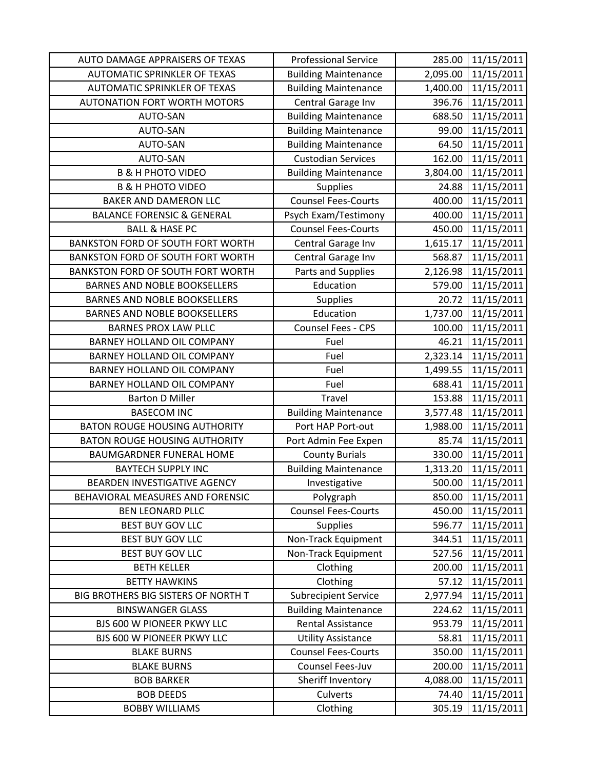| AUTO DAMAGE APPRAISERS OF TEXAS          | <b>Professional Service</b> | 285.00   | 11/15/2011 |
|------------------------------------------|-----------------------------|----------|------------|
| <b>AUTOMATIC SPRINKLER OF TEXAS</b>      | <b>Building Maintenance</b> | 2,095.00 | 11/15/2011 |
| <b>AUTOMATIC SPRINKLER OF TEXAS</b>      | <b>Building Maintenance</b> | 1,400.00 | 11/15/2011 |
| <b>AUTONATION FORT WORTH MOTORS</b>      | Central Garage Inv          | 396.76   | 11/15/2011 |
| AUTO-SAN                                 | <b>Building Maintenance</b> | 688.50   | 11/15/2011 |
| AUTO-SAN                                 | <b>Building Maintenance</b> | 99.00    | 11/15/2011 |
| <b>AUTO-SAN</b>                          | <b>Building Maintenance</b> | 64.50    | 11/15/2011 |
| <b>AUTO-SAN</b>                          | <b>Custodian Services</b>   | 162.00   | 11/15/2011 |
| <b>B &amp; H PHOTO VIDEO</b>             | <b>Building Maintenance</b> | 3,804.00 | 11/15/2011 |
| <b>B &amp; H PHOTO VIDEO</b>             | <b>Supplies</b>             | 24.88    | 11/15/2011 |
| <b>BAKER AND DAMERON LLC</b>             | <b>Counsel Fees-Courts</b>  | 400.00   | 11/15/2011 |
| <b>BALANCE FORENSIC &amp; GENERAL</b>    | Psych Exam/Testimony        | 400.00   | 11/15/2011 |
| <b>BALL &amp; HASE PC</b>                | <b>Counsel Fees-Courts</b>  | 450.00   | 11/15/2011 |
| <b>BANKSTON FORD OF SOUTH FORT WORTH</b> | Central Garage Inv          | 1,615.17 | 11/15/2011 |
| BANKSTON FORD OF SOUTH FORT WORTH        | Central Garage Inv          | 568.87   | 11/15/2011 |
| <b>BANKSTON FORD OF SOUTH FORT WORTH</b> | Parts and Supplies          | 2,126.98 | 11/15/2011 |
| <b>BARNES AND NOBLE BOOKSELLERS</b>      | Education                   | 579.00   | 11/15/2011 |
| <b>BARNES AND NOBLE BOOKSELLERS</b>      | <b>Supplies</b>             | 20.72    | 11/15/2011 |
| <b>BARNES AND NOBLE BOOKSELLERS</b>      | Education                   | 1,737.00 | 11/15/2011 |
| <b>BARNES PROX LAW PLLC</b>              | Counsel Fees - CPS          | 100.00   | 11/15/2011 |
| <b>BARNEY HOLLAND OIL COMPANY</b>        | Fuel                        | 46.21    | 11/15/2011 |
| BARNEY HOLLAND OIL COMPANY               | Fuel                        | 2,323.14 | 11/15/2011 |
| BARNEY HOLLAND OIL COMPANY               | Fuel                        | 1,499.55 | 11/15/2011 |
| BARNEY HOLLAND OIL COMPANY               | Fuel                        | 688.41   | 11/15/2011 |
| <b>Barton D Miller</b>                   | Travel                      | 153.88   | 11/15/2011 |
| <b>BASECOM INC</b>                       | <b>Building Maintenance</b> | 3,577.48 | 11/15/2011 |
| <b>BATON ROUGE HOUSING AUTHORITY</b>     | Port HAP Port-out           | 1,988.00 | 11/15/2011 |
| <b>BATON ROUGE HOUSING AUTHORITY</b>     | Port Admin Fee Expen        | 85.74    | 11/15/2011 |
| BAUMGARDNER FUNERAL HOME                 | <b>County Burials</b>       | 330.00   | 11/15/2011 |
| <b>BAYTECH SUPPLY INC</b>                | <b>Building Maintenance</b> | 1,313.20 | 11/15/2011 |
| BEARDEN INVESTIGATIVE AGENCY             | Investigative               | 500.00   | 11/15/2011 |
| BEHAVIORAL MEASURES AND FORENSIC         | Polygraph                   | 850.00   | 11/15/2011 |
| <b>BEN LEONARD PLLC</b>                  | <b>Counsel Fees-Courts</b>  | 450.00   | 11/15/2011 |
| BEST BUY GOV LLC                         | <b>Supplies</b>             | 596.77   | 11/15/2011 |
| <b>BEST BUY GOV LLC</b>                  | Non-Track Equipment         | 344.51   | 11/15/2011 |
| <b>BEST BUY GOV LLC</b>                  | Non-Track Equipment         | 527.56   | 11/15/2011 |
| <b>BETH KELLER</b>                       | Clothing                    | 200.00   | 11/15/2011 |
| <b>BETTY HAWKINS</b>                     | Clothing                    | 57.12    | 11/15/2011 |
| BIG BROTHERS BIG SISTERS OF NORTH T      | <b>Subrecipient Service</b> | 2,977.94 | 11/15/2011 |
| <b>BINSWANGER GLASS</b>                  | <b>Building Maintenance</b> | 224.62   | 11/15/2011 |
| BJS 600 W PIONEER PKWY LLC               | Rental Assistance           | 953.79   | 11/15/2011 |
| BJS 600 W PIONEER PKWY LLC               | <b>Utility Assistance</b>   | 58.81    | 11/15/2011 |
| <b>BLAKE BURNS</b>                       | <b>Counsel Fees-Courts</b>  | 350.00   | 11/15/2011 |
| <b>BLAKE BURNS</b>                       | Counsel Fees-Juv            | 200.00   | 11/15/2011 |
| <b>BOB BARKER</b>                        | Sheriff Inventory           | 4,088.00 | 11/15/2011 |
| <b>BOB DEEDS</b>                         | Culverts                    | 74.40    | 11/15/2011 |
| <b>BOBBY WILLIAMS</b>                    | Clothing                    | 305.19   | 11/15/2011 |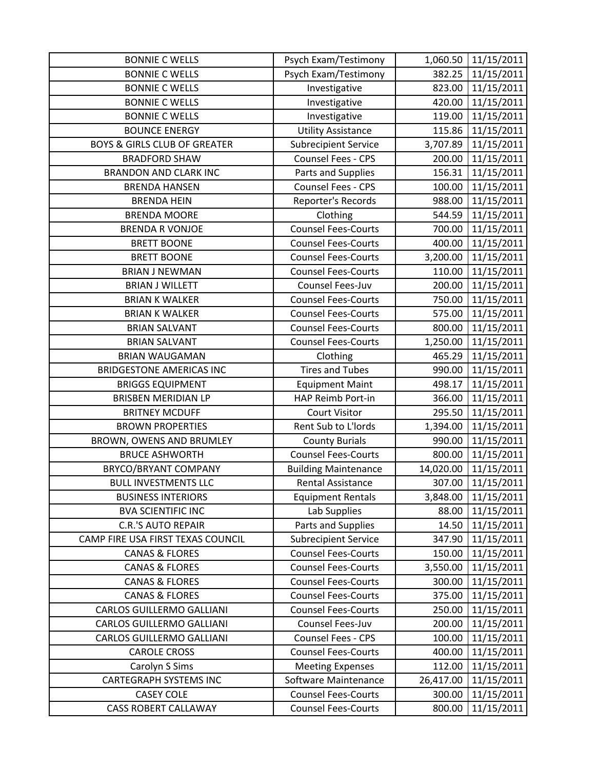| <b>BONNIE C WELLS</b>                   | Psych Exam/Testimony        | 1,060.50  | 11/15/2011 |
|-----------------------------------------|-----------------------------|-----------|------------|
| <b>BONNIE C WELLS</b>                   | Psych Exam/Testimony        | 382.25    | 11/15/2011 |
| <b>BONNIE C WELLS</b>                   | Investigative               | 823.00    | 11/15/2011 |
| <b>BONNIE C WELLS</b>                   | Investigative               | 420.00    | 11/15/2011 |
| <b>BONNIE C WELLS</b>                   | Investigative               | 119.00    | 11/15/2011 |
| <b>BOUNCE ENERGY</b>                    | <b>Utility Assistance</b>   | 115.86    | 11/15/2011 |
| <b>BOYS &amp; GIRLS CLUB OF GREATER</b> | <b>Subrecipient Service</b> | 3,707.89  | 11/15/2011 |
| <b>BRADFORD SHAW</b>                    | Counsel Fees - CPS          | 200.00    | 11/15/2011 |
| <b>BRANDON AND CLARK INC</b>            | Parts and Supplies          | 156.31    | 11/15/2011 |
| <b>BRENDA HANSEN</b>                    | Counsel Fees - CPS          | 100.00    | 11/15/2011 |
| <b>BRENDA HEIN</b>                      | Reporter's Records          | 988.00    | 11/15/2011 |
| <b>BRENDA MOORE</b>                     | Clothing                    | 544.59    | 11/15/2011 |
| <b>BRENDA R VONJOE</b>                  | <b>Counsel Fees-Courts</b>  | 700.00    | 11/15/2011 |
| <b>BRETT BOONE</b>                      | <b>Counsel Fees-Courts</b>  | 400.00    | 11/15/2011 |
| <b>BRETT BOONE</b>                      | <b>Counsel Fees-Courts</b>  | 3,200.00  | 11/15/2011 |
| <b>BRIAN J NEWMAN</b>                   | <b>Counsel Fees-Courts</b>  | 110.00    | 11/15/2011 |
| <b>BRIAN J WILLETT</b>                  | Counsel Fees-Juv            | 200.00    | 11/15/2011 |
| <b>BRIAN K WALKER</b>                   | <b>Counsel Fees-Courts</b>  | 750.00    | 11/15/2011 |
| <b>BRIAN K WALKER</b>                   | <b>Counsel Fees-Courts</b>  | 575.00    | 11/15/2011 |
| <b>BRIAN SALVANT</b>                    | <b>Counsel Fees-Courts</b>  | 800.00    | 11/15/2011 |
| <b>BRIAN SALVANT</b>                    | <b>Counsel Fees-Courts</b>  | 1,250.00  | 11/15/2011 |
| <b>BRIAN WAUGAMAN</b>                   | Clothing                    | 465.29    | 11/15/2011 |
| <b>BRIDGESTONE AMERICAS INC</b>         | <b>Tires and Tubes</b>      | 990.00    | 11/15/2011 |
| <b>BRIGGS EQUIPMENT</b>                 | <b>Equipment Maint</b>      | 498.17    | 11/15/2011 |
| <b>BRISBEN MERIDIAN LP</b>              | HAP Reimb Port-in           | 366.00    | 11/15/2011 |
| <b>BRITNEY MCDUFF</b>                   | <b>Court Visitor</b>        | 295.50    | 11/15/2011 |
| <b>BROWN PROPERTIES</b>                 | Rent Sub to L'Iords         | 1,394.00  | 11/15/2011 |
| BROWN, OWENS AND BRUMLEY                | <b>County Burials</b>       | 990.00    | 11/15/2011 |
| <b>BRUCE ASHWORTH</b>                   | <b>Counsel Fees-Courts</b>  | 800.00    | 11/15/2011 |
| BRYCO/BRYANT COMPANY                    | <b>Building Maintenance</b> | 14,020.00 | 11/15/2011 |
| <b>BULL INVESTMENTS LLC</b>             | <b>Rental Assistance</b>    | 307.00    | 11/15/2011 |
| <b>BUSINESS INTERIORS</b>               | <b>Equipment Rentals</b>    | 3,848.00  | 11/15/2011 |
| <b>BVA SCIENTIFIC INC</b>               | Lab Supplies                | 88.00     | 11/15/2011 |
| <b>C.R.'S AUTO REPAIR</b>               | Parts and Supplies          | 14.50     | 11/15/2011 |
| CAMP FIRE USA FIRST TEXAS COUNCIL       | <b>Subrecipient Service</b> | 347.90    | 11/15/2011 |
| <b>CANAS &amp; FLORES</b>               | <b>Counsel Fees-Courts</b>  | 150.00    | 11/15/2011 |
| <b>CANAS &amp; FLORES</b>               | <b>Counsel Fees-Courts</b>  | 3,550.00  | 11/15/2011 |
| <b>CANAS &amp; FLORES</b>               | <b>Counsel Fees-Courts</b>  | 300.00    | 11/15/2011 |
| <b>CANAS &amp; FLORES</b>               | <b>Counsel Fees-Courts</b>  | 375.00    | 11/15/2011 |
| <b>CARLOS GUILLERMO GALLIANI</b>        | <b>Counsel Fees-Courts</b>  | 250.00    | 11/15/2011 |
| <b>CARLOS GUILLERMO GALLIANI</b>        | Counsel Fees-Juv            | 200.00    | 11/15/2011 |
| <b>CARLOS GUILLERMO GALLIANI</b>        | Counsel Fees - CPS          | 100.00    | 11/15/2011 |
| <b>CAROLE CROSS</b>                     | <b>Counsel Fees-Courts</b>  | 400.00    | 11/15/2011 |
| Carolyn S Sims                          | <b>Meeting Expenses</b>     | 112.00    | 11/15/2011 |
| <b>CARTEGRAPH SYSTEMS INC</b>           | Software Maintenance        | 26,417.00 | 11/15/2011 |
| <b>CASEY COLE</b>                       | <b>Counsel Fees-Courts</b>  | 300.00    | 11/15/2011 |
| <b>CASS ROBERT CALLAWAY</b>             | <b>Counsel Fees-Courts</b>  | 800.00    | 11/15/2011 |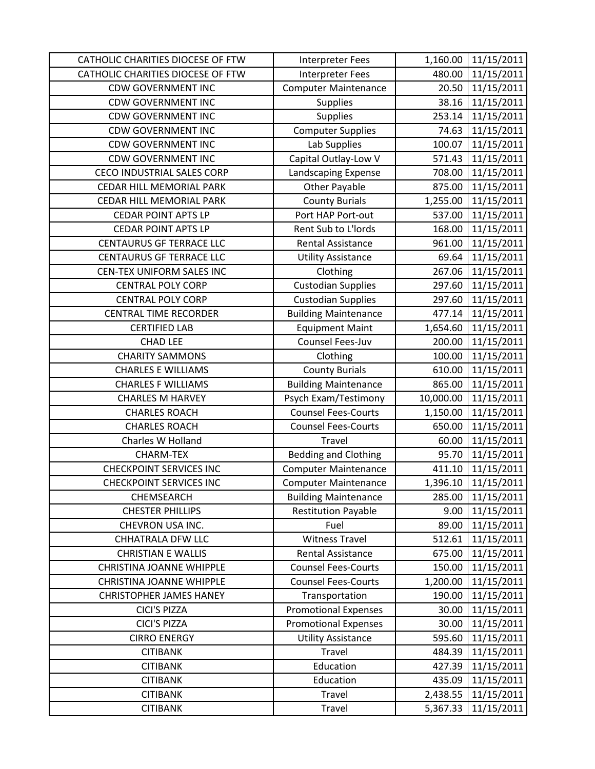| CATHOLIC CHARITIES DIOCESE OF FTW | <b>Interpreter Fees</b>     | 1,160.00  | 11/15/2011 |
|-----------------------------------|-----------------------------|-----------|------------|
| CATHOLIC CHARITIES DIOCESE OF FTW | Interpreter Fees            | 480.00    | 11/15/2011 |
| <b>CDW GOVERNMENT INC</b>         | <b>Computer Maintenance</b> | 20.50     | 11/15/2011 |
| <b>CDW GOVERNMENT INC</b>         | <b>Supplies</b>             | 38.16     | 11/15/2011 |
| <b>CDW GOVERNMENT INC</b>         | <b>Supplies</b>             | 253.14    | 11/15/2011 |
| <b>CDW GOVERNMENT INC</b>         | <b>Computer Supplies</b>    | 74.63     | 11/15/2011 |
| <b>CDW GOVERNMENT INC</b>         | Lab Supplies                | 100.07    | 11/15/2011 |
| <b>CDW GOVERNMENT INC</b>         | Capital Outlay-Low V        | 571.43    | 11/15/2011 |
| <b>CECO INDUSTRIAL SALES CORP</b> | Landscaping Expense         | 708.00    | 11/15/2011 |
| CEDAR HILL MEMORIAL PARK          | <b>Other Payable</b>        | 875.00    | 11/15/2011 |
| CEDAR HILL MEMORIAL PARK          | <b>County Burials</b>       | 1,255.00  | 11/15/2011 |
| <b>CEDAR POINT APTS LP</b>        | Port HAP Port-out           | 537.00    | 11/15/2011 |
| <b>CEDAR POINT APTS LP</b>        | Rent Sub to L'Iords         | 168.00    | 11/15/2011 |
| <b>CENTAURUS GF TERRACE LLC</b>   | Rental Assistance           | 961.00    | 11/15/2011 |
| <b>CENTAURUS GF TERRACE LLC</b>   | <b>Utility Assistance</b>   | 69.64     | 11/15/2011 |
| CEN-TEX UNIFORM SALES INC         | Clothing                    | 267.06    | 11/15/2011 |
| <b>CENTRAL POLY CORP</b>          | <b>Custodian Supplies</b>   | 297.60    | 11/15/2011 |
| <b>CENTRAL POLY CORP</b>          | <b>Custodian Supplies</b>   | 297.60    | 11/15/2011 |
| <b>CENTRAL TIME RECORDER</b>      | <b>Building Maintenance</b> | 477.14    | 11/15/2011 |
| <b>CERTIFIED LAB</b>              | <b>Equipment Maint</b>      | 1,654.60  | 11/15/2011 |
| <b>CHAD LEE</b>                   | Counsel Fees-Juv            | 200.00    | 11/15/2011 |
| <b>CHARITY SAMMONS</b>            | Clothing                    | 100.00    | 11/15/2011 |
| <b>CHARLES E WILLIAMS</b>         | <b>County Burials</b>       | 610.00    | 11/15/2011 |
| <b>CHARLES F WILLIAMS</b>         | <b>Building Maintenance</b> | 865.00    | 11/15/2011 |
| <b>CHARLES M HARVEY</b>           | Psych Exam/Testimony        | 10,000.00 | 11/15/2011 |
| <b>CHARLES ROACH</b>              | <b>Counsel Fees-Courts</b>  | 1,150.00  | 11/15/2011 |
| <b>CHARLES ROACH</b>              | <b>Counsel Fees-Courts</b>  | 650.00    | 11/15/2011 |
| Charles W Holland                 | Travel                      | 60.00     | 11/15/2011 |
| <b>CHARM-TEX</b>                  | <b>Bedding and Clothing</b> | 95.70     | 11/15/2011 |
| <b>CHECKPOINT SERVICES INC</b>    | <b>Computer Maintenance</b> | 411.10    | 11/15/2011 |
| <b>CHECKPOINT SERVICES INC</b>    | <b>Computer Maintenance</b> | 1,396.10  | 11/15/2011 |
| CHEMSEARCH                        | <b>Building Maintenance</b> | 285.00    | 11/15/2011 |
| <b>CHESTER PHILLIPS</b>           | <b>Restitution Payable</b>  | 9.00      | 11/15/2011 |
| CHEVRON USA INC.                  | Fuel                        | 89.00     | 11/15/2011 |
| CHHATRALA DFW LLC                 | <b>Witness Travel</b>       | 512.61    | 11/15/2011 |
| <b>CHRISTIAN E WALLIS</b>         | <b>Rental Assistance</b>    | 675.00    | 11/15/2011 |
| <b>CHRISTINA JOANNE WHIPPLE</b>   | <b>Counsel Fees-Courts</b>  | 150.00    | 11/15/2011 |
| CHRISTINA JOANNE WHIPPLE          | <b>Counsel Fees-Courts</b>  | 1,200.00  | 11/15/2011 |
| <b>CHRISTOPHER JAMES HANEY</b>    | Transportation              | 190.00    | 11/15/2011 |
| CICI'S PIZZA                      | <b>Promotional Expenses</b> | 30.00     | 11/15/2011 |
| <b>CICI'S PIZZA</b>               | <b>Promotional Expenses</b> | 30.00     | 11/15/2011 |
| <b>CIRRO ENERGY</b>               | <b>Utility Assistance</b>   | 595.60    | 11/15/2011 |
| <b>CITIBANK</b>                   | Travel                      | 484.39    | 11/15/2011 |
| <b>CITIBANK</b>                   | Education                   | 427.39    | 11/15/2011 |
| <b>CITIBANK</b>                   | Education                   | 435.09    | 11/15/2011 |
| <b>CITIBANK</b>                   | Travel                      | 2,438.55  | 11/15/2011 |
| <b>CITIBANK</b>                   | Travel                      | 5,367.33  | 11/15/2011 |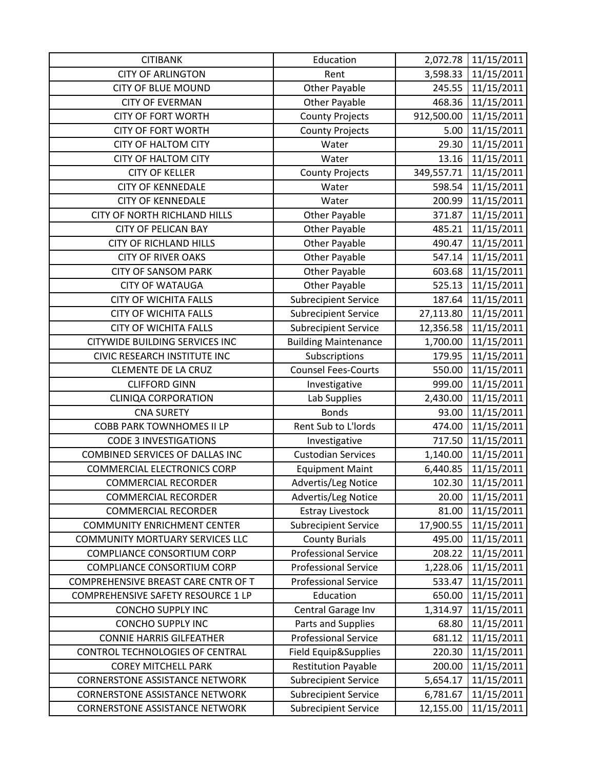| <b>CITIBANK</b>                       | Education                   | 2,072.78   | 11/15/2011 |
|---------------------------------------|-----------------------------|------------|------------|
| <b>CITY OF ARLINGTON</b>              | Rent                        | 3,598.33   | 11/15/2011 |
| <b>CITY OF BLUE MOUND</b>             | Other Payable               | 245.55     | 11/15/2011 |
| <b>CITY OF EVERMAN</b>                | Other Payable               | 468.36     | 11/15/2011 |
| <b>CITY OF FORT WORTH</b>             | <b>County Projects</b>      | 912,500.00 | 11/15/2011 |
| <b>CITY OF FORT WORTH</b>             | <b>County Projects</b>      | 5.00       | 11/15/2011 |
| <b>CITY OF HALTOM CITY</b>            | Water                       | 29.30      | 11/15/2011 |
| <b>CITY OF HALTOM CITY</b>            | Water                       | 13.16      | 11/15/2011 |
| <b>CITY OF KELLER</b>                 | <b>County Projects</b>      | 349,557.71 | 11/15/2011 |
| <b>CITY OF KENNEDALE</b>              | Water                       | 598.54     | 11/15/2011 |
| <b>CITY OF KENNEDALE</b>              | Water                       | 200.99     | 11/15/2011 |
| CITY OF NORTH RICHLAND HILLS          | <b>Other Payable</b>        | 371.87     | 11/15/2011 |
| <b>CITY OF PELICAN BAY</b>            | <b>Other Payable</b>        | 485.21     | 11/15/2011 |
| <b>CITY OF RICHLAND HILLS</b>         | Other Payable               | 490.47     | 11/15/2011 |
| <b>CITY OF RIVER OAKS</b>             | Other Payable               | 547.14     | 11/15/2011 |
| <b>CITY OF SANSOM PARK</b>            | <b>Other Payable</b>        | 603.68     | 11/15/2011 |
| <b>CITY OF WATAUGA</b>                | <b>Other Payable</b>        | 525.13     | 11/15/2011 |
| <b>CITY OF WICHITA FALLS</b>          | <b>Subrecipient Service</b> | 187.64     | 11/15/2011 |
| <b>CITY OF WICHITA FALLS</b>          | <b>Subrecipient Service</b> | 27,113.80  | 11/15/2011 |
| <b>CITY OF WICHITA FALLS</b>          | <b>Subrecipient Service</b> | 12,356.58  | 11/15/2011 |
| <b>CITYWIDE BUILDING SERVICES INC</b> | <b>Building Maintenance</b> | 1,700.00   | 11/15/2011 |
| CIVIC RESEARCH INSTITUTE INC          | Subscriptions               | 179.95     | 11/15/2011 |
| <b>CLEMENTE DE LA CRUZ</b>            | <b>Counsel Fees-Courts</b>  | 550.00     | 11/15/2011 |
| <b>CLIFFORD GINN</b>                  | Investigative               | 999.00     | 11/15/2011 |
| <b>CLINIQA CORPORATION</b>            | Lab Supplies                | 2,430.00   | 11/15/2011 |
| <b>CNA SURETY</b>                     | <b>Bonds</b>                | 93.00      | 11/15/2011 |
| <b>COBB PARK TOWNHOMES II LP</b>      | Rent Sub to L'Iords         | 474.00     | 11/15/2011 |
| <b>CODE 3 INVESTIGATIONS</b>          | Investigative               | 717.50     | 11/15/2011 |
| COMBINED SERVICES OF DALLAS INC       | <b>Custodian Services</b>   | 1,140.00   | 11/15/2011 |
| <b>COMMERCIAL ELECTRONICS CORP</b>    | <b>Equipment Maint</b>      | 6,440.85   | 11/15/2011 |
| <b>COMMERCIAL RECORDER</b>            | Advertis/Leg Notice         | 102.30     | 11/15/2011 |
| <b>COMMERCIAL RECORDER</b>            | Advertis/Leg Notice         | 20.00      | 11/15/2011 |
| <b>COMMERCIAL RECORDER</b>            | <b>Estray Livestock</b>     | 81.00      | 11/15/2011 |
| <b>COMMUNITY ENRICHMENT CENTER</b>    | <b>Subrecipient Service</b> | 17,900.55  | 11/15/2011 |
| COMMUNITY MORTUARY SERVICES LLC       | <b>County Burials</b>       | 495.00     | 11/15/2011 |
| <b>COMPLIANCE CONSORTIUM CORP</b>     | <b>Professional Service</b> | 208.22     | 11/15/2011 |
| <b>COMPLIANCE CONSORTIUM CORP</b>     | <b>Professional Service</b> | 1,228.06   | 11/15/2011 |
| COMPREHENSIVE BREAST CARE CNTR OF T   | <b>Professional Service</b> | 533.47     | 11/15/2011 |
| COMPREHENSIVE SAFETY RESOURCE 1 LP    | Education                   | 650.00     | 11/15/2011 |
| <b>CONCHO SUPPLY INC</b>              | Central Garage Inv          | 1,314.97   | 11/15/2011 |
| <b>CONCHO SUPPLY INC</b>              | Parts and Supplies          | 68.80      | 11/15/2011 |
| <b>CONNIE HARRIS GILFEATHER</b>       | <b>Professional Service</b> | 681.12     | 11/15/2011 |
| CONTROL TECHNOLOGIES OF CENTRAL       | Field Equip&Supplies        | 220.30     | 11/15/2011 |
| <b>COREY MITCHELL PARK</b>            | <b>Restitution Payable</b>  | 200.00     | 11/15/2011 |
| <b>CORNERSTONE ASSISTANCE NETWORK</b> | <b>Subrecipient Service</b> | 5,654.17   | 11/15/2011 |
| <b>CORNERSTONE ASSISTANCE NETWORK</b> | <b>Subrecipient Service</b> | 6,781.67   | 11/15/2011 |
| <b>CORNERSTONE ASSISTANCE NETWORK</b> | <b>Subrecipient Service</b> | 12,155.00  | 11/15/2011 |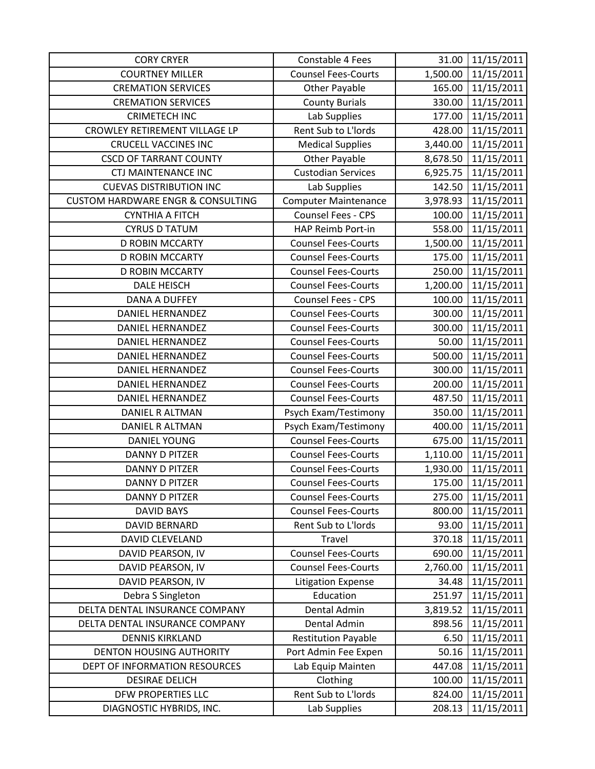| <b>CORY CRYER</b>                            | Constable 4 Fees            | 31.00    | 11/15/2011 |
|----------------------------------------------|-----------------------------|----------|------------|
| <b>COURTNEY MILLER</b>                       | <b>Counsel Fees-Courts</b>  | 1,500.00 | 11/15/2011 |
| <b>CREMATION SERVICES</b>                    | <b>Other Payable</b>        | 165.00   | 11/15/2011 |
| <b>CREMATION SERVICES</b>                    | <b>County Burials</b>       | 330.00   | 11/15/2011 |
| <b>CRIMETECH INC</b>                         | Lab Supplies                | 177.00   | 11/15/2011 |
| CROWLEY RETIREMENT VILLAGE LP                | Rent Sub to L'Iords         | 428.00   | 11/15/2011 |
| <b>CRUCELL VACCINES INC</b>                  | <b>Medical Supplies</b>     | 3,440.00 | 11/15/2011 |
| <b>CSCD OF TARRANT COUNTY</b>                | Other Payable               | 8,678.50 | 11/15/2011 |
| <b>CTJ MAINTENANCE INC</b>                   | <b>Custodian Services</b>   | 6,925.75 | 11/15/2011 |
| <b>CUEVAS DISTRIBUTION INC</b>               | Lab Supplies                | 142.50   | 11/15/2011 |
| <b>CUSTOM HARDWARE ENGR &amp; CONSULTING</b> | <b>Computer Maintenance</b> | 3,978.93 | 11/15/2011 |
| <b>CYNTHIA A FITCH</b>                       | Counsel Fees - CPS          | 100.00   | 11/15/2011 |
| <b>CYRUS D TATUM</b>                         | HAP Reimb Port-in           | 558.00   | 11/15/2011 |
| <b>D ROBIN MCCARTY</b>                       | <b>Counsel Fees-Courts</b>  | 1,500.00 | 11/15/2011 |
| <b>D ROBIN MCCARTY</b>                       | <b>Counsel Fees-Courts</b>  | 175.00   | 11/15/2011 |
| <b>D ROBIN MCCARTY</b>                       | <b>Counsel Fees-Courts</b>  | 250.00   | 11/15/2011 |
| <b>DALE HEISCH</b>                           | <b>Counsel Fees-Courts</b>  | 1,200.00 | 11/15/2011 |
| <b>DANA A DUFFEY</b>                         | Counsel Fees - CPS          | 100.00   | 11/15/2011 |
| DANIEL HERNANDEZ                             | <b>Counsel Fees-Courts</b>  | 300.00   | 11/15/2011 |
| <b>DANIEL HERNANDEZ</b>                      | <b>Counsel Fees-Courts</b>  | 300.00   | 11/15/2011 |
| DANIEL HERNANDEZ                             | <b>Counsel Fees-Courts</b>  | 50.00    | 11/15/2011 |
| <b>DANIEL HERNANDEZ</b>                      | <b>Counsel Fees-Courts</b>  | 500.00   | 11/15/2011 |
| <b>DANIEL HERNANDEZ</b>                      | <b>Counsel Fees-Courts</b>  | 300.00   | 11/15/2011 |
| DANIEL HERNANDEZ                             | <b>Counsel Fees-Courts</b>  | 200.00   | 11/15/2011 |
| <b>DANIEL HERNANDEZ</b>                      | <b>Counsel Fees-Courts</b>  | 487.50   | 11/15/2011 |
| DANIEL R ALTMAN                              | Psych Exam/Testimony        | 350.00   | 11/15/2011 |
| DANIEL R ALTMAN                              | Psych Exam/Testimony        | 400.00   | 11/15/2011 |
| <b>DANIEL YOUNG</b>                          | <b>Counsel Fees-Courts</b>  | 675.00   | 11/15/2011 |
| <b>DANNY D PITZER</b>                        | <b>Counsel Fees-Courts</b>  | 1,110.00 | 11/15/2011 |
| <b>DANNY D PITZER</b>                        | <b>Counsel Fees-Courts</b>  | 1,930.00 | 11/15/2011 |
| <b>DANNY D PITZER</b>                        | <b>Counsel Fees-Courts</b>  | 175.00   | 11/15/2011 |
| <b>DANNY D PITZER</b>                        | <b>Counsel Fees-Courts</b>  | 275.00   | 11/15/2011 |
| <b>DAVID BAYS</b>                            | <b>Counsel Fees-Courts</b>  | 800.00   | 11/15/2011 |
| <b>DAVID BERNARD</b>                         | Rent Sub to L'Iords         | 93.00    | 11/15/2011 |
| DAVID CLEVELAND                              | Travel                      | 370.18   | 11/15/2011 |
| DAVID PEARSON, IV                            | <b>Counsel Fees-Courts</b>  | 690.00   | 11/15/2011 |
| DAVID PEARSON, IV                            | <b>Counsel Fees-Courts</b>  | 2,760.00 | 11/15/2011 |
| DAVID PEARSON, IV                            | <b>Litigation Expense</b>   | 34.48    | 11/15/2011 |
| Debra S Singleton                            | Education                   | 251.97   | 11/15/2011 |
| DELTA DENTAL INSURANCE COMPANY               | Dental Admin                | 3,819.52 | 11/15/2011 |
| DELTA DENTAL INSURANCE COMPANY               | Dental Admin                | 898.56   | 11/15/2011 |
| <b>DENNIS KIRKLAND</b>                       | <b>Restitution Payable</b>  | 6.50     | 11/15/2011 |
| <b>DENTON HOUSING AUTHORITY</b>              | Port Admin Fee Expen        | 50.16    | 11/15/2011 |
| DEPT OF INFORMATION RESOURCES                | Lab Equip Mainten           | 447.08   | 11/15/2011 |
| <b>DESIRAE DELICH</b>                        | Clothing                    | 100.00   | 11/15/2011 |
| DFW PROPERTIES LLC                           | Rent Sub to L'Iords         | 824.00   | 11/15/2011 |
| DIAGNOSTIC HYBRIDS, INC.                     | Lab Supplies                | 208.13   | 11/15/2011 |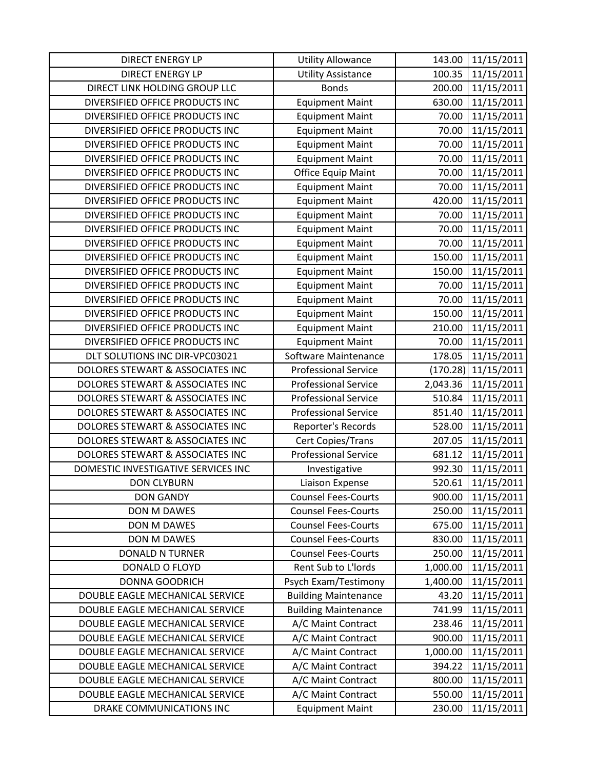| DIRECT ENERGY LP                    | <b>Utility Allowance</b>    | 143.00   | 11/15/2011 |
|-------------------------------------|-----------------------------|----------|------------|
| <b>DIRECT ENERGY LP</b>             | <b>Utility Assistance</b>   | 100.35   | 11/15/2011 |
| DIRECT LINK HOLDING GROUP LLC       | <b>Bonds</b>                | 200.00   | 11/15/2011 |
| DIVERSIFIED OFFICE PRODUCTS INC     | <b>Equipment Maint</b>      | 630.00   | 11/15/2011 |
| DIVERSIFIED OFFICE PRODUCTS INC     | <b>Equipment Maint</b>      | 70.00    | 11/15/2011 |
| DIVERSIFIED OFFICE PRODUCTS INC     | <b>Equipment Maint</b>      | 70.00    | 11/15/2011 |
| DIVERSIFIED OFFICE PRODUCTS INC     | <b>Equipment Maint</b>      | 70.00    | 11/15/2011 |
| DIVERSIFIED OFFICE PRODUCTS INC     | <b>Equipment Maint</b>      | 70.00    | 11/15/2011 |
| DIVERSIFIED OFFICE PRODUCTS INC     | <b>Office Equip Maint</b>   | 70.00    | 11/15/2011 |
| DIVERSIFIED OFFICE PRODUCTS INC     | <b>Equipment Maint</b>      | 70.00    | 11/15/2011 |
| DIVERSIFIED OFFICE PRODUCTS INC     | <b>Equipment Maint</b>      | 420.00   | 11/15/2011 |
| DIVERSIFIED OFFICE PRODUCTS INC     | <b>Equipment Maint</b>      | 70.00    | 11/15/2011 |
| DIVERSIFIED OFFICE PRODUCTS INC     | <b>Equipment Maint</b>      | 70.00    | 11/15/2011 |
| DIVERSIFIED OFFICE PRODUCTS INC     | <b>Equipment Maint</b>      | 70.00    | 11/15/2011 |
| DIVERSIFIED OFFICE PRODUCTS INC     | <b>Equipment Maint</b>      | 150.00   | 11/15/2011 |
| DIVERSIFIED OFFICE PRODUCTS INC     | <b>Equipment Maint</b>      | 150.00   | 11/15/2011 |
| DIVERSIFIED OFFICE PRODUCTS INC     | <b>Equipment Maint</b>      | 70.00    | 11/15/2011 |
| DIVERSIFIED OFFICE PRODUCTS INC     | <b>Equipment Maint</b>      | 70.00    | 11/15/2011 |
| DIVERSIFIED OFFICE PRODUCTS INC     | <b>Equipment Maint</b>      | 150.00   | 11/15/2011 |
| DIVERSIFIED OFFICE PRODUCTS INC     | <b>Equipment Maint</b>      | 210.00   | 11/15/2011 |
| DIVERSIFIED OFFICE PRODUCTS INC     | <b>Equipment Maint</b>      | 70.00    | 11/15/2011 |
| DLT SOLUTIONS INC DIR-VPC03021      | Software Maintenance        | 178.05   | 11/15/2011 |
| DOLORES STEWART & ASSOCIATES INC    | <b>Professional Service</b> | (170.28) | 11/15/2011 |
| DOLORES STEWART & ASSOCIATES INC    | <b>Professional Service</b> | 2,043.36 | 11/15/2011 |
| DOLORES STEWART & ASSOCIATES INC    | <b>Professional Service</b> | 510.84   | 11/15/2011 |
| DOLORES STEWART & ASSOCIATES INC    | <b>Professional Service</b> | 851.40   | 11/15/2011 |
| DOLORES STEWART & ASSOCIATES INC    | Reporter's Records          | 528.00   | 11/15/2011 |
| DOLORES STEWART & ASSOCIATES INC    | Cert Copies/Trans           | 207.05   | 11/15/2011 |
| DOLORES STEWART & ASSOCIATES INC    | <b>Professional Service</b> | 681.12   | 11/15/2011 |
| DOMESTIC INVESTIGATIVE SERVICES INC | Investigative               | 992.30   | 11/15/2011 |
| <b>DON CLYBURN</b>                  | Liaison Expense             | 520.61   | 11/15/2011 |
| <b>DON GANDY</b>                    | <b>Counsel Fees-Courts</b>  | 900.00   | 11/15/2011 |
| DON M DAWES                         | <b>Counsel Fees-Courts</b>  | 250.00   | 11/15/2011 |
| DON M DAWES                         | <b>Counsel Fees-Courts</b>  | 675.00   | 11/15/2011 |
| <b>DON M DAWES</b>                  | <b>Counsel Fees-Courts</b>  | 830.00   | 11/15/2011 |
| <b>DONALD N TURNER</b>              | <b>Counsel Fees-Courts</b>  | 250.00   | 11/15/2011 |
| DONALD O FLOYD                      | Rent Sub to L'Iords         | 1,000.00 | 11/15/2011 |
| DONNA GOODRICH                      | Psych Exam/Testimony        | 1,400.00 | 11/15/2011 |
| DOUBLE EAGLE MECHANICAL SERVICE     | <b>Building Maintenance</b> | 43.20    | 11/15/2011 |
| DOUBLE EAGLE MECHANICAL SERVICE     | <b>Building Maintenance</b> | 741.99   | 11/15/2011 |
| DOUBLE EAGLE MECHANICAL SERVICE     | A/C Maint Contract          | 238.46   | 11/15/2011 |
| DOUBLE EAGLE MECHANICAL SERVICE     | A/C Maint Contract          | 900.00   | 11/15/2011 |
| DOUBLE EAGLE MECHANICAL SERVICE     | A/C Maint Contract          | 1,000.00 | 11/15/2011 |
| DOUBLE EAGLE MECHANICAL SERVICE     | A/C Maint Contract          | 394.22   | 11/15/2011 |
| DOUBLE EAGLE MECHANICAL SERVICE     | A/C Maint Contract          | 800.00   | 11/15/2011 |
| DOUBLE EAGLE MECHANICAL SERVICE     | A/C Maint Contract          | 550.00   | 11/15/2011 |
| DRAKE COMMUNICATIONS INC            | <b>Equipment Maint</b>      | 230.00   | 11/15/2011 |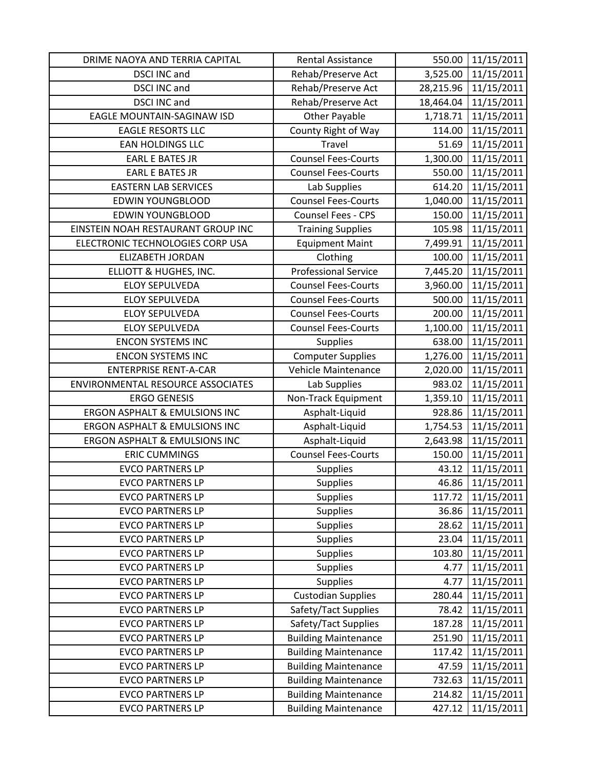| DRIME NAOYA AND TERRIA CAPITAL                     | <b>Rental Assistance</b>                                   | 550.00          | 11/15/2011               |
|----------------------------------------------------|------------------------------------------------------------|-----------------|--------------------------|
| <b>DSCI INC and</b>                                | Rehab/Preserve Act                                         | 3,525.00        | 11/15/2011               |
| <b>DSCI INC and</b>                                | Rehab/Preserve Act                                         | 28,215.96       | 11/15/2011               |
| <b>DSCI INC and</b>                                | Rehab/Preserve Act                                         | 18,464.04       | 11/15/2011               |
| EAGLE MOUNTAIN-SAGINAW ISD                         | <b>Other Payable</b>                                       | 1,718.71        | 11/15/2011               |
| <b>EAGLE RESORTS LLC</b>                           | County Right of Way                                        | 114.00          | 11/15/2011               |
| <b>EAN HOLDINGS LLC</b>                            | Travel                                                     | 51.69           | 11/15/2011               |
| <b>EARL E BATES JR</b>                             | <b>Counsel Fees-Courts</b>                                 | 1,300.00        | 11/15/2011               |
| <b>EARL E BATES JR</b>                             | <b>Counsel Fees-Courts</b>                                 | 550.00          | 11/15/2011               |
| <b>EASTERN LAB SERVICES</b>                        | Lab Supplies                                               | 614.20          | 11/15/2011               |
| <b>EDWIN YOUNGBLOOD</b>                            | <b>Counsel Fees-Courts</b>                                 | 1,040.00        | 11/15/2011               |
| <b>EDWIN YOUNGBLOOD</b>                            | Counsel Fees - CPS                                         | 150.00          | 11/15/2011               |
| EINSTEIN NOAH RESTAURANT GROUP INC                 | <b>Training Supplies</b>                                   | 105.98          | 11/15/2011               |
| ELECTRONIC TECHNOLOGIES CORP USA                   | <b>Equipment Maint</b>                                     | 7,499.91        | 11/15/2011               |
| <b>ELIZABETH JORDAN</b>                            | Clothing                                                   | 100.00          | 11/15/2011               |
| ELLIOTT & HUGHES, INC.                             | <b>Professional Service</b>                                | 7,445.20        | 11/15/2011               |
| <b>ELOY SEPULVEDA</b>                              | <b>Counsel Fees-Courts</b>                                 | 3,960.00        | 11/15/2011               |
| <b>ELOY SEPULVEDA</b>                              | <b>Counsel Fees-Courts</b>                                 | 500.00          | 11/15/2011               |
| <b>ELOY SEPULVEDA</b>                              | <b>Counsel Fees-Courts</b>                                 | 200.00          | 11/15/2011               |
| <b>ELOY SEPULVEDA</b>                              | <b>Counsel Fees-Courts</b>                                 | 1,100.00        | 11/15/2011               |
| <b>ENCON SYSTEMS INC</b>                           | <b>Supplies</b>                                            | 638.00          | 11/15/2011               |
| <b>ENCON SYSTEMS INC</b>                           | <b>Computer Supplies</b>                                   | 1,276.00        | 11/15/2011               |
| <b>ENTERPRISE RENT-A-CAR</b>                       | Vehicle Maintenance                                        | 2,020.00        | 11/15/2011               |
| ENVIRONMENTAL RESOURCE ASSOCIATES                  | Lab Supplies                                               | 983.02          | 11/15/2011               |
| <b>ERGO GENESIS</b>                                | Non-Track Equipment                                        | 1,359.10        | 11/15/2011               |
| <b>ERGON ASPHALT &amp; EMULSIONS INC</b>           | Asphalt-Liquid                                             | 928.86          | 11/15/2011               |
| <b>ERGON ASPHALT &amp; EMULSIONS INC</b>           | Asphalt-Liquid                                             | 1,754.53        | 11/15/2011               |
| <b>ERGON ASPHALT &amp; EMULSIONS INC</b>           | Asphalt-Liquid                                             | 2,643.98        | 11/15/2011               |
| <b>ERIC CUMMINGS</b>                               | <b>Counsel Fees-Courts</b>                                 | 150.00          | 11/15/2011               |
| <b>EVCO PARTNERS LP</b>                            | <b>Supplies</b>                                            | 43.12           | 11/15/2011               |
| <b>EVCO PARTNERS LP</b>                            | <b>Supplies</b>                                            | 46.86           | 11/15/2011               |
| <b>EVCO PARTNERS LP</b>                            | <b>Supplies</b>                                            | 117.72          | 11/15/2011               |
| <b>EVCO PARTNERS LP</b>                            | <b>Supplies</b>                                            | 36.86           | 11/15/2011               |
| <b>EVCO PARTNERS LP</b>                            | <b>Supplies</b>                                            | 28.62           | 11/15/2011               |
| <b>EVCO PARTNERS LP</b>                            | <b>Supplies</b>                                            | 23.04           | 11/15/2011               |
| <b>EVCO PARTNERS LP</b>                            | <b>Supplies</b>                                            | 103.80          | 11/15/2011               |
| <b>EVCO PARTNERS LP</b>                            | <b>Supplies</b>                                            | 4.77            | 11/15/2011               |
| <b>EVCO PARTNERS LP</b>                            | <b>Supplies</b>                                            | 4.77            | 11/15/2011               |
| <b>EVCO PARTNERS LP</b>                            | <b>Custodian Supplies</b>                                  | 280.44          | 11/15/2011               |
| <b>EVCO PARTNERS LP</b>                            | Safety/Tact Supplies                                       | 78.42           | 11/15/2011               |
| <b>EVCO PARTNERS LP</b>                            | Safety/Tact Supplies                                       | 187.28          | 11/15/2011               |
| <b>EVCO PARTNERS LP</b>                            | <b>Building Maintenance</b>                                | 251.90          | 11/15/2011               |
| <b>EVCO PARTNERS LP</b>                            | <b>Building Maintenance</b>                                | 117.42          | 11/15/2011               |
| <b>EVCO PARTNERS LP</b><br><b>EVCO PARTNERS LP</b> | <b>Building Maintenance</b>                                | 47.59<br>732.63 | 11/15/2011<br>11/15/2011 |
| <b>EVCO PARTNERS LP</b>                            | <b>Building Maintenance</b><br><b>Building Maintenance</b> | 214.82          | 11/15/2011               |
|                                                    |                                                            |                 |                          |
| <b>EVCO PARTNERS LP</b>                            | <b>Building Maintenance</b>                                | 427.12          | 11/15/2011               |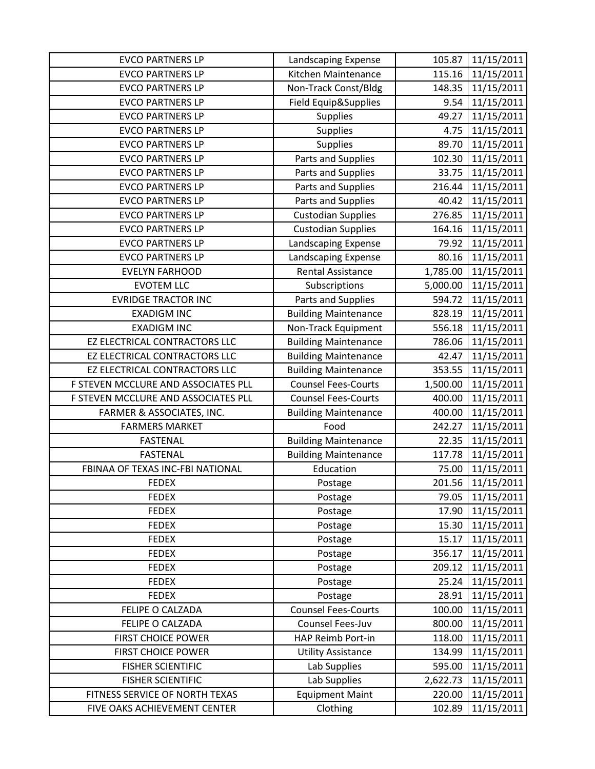| <b>EVCO PARTNERS LP</b>             | Landscaping Expense         | 105.87   | 11/15/2011 |
|-------------------------------------|-----------------------------|----------|------------|
| <b>EVCO PARTNERS LP</b>             | Kitchen Maintenance         | 115.16   | 11/15/2011 |
| <b>EVCO PARTNERS LP</b>             | Non-Track Const/Bldg        | 148.35   | 11/15/2011 |
| <b>EVCO PARTNERS LP</b>             | Field Equip&Supplies        | 9.54     | 11/15/2011 |
| <b>EVCO PARTNERS LP</b>             | <b>Supplies</b>             | 49.27    | 11/15/2011 |
| <b>EVCO PARTNERS LP</b>             | <b>Supplies</b>             | 4.75     | 11/15/2011 |
| <b>EVCO PARTNERS LP</b>             | <b>Supplies</b>             | 89.70    | 11/15/2011 |
| <b>EVCO PARTNERS LP</b>             | Parts and Supplies          | 102.30   | 11/15/2011 |
| <b>EVCO PARTNERS LP</b>             | Parts and Supplies          | 33.75    | 11/15/2011 |
| <b>EVCO PARTNERS LP</b>             | Parts and Supplies          | 216.44   | 11/15/2011 |
| <b>EVCO PARTNERS LP</b>             | Parts and Supplies          | 40.42    | 11/15/2011 |
| <b>EVCO PARTNERS LP</b>             | <b>Custodian Supplies</b>   | 276.85   | 11/15/2011 |
| <b>EVCO PARTNERS LP</b>             | <b>Custodian Supplies</b>   | 164.16   | 11/15/2011 |
| <b>EVCO PARTNERS LP</b>             | Landscaping Expense         | 79.92    | 11/15/2011 |
| <b>EVCO PARTNERS LP</b>             | Landscaping Expense         | 80.16    | 11/15/2011 |
| <b>EVELYN FARHOOD</b>               | <b>Rental Assistance</b>    | 1,785.00 | 11/15/2011 |
| <b>EVOTEM LLC</b>                   | Subscriptions               | 5,000.00 | 11/15/2011 |
| <b>EVRIDGE TRACTOR INC</b>          | Parts and Supplies          | 594.72   | 11/15/2011 |
| <b>EXADIGM INC</b>                  | <b>Building Maintenance</b> | 828.19   | 11/15/2011 |
| <b>EXADIGM INC</b>                  | Non-Track Equipment         | 556.18   | 11/15/2011 |
| EZ ELECTRICAL CONTRACTORS LLC       | <b>Building Maintenance</b> | 786.06   | 11/15/2011 |
| EZ ELECTRICAL CONTRACTORS LLC       | <b>Building Maintenance</b> | 42.47    | 11/15/2011 |
| EZ ELECTRICAL CONTRACTORS LLC       | <b>Building Maintenance</b> | 353.55   | 11/15/2011 |
| F STEVEN MCCLURE AND ASSOCIATES PLL | <b>Counsel Fees-Courts</b>  | 1,500.00 | 11/15/2011 |
| F STEVEN MCCLURE AND ASSOCIATES PLL | <b>Counsel Fees-Courts</b>  | 400.00   | 11/15/2011 |
| FARMER & ASSOCIATES, INC.           | <b>Building Maintenance</b> | 400.00   | 11/15/2011 |
| <b>FARMERS MARKET</b>               | Food                        | 242.27   | 11/15/2011 |
| <b>FASTENAL</b>                     | <b>Building Maintenance</b> | 22.35    | 11/15/2011 |
| <b>FASTENAL</b>                     | <b>Building Maintenance</b> | 117.78   | 11/15/2011 |
| FBINAA OF TEXAS INC-FBI NATIONAL    | Education                   | 75.00    | 11/15/2011 |
| <b>FEDEX</b>                        | Postage                     | 201.56   | 11/15/2011 |
| <b>FEDEX</b>                        | Postage                     | 79.05    | 11/15/2011 |
| <b>FEDEX</b>                        | Postage                     | 17.90    | 11/15/2011 |
| <b>FEDEX</b>                        | Postage                     | 15.30    | 11/15/2011 |
| <b>FEDEX</b>                        | Postage                     | 15.17    | 11/15/2011 |
| <b>FEDEX</b>                        | Postage                     | 356.17   | 11/15/2011 |
| <b>FEDEX</b>                        | Postage                     | 209.12   | 11/15/2011 |
| <b>FEDEX</b>                        | Postage                     | 25.24    | 11/15/2011 |
| <b>FEDEX</b>                        | Postage                     | 28.91    | 11/15/2011 |
| FELIPE O CALZADA                    | <b>Counsel Fees-Courts</b>  | 100.00   | 11/15/2011 |
| FELIPE O CALZADA                    | Counsel Fees-Juv            | 800.00   | 11/15/2011 |
| <b>FIRST CHOICE POWER</b>           | HAP Reimb Port-in           | 118.00   | 11/15/2011 |
| <b>FIRST CHOICE POWER</b>           | <b>Utility Assistance</b>   | 134.99   | 11/15/2011 |
| <b>FISHER SCIENTIFIC</b>            | Lab Supplies                | 595.00   | 11/15/2011 |
| <b>FISHER SCIENTIFIC</b>            | Lab Supplies                | 2,622.73 | 11/15/2011 |
| FITNESS SERVICE OF NORTH TEXAS      | <b>Equipment Maint</b>      | 220.00   | 11/15/2011 |
| FIVE OAKS ACHIEVEMENT CENTER        | Clothing                    | 102.89   | 11/15/2011 |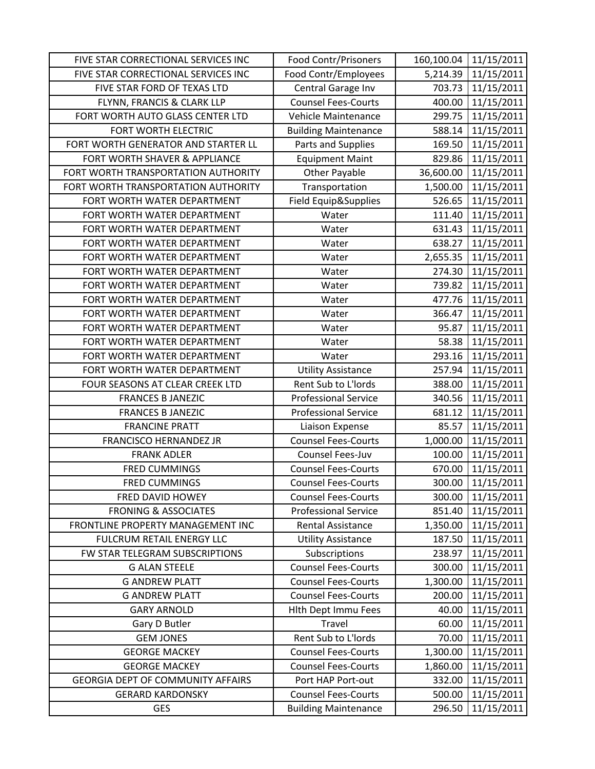| FIVE STAR CORRECTIONAL SERVICES INC      | Food Contr/Prisoners        | 160,100.04 | 11/15/2011 |
|------------------------------------------|-----------------------------|------------|------------|
| FIVE STAR CORRECTIONAL SERVICES INC      | Food Contr/Employees        | 5,214.39   | 11/15/2011 |
| FIVE STAR FORD OF TEXAS LTD              | Central Garage Inv          | 703.73     | 11/15/2011 |
| FLYNN, FRANCIS & CLARK LLP               | <b>Counsel Fees-Courts</b>  | 400.00     | 11/15/2011 |
| FORT WORTH AUTO GLASS CENTER LTD         | Vehicle Maintenance         | 299.75     | 11/15/2011 |
| FORT WORTH ELECTRIC                      | <b>Building Maintenance</b> | 588.14     | 11/15/2011 |
| FORT WORTH GENERATOR AND STARTER LL      | Parts and Supplies          | 169.50     | 11/15/2011 |
| FORT WORTH SHAVER & APPLIANCE            | <b>Equipment Maint</b>      | 829.86     | 11/15/2011 |
| FORT WORTH TRANSPORTATION AUTHORITY      | <b>Other Payable</b>        | 36,600.00  | 11/15/2011 |
| FORT WORTH TRANSPORTATION AUTHORITY      | Transportation              | 1,500.00   | 11/15/2011 |
| FORT WORTH WATER DEPARTMENT              | Field Equip&Supplies        | 526.65     | 11/15/2011 |
| FORT WORTH WATER DEPARTMENT              | Water                       | 111.40     | 11/15/2011 |
| FORT WORTH WATER DEPARTMENT              | Water                       | 631.43     | 11/15/2011 |
| FORT WORTH WATER DEPARTMENT              | Water                       | 638.27     | 11/15/2011 |
| FORT WORTH WATER DEPARTMENT              | Water                       | 2,655.35   | 11/15/2011 |
| FORT WORTH WATER DEPARTMENT              | Water                       | 274.30     | 11/15/2011 |
| FORT WORTH WATER DEPARTMENT              | Water                       | 739.82     | 11/15/2011 |
| FORT WORTH WATER DEPARTMENT              | Water                       | 477.76     | 11/15/2011 |
| FORT WORTH WATER DEPARTMENT              | Water                       | 366.47     | 11/15/2011 |
| FORT WORTH WATER DEPARTMENT              | Water                       | 95.87      | 11/15/2011 |
| FORT WORTH WATER DEPARTMENT              | Water                       | 58.38      | 11/15/2011 |
| FORT WORTH WATER DEPARTMENT              | Water                       | 293.16     | 11/15/2011 |
| FORT WORTH WATER DEPARTMENT              | <b>Utility Assistance</b>   | 257.94     | 11/15/2011 |
| FOUR SEASONS AT CLEAR CREEK LTD          | Rent Sub to L'Iords         | 388.00     | 11/15/2011 |
| <b>FRANCES B JANEZIC</b>                 | <b>Professional Service</b> | 340.56     | 11/15/2011 |
| <b>FRANCES B JANEZIC</b>                 | <b>Professional Service</b> | 681.12     | 11/15/2011 |
| <b>FRANCINE PRATT</b>                    | Liaison Expense             | 85.57      | 11/15/2011 |
| <b>FRANCISCO HERNANDEZ JR</b>            | <b>Counsel Fees-Courts</b>  | 1,000.00   | 11/15/2011 |
| <b>FRANK ADLER</b>                       | Counsel Fees-Juv            | 100.00     | 11/15/2011 |
| <b>FRED CUMMINGS</b>                     | <b>Counsel Fees-Courts</b>  | 670.00     | 11/15/2011 |
| <b>FRED CUMMINGS</b>                     | <b>Counsel Fees-Courts</b>  | 300.00     | 11/15/2011 |
| FRED DAVID HOWEY                         | <b>Counsel Fees-Courts</b>  | 300.00     | 11/15/2011 |
| <b>FRONING &amp; ASSOCIATES</b>          | <b>Professional Service</b> | 851.40     | 11/15/2011 |
| FRONTLINE PROPERTY MANAGEMENT INC        | <b>Rental Assistance</b>    | 1,350.00   | 11/15/2011 |
| FULCRUM RETAIL ENERGY LLC                | <b>Utility Assistance</b>   | 187.50     | 11/15/2011 |
| FW STAR TELEGRAM SUBSCRIPTIONS           | Subscriptions               | 238.97     | 11/15/2011 |
| <b>G ALAN STEELE</b>                     | <b>Counsel Fees-Courts</b>  | 300.00     | 11/15/2011 |
| <b>G ANDREW PLATT</b>                    | <b>Counsel Fees-Courts</b>  | 1,300.00   | 11/15/2011 |
| <b>G ANDREW PLATT</b>                    | <b>Counsel Fees-Courts</b>  | 200.00     | 11/15/2011 |
| <b>GARY ARNOLD</b>                       | Hlth Dept Immu Fees         | 40.00      | 11/15/2011 |
| Gary D Butler                            | Travel                      | 60.00      | 11/15/2011 |
| <b>GEM JONES</b>                         | Rent Sub to L'Iords         | 70.00      | 11/15/2011 |
| <b>GEORGE MACKEY</b>                     | <b>Counsel Fees-Courts</b>  | 1,300.00   | 11/15/2011 |
| <b>GEORGE MACKEY</b>                     | <b>Counsel Fees-Courts</b>  | 1,860.00   | 11/15/2011 |
| <b>GEORGIA DEPT OF COMMUNITY AFFAIRS</b> | Port HAP Port-out           | 332.00     | 11/15/2011 |
| <b>GERARD KARDONSKY</b>                  | <b>Counsel Fees-Courts</b>  | 500.00     | 11/15/2011 |
| <b>GES</b>                               | <b>Building Maintenance</b> | 296.50     | 11/15/2011 |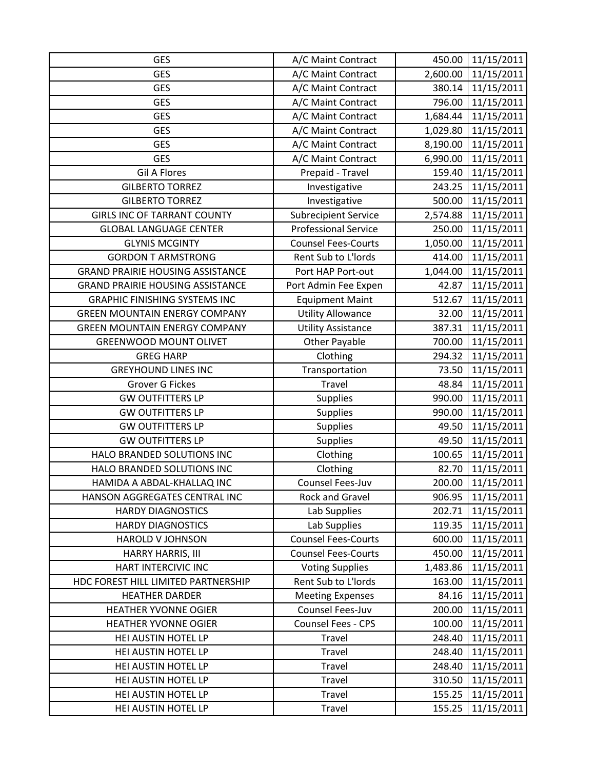| <b>GES</b>                              | A/C Maint Contract          | 450.00   | 11/15/2011 |
|-----------------------------------------|-----------------------------|----------|------------|
| <b>GES</b>                              | A/C Maint Contract          | 2,600.00 | 11/15/2011 |
| <b>GES</b>                              | A/C Maint Contract          | 380.14   | 11/15/2011 |
| <b>GES</b>                              | A/C Maint Contract          | 796.00   | 11/15/2011 |
| <b>GES</b>                              | A/C Maint Contract          | 1,684.44 | 11/15/2011 |
| <b>GES</b>                              | A/C Maint Contract          | 1,029.80 | 11/15/2011 |
| <b>GES</b>                              | A/C Maint Contract          | 8,190.00 | 11/15/2011 |
| <b>GES</b>                              | A/C Maint Contract          | 6,990.00 | 11/15/2011 |
| <b>Gil A Flores</b>                     | Prepaid - Travel            | 159.40   | 11/15/2011 |
| <b>GILBERTO TORREZ</b>                  | Investigative               | 243.25   | 11/15/2011 |
| <b>GILBERTO TORREZ</b>                  | Investigative               | 500.00   | 11/15/2011 |
| <b>GIRLS INC OF TARRANT COUNTY</b>      | <b>Subrecipient Service</b> | 2,574.88 | 11/15/2011 |
| <b>GLOBAL LANGUAGE CENTER</b>           | <b>Professional Service</b> | 250.00   | 11/15/2011 |
| <b>GLYNIS MCGINTY</b>                   | <b>Counsel Fees-Courts</b>  | 1,050.00 | 11/15/2011 |
| <b>GORDON T ARMSTRONG</b>               | Rent Sub to L'Iords         | 414.00   | 11/15/2011 |
| <b>GRAND PRAIRIE HOUSING ASSISTANCE</b> | Port HAP Port-out           | 1,044.00 | 11/15/2011 |
| <b>GRAND PRAIRIE HOUSING ASSISTANCE</b> | Port Admin Fee Expen        | 42.87    | 11/15/2011 |
| <b>GRAPHIC FINISHING SYSTEMS INC</b>    | <b>Equipment Maint</b>      | 512.67   | 11/15/2011 |
| <b>GREEN MOUNTAIN ENERGY COMPANY</b>    | <b>Utility Allowance</b>    | 32.00    | 11/15/2011 |
| <b>GREEN MOUNTAIN ENERGY COMPANY</b>    | <b>Utility Assistance</b>   | 387.31   | 11/15/2011 |
| <b>GREENWOOD MOUNT OLIVET</b>           | <b>Other Payable</b>        | 700.00   | 11/15/2011 |
| <b>GREG HARP</b>                        | Clothing                    | 294.32   | 11/15/2011 |
| <b>GREYHOUND LINES INC</b>              | Transportation              | 73.50    | 11/15/2011 |
| <b>Grover G Fickes</b>                  | Travel                      | 48.84    | 11/15/2011 |
| <b>GW OUTFITTERS LP</b>                 | <b>Supplies</b>             | 990.00   | 11/15/2011 |
| <b>GW OUTFITTERS LP</b>                 | <b>Supplies</b>             | 990.00   | 11/15/2011 |
| <b>GW OUTFITTERS LP</b>                 | <b>Supplies</b>             | 49.50    | 11/15/2011 |
| <b>GW OUTFITTERS LP</b>                 | Supplies                    | 49.50    | 11/15/2011 |
| HALO BRANDED SOLUTIONS INC              | Clothing                    | 100.65   | 11/15/2011 |
| HALO BRANDED SOLUTIONS INC              | Clothing                    | 82.70    | 11/15/2011 |
| HAMIDA A ABDAL-KHALLAQ INC              | Counsel Fees-Juv            | 200.00   | 11/15/2011 |
| HANSON AGGREGATES CENTRAL INC           | Rock and Gravel             | 906.95   | 11/15/2011 |
| <b>HARDY DIAGNOSTICS</b>                | Lab Supplies                | 202.71   | 11/15/2011 |
| <b>HARDY DIAGNOSTICS</b>                | Lab Supplies                | 119.35   | 11/15/2011 |
| HAROLD V JOHNSON                        | <b>Counsel Fees-Courts</b>  | 600.00   | 11/15/2011 |
| HARRY HARRIS, III                       | <b>Counsel Fees-Courts</b>  | 450.00   | 11/15/2011 |
| HART INTERCIVIC INC                     | <b>Voting Supplies</b>      | 1,483.86 | 11/15/2011 |
| HDC FOREST HILL LIMITED PARTNERSHIP     | Rent Sub to L'Iords         | 163.00   | 11/15/2011 |
| <b>HEATHER DARDER</b>                   | <b>Meeting Expenses</b>     | 84.16    | 11/15/2011 |
| <b>HEATHER YVONNE OGIER</b>             | Counsel Fees-Juv            | 200.00   | 11/15/2011 |
| <b>HEATHER YVONNE OGIER</b>             | <b>Counsel Fees - CPS</b>   | 100.00   | 11/15/2011 |
| HEI AUSTIN HOTEL LP                     | Travel                      | 248.40   | 11/15/2011 |
| HEI AUSTIN HOTEL LP                     | Travel                      | 248.40   | 11/15/2011 |
| HEI AUSTIN HOTEL LP                     | Travel                      | 248.40   | 11/15/2011 |
| HEI AUSTIN HOTEL LP                     | Travel                      | 310.50   | 11/15/2011 |
| HEI AUSTIN HOTEL LP                     | Travel                      | 155.25   | 11/15/2011 |
| HEI AUSTIN HOTEL LP                     | Travel                      | 155.25   | 11/15/2011 |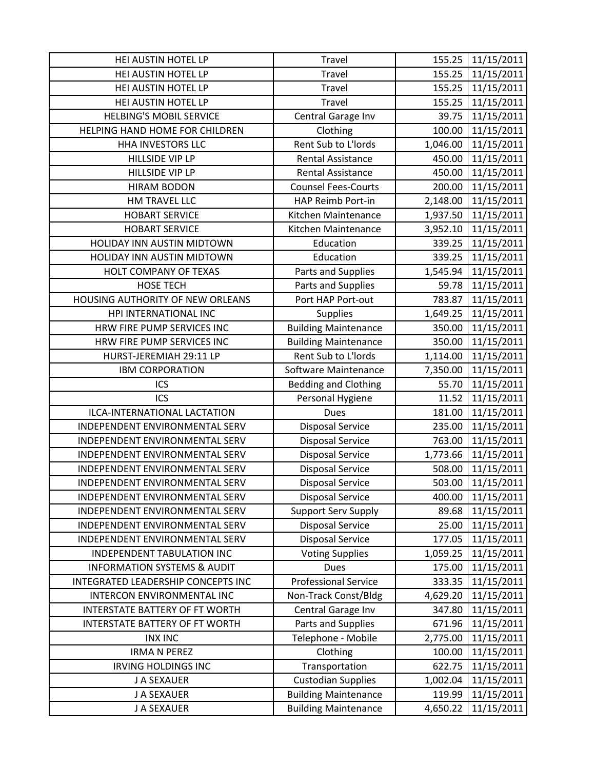| HEI AUSTIN HOTEL LP                    | Travel                      | 155.25   | 11/15/2011 |
|----------------------------------------|-----------------------------|----------|------------|
| HEI AUSTIN HOTEL LP                    | Travel                      | 155.25   | 11/15/2011 |
| HEI AUSTIN HOTEL LP                    | Travel                      | 155.25   | 11/15/2011 |
| HEI AUSTIN HOTEL LP                    | Travel                      | 155.25   | 11/15/2011 |
| <b>HELBING'S MOBIL SERVICE</b>         | Central Garage Inv          | 39.75    | 11/15/2011 |
| HELPING HAND HOME FOR CHILDREN         | Clothing                    | 100.00   | 11/15/2011 |
| <b>HHA INVESTORS LLC</b>               | Rent Sub to L'Iords         | 1,046.00 | 11/15/2011 |
| HILLSIDE VIP LP                        | <b>Rental Assistance</b>    | 450.00   | 11/15/2011 |
| HILLSIDE VIP LP                        | Rental Assistance           | 450.00   | 11/15/2011 |
| <b>HIRAM BODON</b>                     | <b>Counsel Fees-Courts</b>  | 200.00   | 11/15/2011 |
| HM TRAVEL LLC                          | HAP Reimb Port-in           | 2,148.00 | 11/15/2011 |
| <b>HOBART SERVICE</b>                  | Kitchen Maintenance         | 1,937.50 | 11/15/2011 |
| <b>HOBART SERVICE</b>                  | Kitchen Maintenance         | 3,952.10 | 11/15/2011 |
| HOLIDAY INN AUSTIN MIDTOWN             | Education                   | 339.25   | 11/15/2011 |
| HOLIDAY INN AUSTIN MIDTOWN             | Education                   | 339.25   | 11/15/2011 |
| HOLT COMPANY OF TEXAS                  | Parts and Supplies          | 1,545.94 | 11/15/2011 |
| <b>HOSE TECH</b>                       | Parts and Supplies          | 59.78    | 11/15/2011 |
| HOUSING AUTHORITY OF NEW ORLEANS       | Port HAP Port-out           | 783.87   | 11/15/2011 |
| HPI INTERNATIONAL INC                  | <b>Supplies</b>             | 1,649.25 | 11/15/2011 |
| HRW FIRE PUMP SERVICES INC             | <b>Building Maintenance</b> | 350.00   | 11/15/2011 |
| HRW FIRE PUMP SERVICES INC             | <b>Building Maintenance</b> | 350.00   | 11/15/2011 |
| HURST-JEREMIAH 29:11 LP                | Rent Sub to L'Iords         | 1,114.00 | 11/15/2011 |
| <b>IBM CORPORATION</b>                 | Software Maintenance        | 7,350.00 | 11/15/2011 |
| ICS                                    | <b>Bedding and Clothing</b> | 55.70    | 11/15/2011 |
| ICS                                    | Personal Hygiene            | 11.52    | 11/15/2011 |
| ILCA-INTERNATIONAL LACTATION           | Dues                        | 181.00   | 11/15/2011 |
| INDEPENDENT ENVIRONMENTAL SERV         | <b>Disposal Service</b>     | 235.00   | 11/15/2011 |
| INDEPENDENT ENVIRONMENTAL SERV         | <b>Disposal Service</b>     | 763.00   | 11/15/2011 |
| INDEPENDENT ENVIRONMENTAL SERV         | <b>Disposal Service</b>     | 1,773.66 | 11/15/2011 |
| INDEPENDENT ENVIRONMENTAL SERV         | <b>Disposal Service</b>     | 508.00   | 11/15/2011 |
| INDEPENDENT ENVIRONMENTAL SERV         | <b>Disposal Service</b>     | 503.00   | 11/15/2011 |
| INDEPENDENT ENVIRONMENTAL SERV         | <b>Disposal Service</b>     | 400.00   | 11/15/2011 |
| INDEPENDENT ENVIRONMENTAL SERV         | <b>Support Serv Supply</b>  | 89.68    | 11/15/2011 |
| INDEPENDENT ENVIRONMENTAL SERV         | <b>Disposal Service</b>     | 25.00    | 11/15/2011 |
| INDEPENDENT ENVIRONMENTAL SERV         | <b>Disposal Service</b>     | 177.05   | 11/15/2011 |
| INDEPENDENT TABULATION INC             | <b>Voting Supplies</b>      | 1,059.25 | 11/15/2011 |
| <b>INFORMATION SYSTEMS &amp; AUDIT</b> | <b>Dues</b>                 | 175.00   | 11/15/2011 |
| INTEGRATED LEADERSHIP CONCEPTS INC     | <b>Professional Service</b> | 333.35   | 11/15/2011 |
| INTERCON ENVIRONMENTAL INC             | Non-Track Const/Bldg        | 4,629.20 | 11/15/2011 |
| <b>INTERSTATE BATTERY OF FT WORTH</b>  | Central Garage Inv          | 347.80   | 11/15/2011 |
| <b>INTERSTATE BATTERY OF FT WORTH</b>  | Parts and Supplies          | 671.96   | 11/15/2011 |
| <b>INX INC</b>                         | Telephone - Mobile          | 2,775.00 | 11/15/2011 |
| <b>IRMA N PEREZ</b>                    | Clothing                    | 100.00   | 11/15/2011 |
| <b>IRVING HOLDINGS INC</b>             | Transportation              | 622.75   | 11/15/2011 |
| J A SEXAUER                            | <b>Custodian Supplies</b>   | 1,002.04 | 11/15/2011 |
| J A SEXAUER                            | <b>Building Maintenance</b> | 119.99   | 11/15/2011 |
| J A SEXAUER                            | <b>Building Maintenance</b> | 4,650.22 | 11/15/2011 |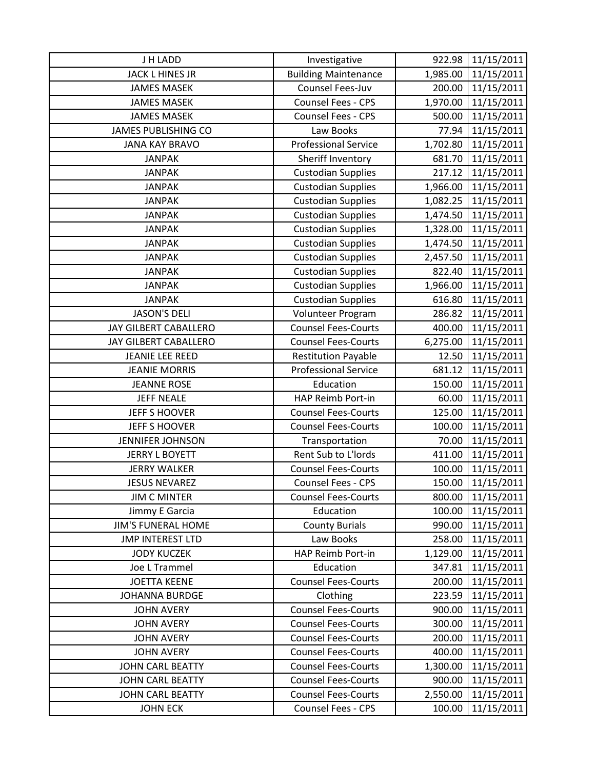| J H LADD                   | Investigative               | 922.98   | 11/15/2011 |
|----------------------------|-----------------------------|----------|------------|
| <b>JACK L HINES JR</b>     | <b>Building Maintenance</b> | 1,985.00 | 11/15/2011 |
| <b>JAMES MASEK</b>         | Counsel Fees-Juv            | 200.00   | 11/15/2011 |
| <b>JAMES MASEK</b>         | Counsel Fees - CPS          | 1,970.00 | 11/15/2011 |
| <b>JAMES MASEK</b>         | Counsel Fees - CPS          | 500.00   | 11/15/2011 |
| <b>JAMES PUBLISHING CO</b> | Law Books                   | 77.94    | 11/15/2011 |
| <b>JANA KAY BRAVO</b>      | <b>Professional Service</b> | 1,702.80 | 11/15/2011 |
| <b>JANPAK</b>              | Sheriff Inventory           | 681.70   | 11/15/2011 |
| <b>JANPAK</b>              | <b>Custodian Supplies</b>   | 217.12   | 11/15/2011 |
| <b>JANPAK</b>              | <b>Custodian Supplies</b>   | 1,966.00 | 11/15/2011 |
| <b>JANPAK</b>              | <b>Custodian Supplies</b>   | 1,082.25 | 11/15/2011 |
| <b>JANPAK</b>              | <b>Custodian Supplies</b>   | 1,474.50 | 11/15/2011 |
| <b>JANPAK</b>              | <b>Custodian Supplies</b>   | 1,328.00 | 11/15/2011 |
| <b>JANPAK</b>              | <b>Custodian Supplies</b>   | 1,474.50 | 11/15/2011 |
| <b>JANPAK</b>              | <b>Custodian Supplies</b>   | 2,457.50 | 11/15/2011 |
| <b>JANPAK</b>              | <b>Custodian Supplies</b>   | 822.40   | 11/15/2011 |
| <b>JANPAK</b>              | <b>Custodian Supplies</b>   | 1,966.00 | 11/15/2011 |
| <b>JANPAK</b>              | <b>Custodian Supplies</b>   | 616.80   | 11/15/2011 |
| <b>JASON'S DELI</b>        | Volunteer Program           | 286.82   | 11/15/2011 |
| JAY GILBERT CABALLERO      | <b>Counsel Fees-Courts</b>  | 400.00   | 11/15/2011 |
| JAY GILBERT CABALLERO      | <b>Counsel Fees-Courts</b>  | 6,275.00 | 11/15/2011 |
| <b>JEANIE LEE REED</b>     | <b>Restitution Payable</b>  | 12.50    | 11/15/2011 |
| <b>JEANIE MORRIS</b>       | <b>Professional Service</b> | 681.12   | 11/15/2011 |
| <b>JEANNE ROSE</b>         | Education                   | 150.00   | 11/15/2011 |
| <b>JEFF NEALE</b>          | HAP Reimb Port-in           | 60.00    | 11/15/2011 |
| JEFF S HOOVER              | <b>Counsel Fees-Courts</b>  | 125.00   | 11/15/2011 |
| <b>JEFF S HOOVER</b>       | <b>Counsel Fees-Courts</b>  | 100.00   | 11/15/2011 |
| <b>JENNIFER JOHNSON</b>    | Transportation              | 70.00    | 11/15/2011 |
| <b>JERRY L BOYETT</b>      | Rent Sub to L'Iords         | 411.00   | 11/15/2011 |
| <b>JERRY WALKER</b>        | <b>Counsel Fees-Courts</b>  | 100.00   | 11/15/2011 |
| <b>JESUS NEVAREZ</b>       | <b>Counsel Fees - CPS</b>   | 150.00   | 11/15/2011 |
| <b>JIM C MINTER</b>        | <b>Counsel Fees-Courts</b>  | 800.00   | 11/15/2011 |
| Jimmy E Garcia             | Education                   | 100.00   | 11/15/2011 |
| <b>JIM'S FUNERAL HOME</b>  | <b>County Burials</b>       | 990.00   | 11/15/2011 |
| <b>JMP INTEREST LTD</b>    | Law Books                   | 258.00   | 11/15/2011 |
| <b>JODY KUCZEK</b>         | HAP Reimb Port-in           | 1,129.00 | 11/15/2011 |
| Joe L Trammel              | Education                   | 347.81   | 11/15/2011 |
| <b>JOETTA KEENE</b>        | <b>Counsel Fees-Courts</b>  | 200.00   | 11/15/2011 |
| <b>JOHANNA BURDGE</b>      | Clothing                    | 223.59   | 11/15/2011 |
| <b>JOHN AVERY</b>          | <b>Counsel Fees-Courts</b>  | 900.00   | 11/15/2011 |
| <b>JOHN AVERY</b>          | <b>Counsel Fees-Courts</b>  | 300.00   | 11/15/2011 |
| <b>JOHN AVERY</b>          | <b>Counsel Fees-Courts</b>  | 200.00   | 11/15/2011 |
| <b>JOHN AVERY</b>          | <b>Counsel Fees-Courts</b>  | 400.00   | 11/15/2011 |
| <b>JOHN CARL BEATTY</b>    | <b>Counsel Fees-Courts</b>  | 1,300.00 | 11/15/2011 |
| <b>JOHN CARL BEATTY</b>    | <b>Counsel Fees-Courts</b>  | 900.00   | 11/15/2011 |
| <b>JOHN CARL BEATTY</b>    | <b>Counsel Fees-Courts</b>  | 2,550.00 | 11/15/2011 |
| <b>JOHN ECK</b>            | Counsel Fees - CPS          | 100.00   | 11/15/2011 |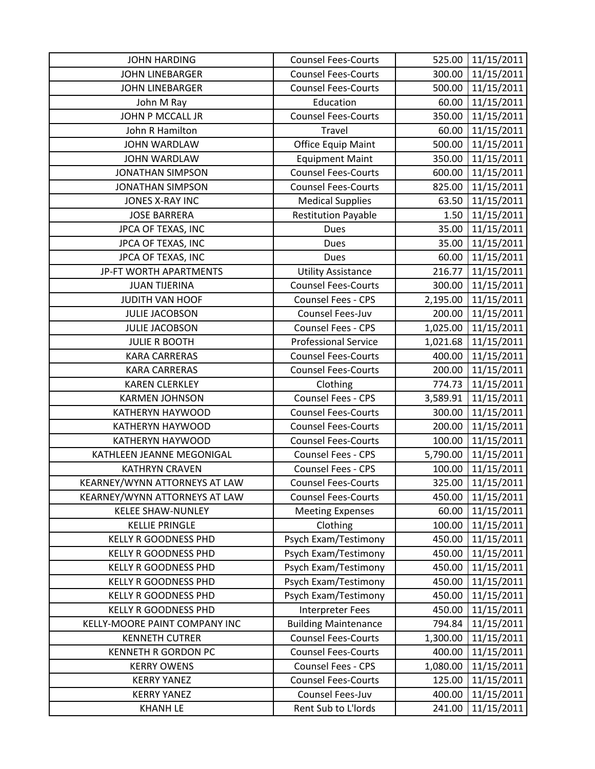| <b>JOHN HARDING</b>           | <b>Counsel Fees-Courts</b>  | 525.00   | 11/15/2011 |
|-------------------------------|-----------------------------|----------|------------|
| <b>JOHN LINEBARGER</b>        | <b>Counsel Fees-Courts</b>  | 300.00   | 11/15/2011 |
| <b>JOHN LINEBARGER</b>        | <b>Counsel Fees-Courts</b>  | 500.00   | 11/15/2011 |
| John M Ray                    | Education                   | 60.00    | 11/15/2011 |
| JOHN P MCCALL JR              | <b>Counsel Fees-Courts</b>  | 350.00   | 11/15/2011 |
| John R Hamilton               | <b>Travel</b>               | 60.00    | 11/15/2011 |
| <b>JOHN WARDLAW</b>           | <b>Office Equip Maint</b>   | 500.00   | 11/15/2011 |
| <b>JOHN WARDLAW</b>           | <b>Equipment Maint</b>      | 350.00   | 11/15/2011 |
| <b>JONATHAN SIMPSON</b>       | <b>Counsel Fees-Courts</b>  | 600.00   | 11/15/2011 |
| <b>JONATHAN SIMPSON</b>       | <b>Counsel Fees-Courts</b>  | 825.00   | 11/15/2011 |
| JONES X-RAY INC               | <b>Medical Supplies</b>     | 63.50    | 11/15/2011 |
| <b>JOSE BARRERA</b>           | <b>Restitution Payable</b>  | 1.50     | 11/15/2011 |
| JPCA OF TEXAS, INC            | Dues                        | 35.00    | 11/15/2011 |
| JPCA OF TEXAS, INC            | <b>Dues</b>                 | 35.00    | 11/15/2011 |
| JPCA OF TEXAS, INC            | Dues                        | 60.00    | 11/15/2011 |
| JP-FT WORTH APARTMENTS        | <b>Utility Assistance</b>   | 216.77   | 11/15/2011 |
| <b>JUAN TIJERINA</b>          | <b>Counsel Fees-Courts</b>  | 300.00   | 11/15/2011 |
| JUDITH VAN HOOF               | Counsel Fees - CPS          | 2,195.00 | 11/15/2011 |
| <b>JULIE JACOBSON</b>         | Counsel Fees-Juv            | 200.00   | 11/15/2011 |
| <b>JULIE JACOBSON</b>         | Counsel Fees - CPS          | 1,025.00 | 11/15/2011 |
| <b>JULIE R BOOTH</b>          | <b>Professional Service</b> | 1,021.68 | 11/15/2011 |
| <b>KARA CARRERAS</b>          | <b>Counsel Fees-Courts</b>  | 400.00   | 11/15/2011 |
| <b>KARA CARRERAS</b>          | <b>Counsel Fees-Courts</b>  | 200.00   | 11/15/2011 |
| <b>KAREN CLERKLEY</b>         | Clothing                    | 774.73   | 11/15/2011 |
| <b>KARMEN JOHNSON</b>         | <b>Counsel Fees - CPS</b>   | 3,589.91 | 11/15/2011 |
| <b>KATHERYN HAYWOOD</b>       | <b>Counsel Fees-Courts</b>  | 300.00   | 11/15/2011 |
| KATHERYN HAYWOOD              | <b>Counsel Fees-Courts</b>  | 200.00   | 11/15/2011 |
| <b>KATHERYN HAYWOOD</b>       | <b>Counsel Fees-Courts</b>  | 100.00   | 11/15/2011 |
| KATHLEEN JEANNE MEGONIGAL     | Counsel Fees - CPS          | 5,790.00 | 11/15/2011 |
| <b>KATHRYN CRAVEN</b>         | Counsel Fees - CPS          | 100.00   | 11/15/2011 |
| KEARNEY/WYNN ATTORNEYS AT LAW | <b>Counsel Fees-Courts</b>  | 325.00   | 11/15/2011 |
| KEARNEY/WYNN ATTORNEYS AT LAW | <b>Counsel Fees-Courts</b>  | 450.00   | 11/15/2011 |
| <b>KELEE SHAW-NUNLEY</b>      | <b>Meeting Expenses</b>     | 60.00    | 11/15/2011 |
| <b>KELLIE PRINGLE</b>         | Clothing                    | 100.00   | 11/15/2011 |
| <b>KELLY R GOODNESS PHD</b>   | Psych Exam/Testimony        | 450.00   | 11/15/2011 |
| <b>KELLY R GOODNESS PHD</b>   | Psych Exam/Testimony        | 450.00   | 11/15/2011 |
| <b>KELLY R GOODNESS PHD</b>   | Psych Exam/Testimony        | 450.00   | 11/15/2011 |
| <b>KELLY R GOODNESS PHD</b>   | Psych Exam/Testimony        | 450.00   | 11/15/2011 |
| <b>KELLY R GOODNESS PHD</b>   | Psych Exam/Testimony        | 450.00   | 11/15/2011 |
| <b>KELLY R GOODNESS PHD</b>   | Interpreter Fees            | 450.00   | 11/15/2011 |
| KELLY-MOORE PAINT COMPANY INC | <b>Building Maintenance</b> | 794.84   | 11/15/2011 |
| <b>KENNETH CUTRER</b>         | <b>Counsel Fees-Courts</b>  | 1,300.00 | 11/15/2011 |
| <b>KENNETH R GORDON PC</b>    | <b>Counsel Fees-Courts</b>  | 400.00   | 11/15/2011 |
| <b>KERRY OWENS</b>            | Counsel Fees - CPS          | 1,080.00 | 11/15/2011 |
| <b>KERRY YANEZ</b>            | <b>Counsel Fees-Courts</b>  | 125.00   | 11/15/2011 |
| <b>KERRY YANEZ</b>            | Counsel Fees-Juv            | 400.00   | 11/15/2011 |
| <b>KHANH LE</b>               | Rent Sub to L'Iords         | 241.00   | 11/15/2011 |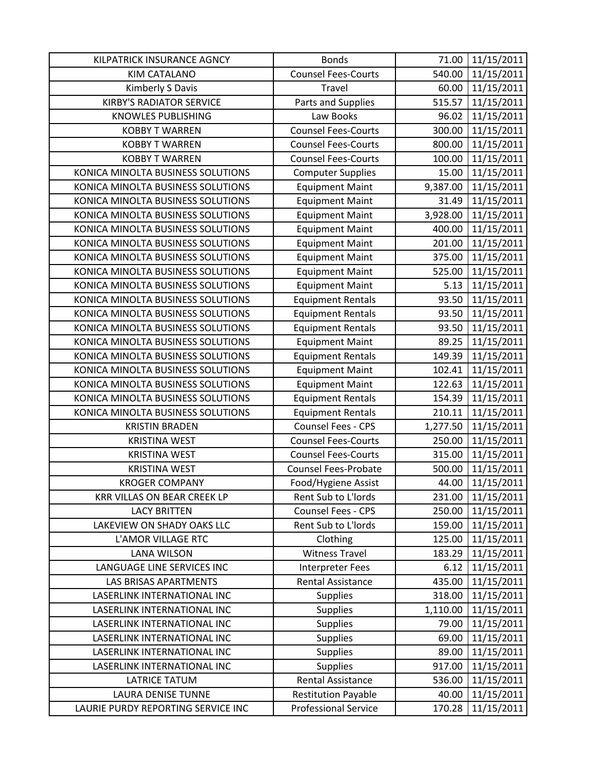| KILPATRICK INSURANCE AGNCY         | <b>Bonds</b>                | 71.00    | 11/15/2011 |
|------------------------------------|-----------------------------|----------|------------|
| <b>KIM CATALANO</b>                | <b>Counsel Fees-Courts</b>  | 540.00   | 11/15/2011 |
| Kimberly S Davis                   | Travel                      | 60.00    | 11/15/2011 |
| <b>KIRBY'S RADIATOR SERVICE</b>    | Parts and Supplies          | 515.57   | 11/15/2011 |
| <b>KNOWLES PUBLISHING</b>          | Law Books                   | 96.02    | 11/15/2011 |
| <b>KOBBY T WARREN</b>              | <b>Counsel Fees-Courts</b>  | 300.00   | 11/15/2011 |
| <b>KOBBY T WARREN</b>              | <b>Counsel Fees-Courts</b>  | 800.00   | 11/15/2011 |
| <b>KOBBY T WARREN</b>              | <b>Counsel Fees-Courts</b>  | 100.00   | 11/15/2011 |
| KONICA MINOLTA BUSINESS SOLUTIONS  | <b>Computer Supplies</b>    | 15.00    | 11/15/2011 |
| KONICA MINOLTA BUSINESS SOLUTIONS  | <b>Equipment Maint</b>      | 9,387.00 | 11/15/2011 |
| KONICA MINOLTA BUSINESS SOLUTIONS  | <b>Equipment Maint</b>      | 31.49    | 11/15/2011 |
| KONICA MINOLTA BUSINESS SOLUTIONS  | <b>Equipment Maint</b>      | 3,928.00 | 11/15/2011 |
| KONICA MINOLTA BUSINESS SOLUTIONS  | <b>Equipment Maint</b>      | 400.00   | 11/15/2011 |
| KONICA MINOLTA BUSINESS SOLUTIONS  | <b>Equipment Maint</b>      | 201.00   | 11/15/2011 |
| KONICA MINOLTA BUSINESS SOLUTIONS  | <b>Equipment Maint</b>      | 375.00   | 11/15/2011 |
| KONICA MINOLTA BUSINESS SOLUTIONS  | <b>Equipment Maint</b>      | 525.00   | 11/15/2011 |
| KONICA MINOLTA BUSINESS SOLUTIONS  | <b>Equipment Maint</b>      | 5.13     | 11/15/2011 |
| KONICA MINOLTA BUSINESS SOLUTIONS  | <b>Equipment Rentals</b>    | 93.50    | 11/15/2011 |
| KONICA MINOLTA BUSINESS SOLUTIONS  | <b>Equipment Rentals</b>    | 93.50    | 11/15/2011 |
| KONICA MINOLTA BUSINESS SOLUTIONS  | <b>Equipment Rentals</b>    | 93.50    | 11/15/2011 |
| KONICA MINOLTA BUSINESS SOLUTIONS  | <b>Equipment Maint</b>      | 89.25    | 11/15/2011 |
| KONICA MINOLTA BUSINESS SOLUTIONS  | <b>Equipment Rentals</b>    | 149.39   | 11/15/2011 |
| KONICA MINOLTA BUSINESS SOLUTIONS  | <b>Equipment Maint</b>      | 102.41   | 11/15/2011 |
| KONICA MINOLTA BUSINESS SOLUTIONS  | <b>Equipment Maint</b>      | 122.63   | 11/15/2011 |
| KONICA MINOLTA BUSINESS SOLUTIONS  | <b>Equipment Rentals</b>    | 154.39   | 11/15/2011 |
| KONICA MINOLTA BUSINESS SOLUTIONS  | <b>Equipment Rentals</b>    | 210.11   | 11/15/2011 |
| <b>KRISTIN BRADEN</b>              | Counsel Fees - CPS          | 1,277.50 | 11/15/2011 |
| <b>KRISTINA WEST</b>               | <b>Counsel Fees-Courts</b>  | 250.00   | 11/15/2011 |
| <b>KRISTINA WEST</b>               | <b>Counsel Fees-Courts</b>  | 315.00   | 11/15/2011 |
| <b>KRISTINA WEST</b>               | <b>Counsel Fees-Probate</b> | 500.00   | 11/15/2011 |
| <b>KROGER COMPANY</b>              | Food/Hygiene Assist         | 44.00    | 11/15/2011 |
| <b>KRR VILLAS ON BEAR CREEK LP</b> | Rent Sub to L'Iords         | 231.00   | 11/15/2011 |
| <b>LACY BRITTEN</b>                | Counsel Fees - CPS          | 250.00   | 11/15/2011 |
| LAKEVIEW ON SHADY OAKS LLC         | Rent Sub to L'Iords         | 159.00   | 11/15/2011 |
| L'AMOR VILLAGE RTC                 | Clothing                    | 125.00   | 11/15/2011 |
| <b>LANA WILSON</b>                 | <b>Witness Travel</b>       | 183.29   | 11/15/2011 |
| LANGUAGE LINE SERVICES INC         | <b>Interpreter Fees</b>     | 6.12     | 11/15/2011 |
| LAS BRISAS APARTMENTS              | <b>Rental Assistance</b>    | 435.00   | 11/15/2011 |
| LASERLINK INTERNATIONAL INC        | <b>Supplies</b>             | 318.00   | 11/15/2011 |
| LASERLINK INTERNATIONAL INC        | <b>Supplies</b>             | 1,110.00 | 11/15/2011 |
| LASERLINK INTERNATIONAL INC        | <b>Supplies</b>             | 79.00    | 11/15/2011 |
| LASERLINK INTERNATIONAL INC        | <b>Supplies</b>             | 69.00    | 11/15/2011 |
| LASERLINK INTERNATIONAL INC        | <b>Supplies</b>             | 89.00    | 11/15/2011 |
| LASERLINK INTERNATIONAL INC        | <b>Supplies</b>             | 917.00   | 11/15/2011 |
| <b>LATRICE TATUM</b>               | <b>Rental Assistance</b>    | 536.00   | 11/15/2011 |
| <b>LAURA DENISE TUNNE</b>          | <b>Restitution Payable</b>  | 40.00    | 11/15/2011 |
| LAURIE PURDY REPORTING SERVICE INC | <b>Professional Service</b> | 170.28   | 11/15/2011 |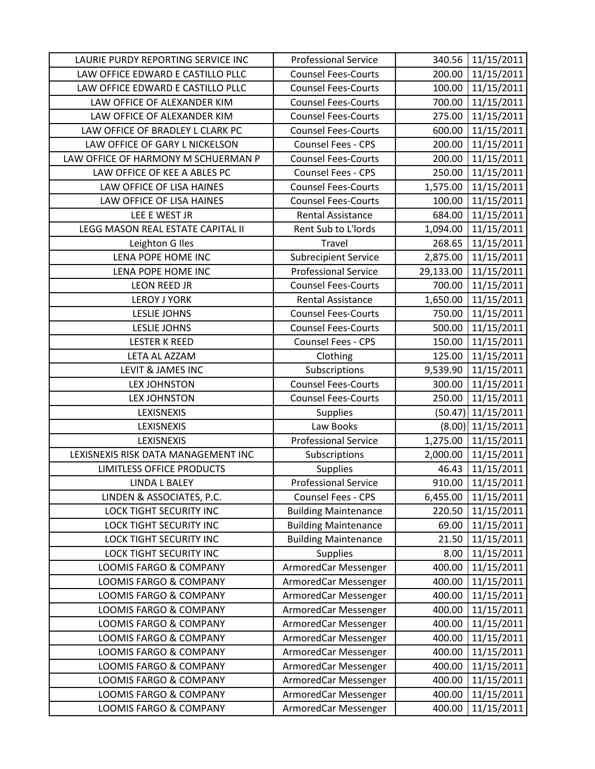| LAURIE PURDY REPORTING SERVICE INC  | <b>Professional Service</b> |           | 340.56 11/15/2011    |
|-------------------------------------|-----------------------------|-----------|----------------------|
| LAW OFFICE EDWARD E CASTILLO PLLC   | <b>Counsel Fees-Courts</b>  | 200.00    | 11/15/2011           |
| LAW OFFICE EDWARD E CASTILLO PLLC   | <b>Counsel Fees-Courts</b>  | 100.00    | 11/15/2011           |
| LAW OFFICE OF ALEXANDER KIM         | <b>Counsel Fees-Courts</b>  | 700.00    | 11/15/2011           |
| LAW OFFICE OF ALEXANDER KIM         | <b>Counsel Fees-Courts</b>  | 275.00    | 11/15/2011           |
| LAW OFFICE OF BRADLEY L CLARK PC    | <b>Counsel Fees-Courts</b>  | 600.00    | 11/15/2011           |
| LAW OFFICE OF GARY L NICKELSON      | <b>Counsel Fees - CPS</b>   | 200.00    | 11/15/2011           |
| LAW OFFICE OF HARMONY M SCHUERMAN P | <b>Counsel Fees-Courts</b>  | 200.00    | 11/15/2011           |
| LAW OFFICE OF KEE A ABLES PC        | Counsel Fees - CPS          | 250.00    | 11/15/2011           |
| LAW OFFICE OF LISA HAINES           | <b>Counsel Fees-Courts</b>  | 1,575.00  | 11/15/2011           |
| LAW OFFICE OF LISA HAINES           | <b>Counsel Fees-Courts</b>  | 100.00    | 11/15/2011           |
| LEE E WEST JR                       | <b>Rental Assistance</b>    | 684.00    | 11/15/2011           |
| LEGG MASON REAL ESTATE CAPITAL II   | Rent Sub to L'Iords         | 1,094.00  | 11/15/2011           |
| Leighton G Iles                     | Travel                      | 268.65    | 11/15/2011           |
| LENA POPE HOME INC                  | <b>Subrecipient Service</b> | 2,875.00  | 11/15/2011           |
| LENA POPE HOME INC                  | <b>Professional Service</b> | 29,133.00 | 11/15/2011           |
| LEON REED JR                        | <b>Counsel Fees-Courts</b>  | 700.00    | 11/15/2011           |
| <b>LEROY J YORK</b>                 | <b>Rental Assistance</b>    | 1,650.00  | 11/15/2011           |
| <b>LESLIE JOHNS</b>                 | <b>Counsel Fees-Courts</b>  | 750.00    | 11/15/2011           |
| <b>LESLIE JOHNS</b>                 | <b>Counsel Fees-Courts</b>  | 500.00    | 11/15/2011           |
| <b>LESTER K REED</b>                | Counsel Fees - CPS          | 150.00    | 11/15/2011           |
| LETA AL AZZAM                       | Clothing                    | 125.00    | 11/15/2011           |
| LEVIT & JAMES INC                   | Subscriptions               | 9,539.90  | 11/15/2011           |
| <b>LEX JOHNSTON</b>                 | <b>Counsel Fees-Courts</b>  | 300.00    | 11/15/2011           |
| <b>LEX JOHNSTON</b>                 | <b>Counsel Fees-Courts</b>  | 250.00    | 11/15/2011           |
| LEXISNEXIS                          | <b>Supplies</b>             |           | $(50.47)$ 11/15/2011 |
| LEXISNEXIS                          | Law Books                   |           | $(8.00)$ 11/15/2011  |
| <b>LEXISNEXIS</b>                   | <b>Professional Service</b> | 1,275.00  | 11/15/2011           |
| LEXISNEXIS RISK DATA MANAGEMENT INC | Subscriptions               | 2,000.00  | 11/15/2011           |
| <b>LIMITLESS OFFICE PRODUCTS</b>    | <b>Supplies</b>             | 46.43     | 11/15/2011           |
| <b>LINDA L BALEY</b>                | <b>Professional Service</b> | 910.00    | 11/15/2011           |
| LINDEN & ASSOCIATES, P.C.           | Counsel Fees - CPS          | 6,455.00  | 11/15/2011           |
| LOCK TIGHT SECURITY INC             | <b>Building Maintenance</b> | 220.50    | 11/15/2011           |
| <b>LOCK TIGHT SECURITY INC</b>      | <b>Building Maintenance</b> | 69.00     | 11/15/2011           |
| <b>LOCK TIGHT SECURITY INC</b>      | <b>Building Maintenance</b> | 21.50     | 11/15/2011           |
| LOCK TIGHT SECURITY INC             | <b>Supplies</b>             | 8.00      | 11/15/2011           |
| LOOMIS FARGO & COMPANY              | ArmoredCar Messenger        | 400.00    | 11/15/2011           |
| <b>LOOMIS FARGO &amp; COMPANY</b>   | ArmoredCar Messenger        | 400.00    | 11/15/2011           |
| LOOMIS FARGO & COMPANY              | ArmoredCar Messenger        | 400.00    | 11/15/2011           |
| LOOMIS FARGO & COMPANY              | ArmoredCar Messenger        | 400.00    | 11/15/2011           |
| LOOMIS FARGO & COMPANY              | ArmoredCar Messenger        | 400.00    | 11/15/2011           |
| LOOMIS FARGO & COMPANY              | ArmoredCar Messenger        | 400.00    | 11/15/2011           |
| LOOMIS FARGO & COMPANY              | ArmoredCar Messenger        | 400.00    | 11/15/2011           |
| LOOMIS FARGO & COMPANY              | ArmoredCar Messenger        | 400.00    | 11/15/2011           |
| <b>LOOMIS FARGO &amp; COMPANY</b>   | ArmoredCar Messenger        | 400.00    | 11/15/2011           |
| LOOMIS FARGO & COMPANY              | ArmoredCar Messenger        | 400.00    | 11/15/2011           |
| <b>LOOMIS FARGO &amp; COMPANY</b>   | ArmoredCar Messenger        | 400.00    | 11/15/2011           |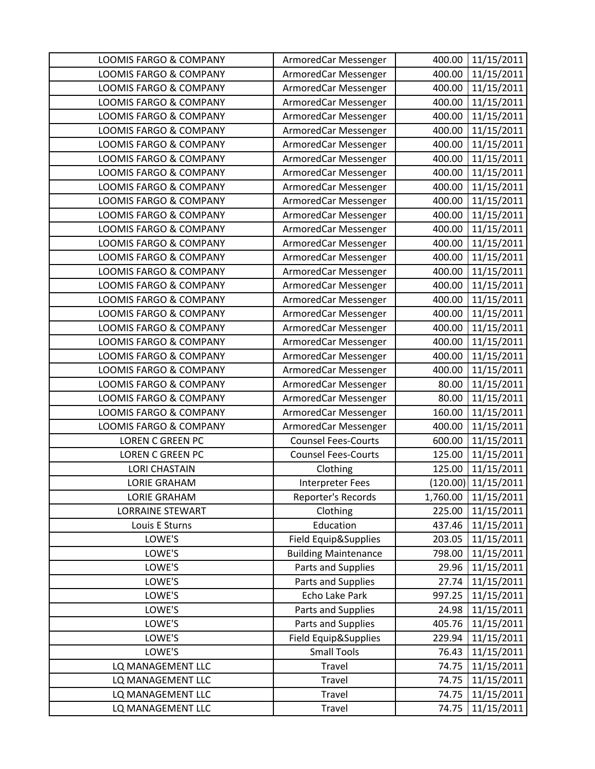| <b>LOOMIS FARGO &amp; COMPANY</b> | ArmoredCar Messenger        | 400.00   | 11/15/2011          |
|-----------------------------------|-----------------------------|----------|---------------------|
| LOOMIS FARGO & COMPANY            | ArmoredCar Messenger        | 400.00   | 11/15/2011          |
| <b>LOOMIS FARGO &amp; COMPANY</b> | ArmoredCar Messenger        | 400.00   | 11/15/2011          |
| LOOMIS FARGO & COMPANY            | ArmoredCar Messenger        | 400.00   | 11/15/2011          |
| LOOMIS FARGO & COMPANY            | ArmoredCar Messenger        | 400.00   | 11/15/2011          |
| LOOMIS FARGO & COMPANY            | ArmoredCar Messenger        | 400.00   | 11/15/2011          |
| LOOMIS FARGO & COMPANY            | ArmoredCar Messenger        | 400.00   | 11/15/2011          |
| LOOMIS FARGO & COMPANY            | ArmoredCar Messenger        | 400.00   | 11/15/2011          |
| LOOMIS FARGO & COMPANY            | ArmoredCar Messenger        | 400.00   | 11/15/2011          |
| LOOMIS FARGO & COMPANY            | ArmoredCar Messenger        | 400.00   | 11/15/2011          |
| LOOMIS FARGO & COMPANY            | ArmoredCar Messenger        | 400.00   | 11/15/2011          |
| LOOMIS FARGO & COMPANY            | ArmoredCar Messenger        | 400.00   | 11/15/2011          |
| LOOMIS FARGO & COMPANY            | ArmoredCar Messenger        | 400.00   | 11/15/2011          |
| LOOMIS FARGO & COMPANY            | ArmoredCar Messenger        | 400.00   | 11/15/2011          |
| <b>LOOMIS FARGO &amp; COMPANY</b> | ArmoredCar Messenger        | 400.00   | 11/15/2011          |
| <b>LOOMIS FARGO &amp; COMPANY</b> | ArmoredCar Messenger        | 400.00   | 11/15/2011          |
| LOOMIS FARGO & COMPANY            | ArmoredCar Messenger        | 400.00   | 11/15/2011          |
| LOOMIS FARGO & COMPANY            | ArmoredCar Messenger        | 400.00   | 11/15/2011          |
| LOOMIS FARGO & COMPANY            | ArmoredCar Messenger        | 400.00   | 11/15/2011          |
| LOOMIS FARGO & COMPANY            | ArmoredCar Messenger        | 400.00   | 11/15/2011          |
| LOOMIS FARGO & COMPANY            | ArmoredCar Messenger        | 400.00   | 11/15/2011          |
| LOOMIS FARGO & COMPANY            | ArmoredCar Messenger        | 400.00   | 11/15/2011          |
| LOOMIS FARGO & COMPANY            | ArmoredCar Messenger        | 400.00   | 11/15/2011          |
| LOOMIS FARGO & COMPANY            | ArmoredCar Messenger        | 80.00    | 11/15/2011          |
| LOOMIS FARGO & COMPANY            | ArmoredCar Messenger        | 80.00    | 11/15/2011          |
| LOOMIS FARGO & COMPANY            | ArmoredCar Messenger        | 160.00   | 11/15/2011          |
| LOOMIS FARGO & COMPANY            | ArmoredCar Messenger        | 400.00   | 11/15/2011          |
| LOREN C GREEN PC                  | <b>Counsel Fees-Courts</b>  | 600.00   | 11/15/2011          |
| <b>LOREN C GREEN PC</b>           | <b>Counsel Fees-Courts</b>  | 125.00   | 11/15/2011          |
| <b>LORI CHASTAIN</b>              | Clothing                    | 125.00   | 11/15/2011          |
| <b>LORIE GRAHAM</b>               | <b>Interpreter Fees</b>     |          | (120.00) 11/15/2011 |
| <b>LORIE GRAHAM</b>               | Reporter's Records          | 1,760.00 | 11/15/2011          |
| <b>LORRAINE STEWART</b>           | Clothing                    | 225.00   | 11/15/2011          |
| Louis E Sturns                    | Education                   | 437.46   | 11/15/2011          |
| LOWE'S                            | Field Equip&Supplies        | 203.05   | 11/15/2011          |
| LOWE'S                            | <b>Building Maintenance</b> | 798.00   | 11/15/2011          |
| LOWE'S                            | Parts and Supplies          | 29.96    | 11/15/2011          |
| LOWE'S                            | Parts and Supplies          | 27.74    | 11/15/2011          |
| LOWE'S                            | Echo Lake Park              | 997.25   | 11/15/2011          |
| LOWE'S                            | Parts and Supplies          | 24.98    | 11/15/2011          |
| LOWE'S                            | Parts and Supplies          | 405.76   | 11/15/2011          |
| LOWE'S                            | Field Equip&Supplies        | 229.94   | 11/15/2011          |
| LOWE'S                            | <b>Small Tools</b>          | 76.43    | 11/15/2011          |
| LQ MANAGEMENT LLC                 | Travel                      | 74.75    | 11/15/2011          |
| LQ MANAGEMENT LLC                 | Travel                      | 74.75    | 11/15/2011          |
| LQ MANAGEMENT LLC                 | Travel                      | 74.75    | 11/15/2011          |
| LQ MANAGEMENT LLC                 | Travel                      | 74.75    | 11/15/2011          |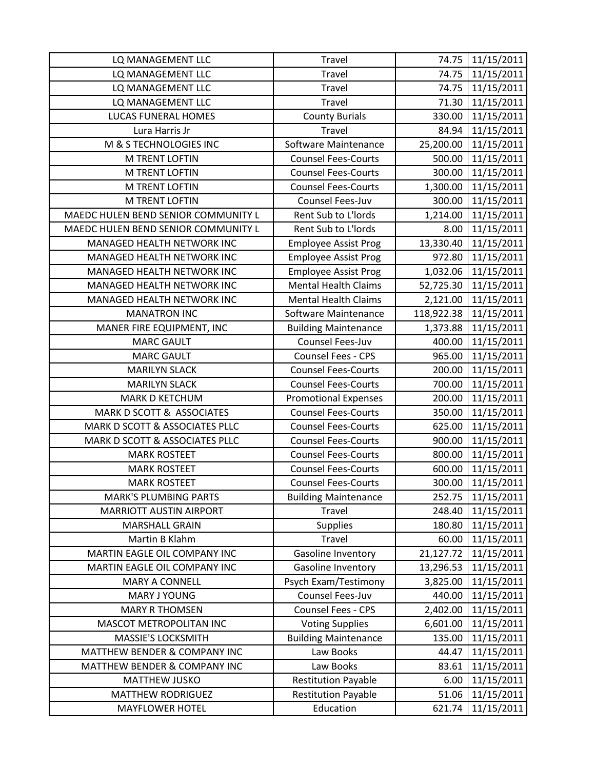| LQ MANAGEMENT LLC                   | Travel                      | 74.75      | 11/15/2011 |
|-------------------------------------|-----------------------------|------------|------------|
| LQ MANAGEMENT LLC                   | Travel                      | 74.75      | 11/15/2011 |
| LQ MANAGEMENT LLC                   | <b>Travel</b>               | 74.75      | 11/15/2011 |
| LQ MANAGEMENT LLC                   | <b>Travel</b>               | 71.30      | 11/15/2011 |
| LUCAS FUNERAL HOMES                 | <b>County Burials</b>       | 330.00     | 11/15/2011 |
| Lura Harris Jr                      | Travel                      | 84.94      | 11/15/2011 |
| M & S TECHNOLOGIES INC              | Software Maintenance        | 25,200.00  | 11/15/2011 |
| <b>M TRENT LOFTIN</b>               | <b>Counsel Fees-Courts</b>  | 500.00     | 11/15/2011 |
| <b>M TRENT LOFTIN</b>               | <b>Counsel Fees-Courts</b>  | 300.00     | 11/15/2011 |
| <b>M TRENT LOFTIN</b>               | <b>Counsel Fees-Courts</b>  | 1,300.00   | 11/15/2011 |
| M TRENT LOFTIN                      | Counsel Fees-Juv            | 300.00     | 11/15/2011 |
| MAEDC HULEN BEND SENIOR COMMUNITY L | Rent Sub to L'Iords         | 1,214.00   | 11/15/2011 |
| MAEDC HULEN BEND SENIOR COMMUNITY L | Rent Sub to L'Iords         | 8.00       | 11/15/2011 |
| MANAGED HEALTH NETWORK INC          | <b>Employee Assist Prog</b> | 13,330.40  | 11/15/2011 |
| MANAGED HEALTH NETWORK INC          | <b>Employee Assist Prog</b> | 972.80     | 11/15/2011 |
| MANAGED HEALTH NETWORK INC          | <b>Employee Assist Prog</b> | 1,032.06   | 11/15/2011 |
| MANAGED HEALTH NETWORK INC          | <b>Mental Health Claims</b> | 52,725.30  | 11/15/2011 |
| MANAGED HEALTH NETWORK INC          | <b>Mental Health Claims</b> | 2,121.00   | 11/15/2011 |
| <b>MANATRON INC</b>                 | Software Maintenance        | 118,922.38 | 11/15/2011 |
| MANER FIRE EQUIPMENT, INC           | <b>Building Maintenance</b> | 1,373.88   | 11/15/2011 |
| <b>MARC GAULT</b>                   | Counsel Fees-Juv            | 400.00     | 11/15/2011 |
| <b>MARC GAULT</b>                   | Counsel Fees - CPS          | 965.00     | 11/15/2011 |
| <b>MARILYN SLACK</b>                | <b>Counsel Fees-Courts</b>  | 200.00     | 11/15/2011 |
| <b>MARILYN SLACK</b>                | <b>Counsel Fees-Courts</b>  | 700.00     | 11/15/2011 |
| <b>MARK D KETCHUM</b>               | <b>Promotional Expenses</b> | 200.00     | 11/15/2011 |
| MARK D SCOTT & ASSOCIATES           | <b>Counsel Fees-Courts</b>  | 350.00     | 11/15/2011 |
| MARK D SCOTT & ASSOCIATES PLLC      | <b>Counsel Fees-Courts</b>  | 625.00     | 11/15/2011 |
| MARK D SCOTT & ASSOCIATES PLLC      | <b>Counsel Fees-Courts</b>  | 900.00     | 11/15/2011 |
| <b>MARK ROSTEET</b>                 | <b>Counsel Fees-Courts</b>  | 800.00     | 11/15/2011 |
| <b>MARK ROSTEET</b>                 | <b>Counsel Fees-Courts</b>  | 600.00     | 11/15/2011 |
| <b>MARK ROSTEET</b>                 | <b>Counsel Fees-Courts</b>  | 300.00     | 11/15/2011 |
| <b>MARK'S PLUMBING PARTS</b>        | <b>Building Maintenance</b> | 252.75     | 11/15/2011 |
| <b>MARRIOTT AUSTIN AIRPORT</b>      | Travel                      | 248.40     | 11/15/2011 |
| <b>MARSHALL GRAIN</b>               | <b>Supplies</b>             | 180.80     | 11/15/2011 |
| Martin B Klahm                      | Travel                      | 60.00      | 11/15/2011 |
| MARTIN EAGLE OIL COMPANY INC        | Gasoline Inventory          | 21,127.72  | 11/15/2011 |
| MARTIN EAGLE OIL COMPANY INC        | Gasoline Inventory          | 13,296.53  | 11/15/2011 |
| <b>MARY A CONNELL</b>               | Psych Exam/Testimony        | 3,825.00   | 11/15/2011 |
| MARY J YOUNG                        | Counsel Fees-Juv            | 440.00     | 11/15/2011 |
| <b>MARY R THOMSEN</b>               | Counsel Fees - CPS          | 2,402.00   | 11/15/2011 |
| MASCOT METROPOLITAN INC             | <b>Voting Supplies</b>      | 6,601.00   | 11/15/2011 |
| <b>MASSIE'S LOCKSMITH</b>           | <b>Building Maintenance</b> | 135.00     | 11/15/2011 |
| MATTHEW BENDER & COMPANY INC        | Law Books                   | 44.47      | 11/15/2011 |
| MATTHEW BENDER & COMPANY INC        | Law Books                   | 83.61      | 11/15/2011 |
| <b>MATTHEW JUSKO</b>                | <b>Restitution Payable</b>  | 6.00       | 11/15/2011 |
| <b>MATTHEW RODRIGUEZ</b>            | <b>Restitution Payable</b>  | 51.06      | 11/15/2011 |
| <b>MAYFLOWER HOTEL</b>              | Education                   | 621.74     | 11/15/2011 |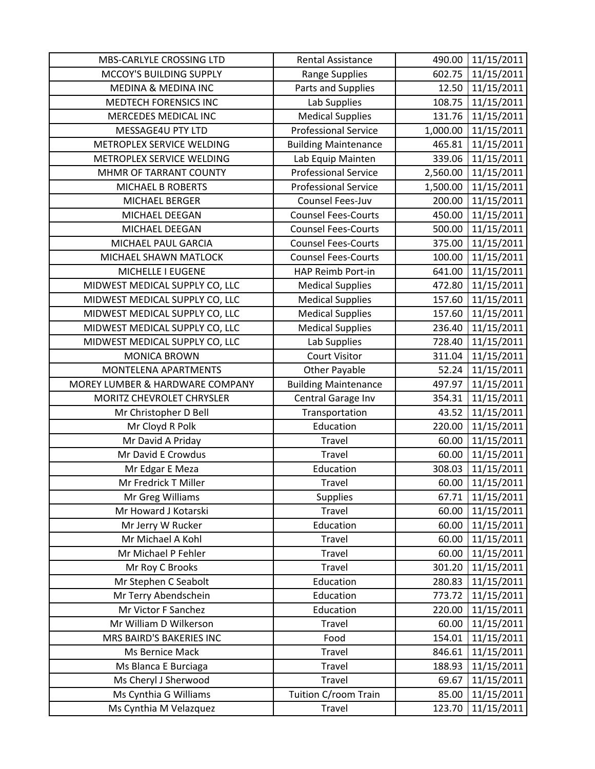| MBS-CARLYLE CROSSING LTD        | <b>Rental Assistance</b>    | 490.00   | 11/15/2011 |
|---------------------------------|-----------------------------|----------|------------|
| MCCOY'S BUILDING SUPPLY         | Range Supplies              | 602.75   | 11/15/2011 |
| MEDINA & MEDINA INC             | Parts and Supplies          | 12.50    | 11/15/2011 |
| MEDTECH FORENSICS INC           | Lab Supplies                | 108.75   | 11/15/2011 |
| MERCEDES MEDICAL INC            | <b>Medical Supplies</b>     | 131.76   | 11/15/2011 |
| MESSAGE4U PTY LTD               | <b>Professional Service</b> | 1,000.00 | 11/15/2011 |
| METROPLEX SERVICE WELDING       | <b>Building Maintenance</b> | 465.81   | 11/15/2011 |
| METROPLEX SERVICE WELDING       | Lab Equip Mainten           | 339.06   | 11/15/2011 |
| MHMR OF TARRANT COUNTY          | <b>Professional Service</b> | 2,560.00 | 11/15/2011 |
| <b>MICHAEL B ROBERTS</b>        | <b>Professional Service</b> | 1,500.00 | 11/15/2011 |
| MICHAEL BERGER                  | Counsel Fees-Juv            | 200.00   | 11/15/2011 |
| MICHAEL DEEGAN                  | <b>Counsel Fees-Courts</b>  | 450.00   | 11/15/2011 |
| MICHAEL DEEGAN                  | <b>Counsel Fees-Courts</b>  | 500.00   | 11/15/2011 |
| MICHAEL PAUL GARCIA             | <b>Counsel Fees-Courts</b>  | 375.00   | 11/15/2011 |
| MICHAEL SHAWN MATLOCK           | <b>Counsel Fees-Courts</b>  | 100.00   | 11/15/2011 |
| MICHELLE I EUGENE               | HAP Reimb Port-in           | 641.00   | 11/15/2011 |
| MIDWEST MEDICAL SUPPLY CO, LLC  | <b>Medical Supplies</b>     | 472.80   | 11/15/2011 |
| MIDWEST MEDICAL SUPPLY CO, LLC  | <b>Medical Supplies</b>     | 157.60   | 11/15/2011 |
| MIDWEST MEDICAL SUPPLY CO, LLC  | <b>Medical Supplies</b>     | 157.60   | 11/15/2011 |
| MIDWEST MEDICAL SUPPLY CO, LLC  | <b>Medical Supplies</b>     | 236.40   | 11/15/2011 |
| MIDWEST MEDICAL SUPPLY CO, LLC  | Lab Supplies                | 728.40   | 11/15/2011 |
| <b>MONICA BROWN</b>             | <b>Court Visitor</b>        | 311.04   | 11/15/2011 |
| MONTELENA APARTMENTS            | <b>Other Payable</b>        | 52.24    | 11/15/2011 |
| MOREY LUMBER & HARDWARE COMPANY | <b>Building Maintenance</b> | 497.97   | 11/15/2011 |
| MORITZ CHEVROLET CHRYSLER       | Central Garage Inv          | 354.31   | 11/15/2011 |
| Mr Christopher D Bell           | Transportation              | 43.52    | 11/15/2011 |
| Mr Cloyd R Polk                 | Education                   | 220.00   | 11/15/2011 |
| Mr David A Priday               | Travel                      | 60.00    | 11/15/2011 |
| Mr David E Crowdus              | Travel                      | 60.00    | 11/15/2011 |
| Mr Edgar E Meza                 | Education                   | 308.03   | 11/15/2011 |
| Mr Fredrick T Miller            | Travel                      | 60.00    | 11/15/2011 |
| Mr Greg Williams                | Supplies                    | 67.71    | 11/15/2011 |
| Mr Howard J Kotarski            | Travel                      | 60.00    | 11/15/2011 |
| Mr Jerry W Rucker               | Education                   | 60.00    | 11/15/2011 |
| Mr Michael A Kohl               | Travel                      | 60.00    | 11/15/2011 |
| Mr Michael P Fehler             | Travel                      | 60.00    | 11/15/2011 |
| Mr Roy C Brooks                 | Travel                      | 301.20   | 11/15/2011 |
| Mr Stephen C Seabolt            | Education                   | 280.83   | 11/15/2011 |
| Mr Terry Abendschein            | Education                   | 773.72   | 11/15/2011 |
| Mr Victor F Sanchez             | Education                   | 220.00   | 11/15/2011 |
| Mr William D Wilkerson          | Travel                      | 60.00    | 11/15/2011 |
| MRS BAIRD'S BAKERIES INC        | Food                        | 154.01   | 11/15/2011 |
| Ms Bernice Mack                 | <b>Travel</b>               | 846.61   | 11/15/2011 |
| Ms Blanca E Burciaga            | Travel                      | 188.93   | 11/15/2011 |
| Ms Cheryl J Sherwood            | <b>Travel</b>               | 69.67    | 11/15/2011 |
| Ms Cynthia G Williams           | Tuition C/room Train        | 85.00    | 11/15/2011 |
| Ms Cynthia M Velazquez          | Travel                      | 123.70   | 11/15/2011 |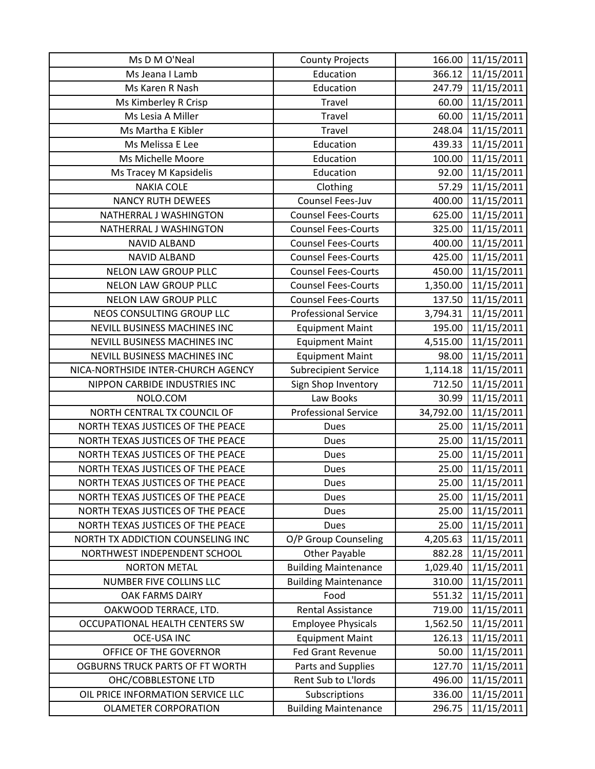| Ms D M O'Neal                      | <b>County Projects</b>      | 166.00    | 11/15/2011 |
|------------------------------------|-----------------------------|-----------|------------|
| Ms Jeana I Lamb                    | Education                   | 366.12    | 11/15/2011 |
| Ms Karen R Nash                    | Education                   | 247.79    | 11/15/2011 |
| Ms Kimberley R Crisp               | Travel                      | 60.00     | 11/15/2011 |
| Ms Lesia A Miller                  | Travel                      | 60.00     | 11/15/2011 |
| Ms Martha E Kibler                 | Travel                      | 248.04    | 11/15/2011 |
| Ms Melissa E Lee                   | Education                   | 439.33    | 11/15/2011 |
| Ms Michelle Moore                  | Education                   | 100.00    | 11/15/2011 |
| Ms Tracey M Kapsidelis             | Education                   | 92.00     | 11/15/2011 |
| <b>NAKIA COLE</b>                  | Clothing                    | 57.29     | 11/15/2011 |
| <b>NANCY RUTH DEWEES</b>           | Counsel Fees-Juv            | 400.00    | 11/15/2011 |
| NATHERRAL J WASHINGTON             | <b>Counsel Fees-Courts</b>  | 625.00    | 11/15/2011 |
| NATHERRAL J WASHINGTON             | <b>Counsel Fees-Courts</b>  | 325.00    | 11/15/2011 |
| <b>NAVID ALBAND</b>                | <b>Counsel Fees-Courts</b>  | 400.00    | 11/15/2011 |
| <b>NAVID ALBAND</b>                | <b>Counsel Fees-Courts</b>  | 425.00    | 11/15/2011 |
| <b>NELON LAW GROUP PLLC</b>        | <b>Counsel Fees-Courts</b>  | 450.00    | 11/15/2011 |
| NELON LAW GROUP PLLC               | <b>Counsel Fees-Courts</b>  | 1,350.00  | 11/15/2011 |
| <b>NELON LAW GROUP PLLC</b>        | <b>Counsel Fees-Courts</b>  | 137.50    | 11/15/2011 |
| NEOS CONSULTING GROUP LLC          | <b>Professional Service</b> | 3,794.31  | 11/15/2011 |
| NEVILL BUSINESS MACHINES INC       | <b>Equipment Maint</b>      | 195.00    | 11/15/2011 |
| NEVILL BUSINESS MACHINES INC       | <b>Equipment Maint</b>      | 4,515.00  | 11/15/2011 |
| NEVILL BUSINESS MACHINES INC       | <b>Equipment Maint</b>      | 98.00     | 11/15/2011 |
| NICA-NORTHSIDE INTER-CHURCH AGENCY | <b>Subrecipient Service</b> | 1,114.18  | 11/15/2011 |
| NIPPON CARBIDE INDUSTRIES INC      | Sign Shop Inventory         | 712.50    | 11/15/2011 |
| NOLO.COM                           | Law Books                   | 30.99     | 11/15/2011 |
| NORTH CENTRAL TX COUNCIL OF        | <b>Professional Service</b> | 34,792.00 | 11/15/2011 |
| NORTH TEXAS JUSTICES OF THE PEACE  | <b>Dues</b>                 | 25.00     | 11/15/2011 |
| NORTH TEXAS JUSTICES OF THE PEACE  | Dues                        | 25.00     | 11/15/2011 |
| NORTH TEXAS JUSTICES OF THE PEACE  | <b>Dues</b>                 | 25.00     | 11/15/2011 |
| NORTH TEXAS JUSTICES OF THE PEACE  | <b>Dues</b>                 | 25.00     | 11/15/2011 |
| NORTH TEXAS JUSTICES OF THE PEACE  | <b>Dues</b>                 | 25.00     | 11/15/2011 |
| NORTH TEXAS JUSTICES OF THE PEACE  | Dues                        | 25.00     | 11/15/2011 |
| NORTH TEXAS JUSTICES OF THE PEACE  | Dues                        | 25.00     | 11/15/2011 |
| NORTH TEXAS JUSTICES OF THE PEACE  | Dues                        | 25.00     | 11/15/2011 |
| NORTH TX ADDICTION COUNSELING INC  | O/P Group Counseling        | 4,205.63  | 11/15/2011 |
| NORTHWEST INDEPENDENT SCHOOL       | <b>Other Payable</b>        | 882.28    | 11/15/2011 |
| <b>NORTON METAL</b>                | <b>Building Maintenance</b> | 1,029.40  | 11/15/2011 |
| <b>NUMBER FIVE COLLINS LLC</b>     | <b>Building Maintenance</b> | 310.00    | 11/15/2011 |
| OAK FARMS DAIRY                    | Food                        | 551.32    | 11/15/2011 |
| OAKWOOD TERRACE, LTD.              | <b>Rental Assistance</b>    | 719.00    | 11/15/2011 |
| OCCUPATIONAL HEALTH CENTERS SW     | <b>Employee Physicals</b>   | 1,562.50  | 11/15/2011 |
| <b>OCE-USA INC</b>                 | <b>Equipment Maint</b>      | 126.13    | 11/15/2011 |
| OFFICE OF THE GOVERNOR             | <b>Fed Grant Revenue</b>    | 50.00     | 11/15/2011 |
| OGBURNS TRUCK PARTS OF FT WORTH    | Parts and Supplies          | 127.70    | 11/15/2011 |
| OHC/COBBLESTONE LTD                | Rent Sub to L'Iords         | 496.00    | 11/15/2011 |
| OIL PRICE INFORMATION SERVICE LLC  | Subscriptions               | 336.00    | 11/15/2011 |
| <b>OLAMETER CORPORATION</b>        | <b>Building Maintenance</b> | 296.75    | 11/15/2011 |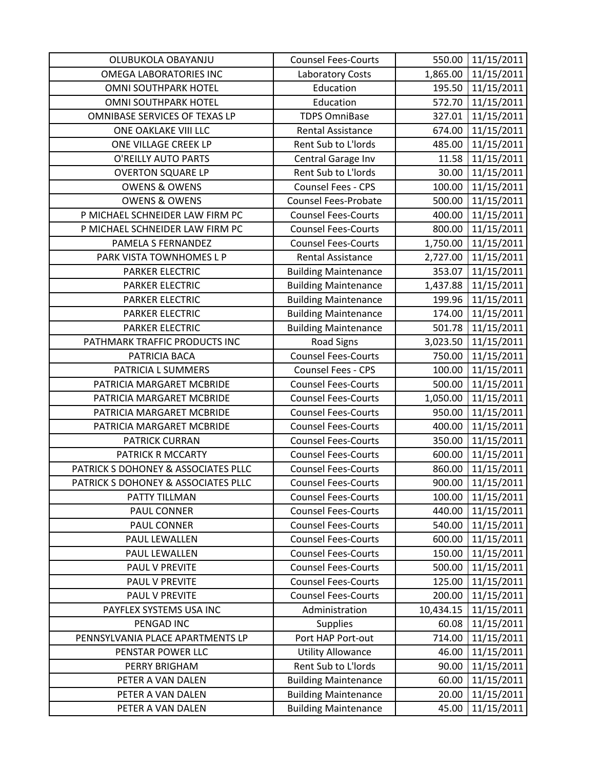| OLUBUKOLA OBAYANJU                  | <b>Counsel Fees-Courts</b>  | 550.00    | 11/15/2011 |
|-------------------------------------|-----------------------------|-----------|------------|
| <b>OMEGA LABORATORIES INC</b>       | <b>Laboratory Costs</b>     | 1,865.00  | 11/15/2011 |
| OMNI SOUTHPARK HOTEL                | Education                   | 195.50    | 11/15/2011 |
| <b>OMNI SOUTHPARK HOTEL</b>         | Education                   | 572.70    | 11/15/2011 |
| OMNIBASE SERVICES OF TEXAS LP       | <b>TDPS OmniBase</b>        | 327.01    | 11/15/2011 |
| ONE OAKLAKE VIII LLC                | <b>Rental Assistance</b>    | 674.00    | 11/15/2011 |
| ONE VILLAGE CREEK LP                | Rent Sub to L'Iords         | 485.00    | 11/15/2011 |
| <b>O'REILLY AUTO PARTS</b>          | Central Garage Inv          | 11.58     | 11/15/2011 |
| <b>OVERTON SQUARE LP</b>            | Rent Sub to L'Iords         | 30.00     | 11/15/2011 |
| <b>OWENS &amp; OWENS</b>            | <b>Counsel Fees - CPS</b>   | 100.00    | 11/15/2011 |
| <b>OWENS &amp; OWENS</b>            | <b>Counsel Fees-Probate</b> | 500.00    | 11/15/2011 |
| P MICHAEL SCHNEIDER LAW FIRM PC     | <b>Counsel Fees-Courts</b>  | 400.00    | 11/15/2011 |
| P MICHAEL SCHNEIDER LAW FIRM PC     | <b>Counsel Fees-Courts</b>  | 800.00    | 11/15/2011 |
| PAMELA S FERNANDEZ                  | <b>Counsel Fees-Courts</b>  | 1,750.00  | 11/15/2011 |
| PARK VISTA TOWNHOMES L P            | <b>Rental Assistance</b>    | 2,727.00  | 11/15/2011 |
| <b>PARKER ELECTRIC</b>              | <b>Building Maintenance</b> | 353.07    | 11/15/2011 |
| <b>PARKER ELECTRIC</b>              | <b>Building Maintenance</b> | 1,437.88  | 11/15/2011 |
| <b>PARKER ELECTRIC</b>              | <b>Building Maintenance</b> | 199.96    | 11/15/2011 |
| <b>PARKER ELECTRIC</b>              | <b>Building Maintenance</b> | 174.00    | 11/15/2011 |
| PARKER ELECTRIC                     | <b>Building Maintenance</b> | 501.78    | 11/15/2011 |
| PATHMARK TRAFFIC PRODUCTS INC       | <b>Road Signs</b>           | 3,023.50  | 11/15/2011 |
| PATRICIA BACA                       | <b>Counsel Fees-Courts</b>  | 750.00    | 11/15/2011 |
| PATRICIA L SUMMERS                  | Counsel Fees - CPS          | 100.00    | 11/15/2011 |
| PATRICIA MARGARET MCBRIDE           | <b>Counsel Fees-Courts</b>  | 500.00    | 11/15/2011 |
| PATRICIA MARGARET MCBRIDE           | <b>Counsel Fees-Courts</b>  | 1,050.00  | 11/15/2011 |
| PATRICIA MARGARET MCBRIDE           | <b>Counsel Fees-Courts</b>  | 950.00    | 11/15/2011 |
| PATRICIA MARGARET MCBRIDE           | <b>Counsel Fees-Courts</b>  | 400.00    | 11/15/2011 |
| PATRICK CURRAN                      | <b>Counsel Fees-Courts</b>  | 350.00    | 11/15/2011 |
| PATRICK R MCCARTY                   | <b>Counsel Fees-Courts</b>  | 600.00    | 11/15/2011 |
| PATRICK S DOHONEY & ASSOCIATES PLLC | <b>Counsel Fees-Courts</b>  | 860.00    | 11/15/2011 |
| PATRICK S DOHONEY & ASSOCIATES PLLC | <b>Counsel Fees-Courts</b>  | 900.00    | 11/15/2011 |
| PATTY TILLMAN                       | <b>Counsel Fees-Courts</b>  | 100.00    | 11/15/2011 |
| PAUL CONNER                         | <b>Counsel Fees-Courts</b>  | 440.00    | 11/15/2011 |
| PAUL CONNER                         | <b>Counsel Fees-Courts</b>  | 540.00    | 11/15/2011 |
| PAUL LEWALLEN                       | <b>Counsel Fees-Courts</b>  | 600.00    | 11/15/2011 |
| PAUL LEWALLEN                       | <b>Counsel Fees-Courts</b>  | 150.00    | 11/15/2011 |
| PAUL V PREVITE                      | <b>Counsel Fees-Courts</b>  | 500.00    | 11/15/2011 |
| PAUL V PREVITE                      | <b>Counsel Fees-Courts</b>  | 125.00    | 11/15/2011 |
| <b>PAUL V PREVITE</b>               | <b>Counsel Fees-Courts</b>  | 200.00    | 11/15/2011 |
| PAYFLEX SYSTEMS USA INC             | Administration              | 10,434.15 | 11/15/2011 |
| PENGAD INC                          | <b>Supplies</b>             | 60.08     | 11/15/2011 |
| PENNSYLVANIA PLACE APARTMENTS LP    | Port HAP Port-out           | 714.00    | 11/15/2011 |
| PENSTAR POWER LLC                   | <b>Utility Allowance</b>    | 46.00     | 11/15/2011 |
| PERRY BRIGHAM                       | Rent Sub to L'Iords         | 90.00     | 11/15/2011 |
| PETER A VAN DALEN                   | <b>Building Maintenance</b> | 60.00     | 11/15/2011 |
| PETER A VAN DALEN                   | <b>Building Maintenance</b> | 20.00     | 11/15/2011 |
| PETER A VAN DALEN                   | <b>Building Maintenance</b> | 45.00     | 11/15/2011 |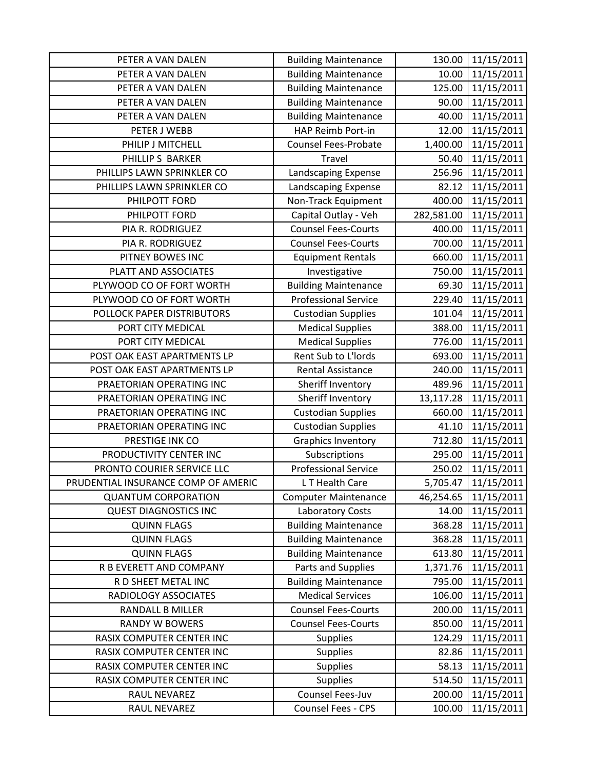| PETER A VAN DALEN                   | <b>Building Maintenance</b> | 130.00     | 11/15/2011 |
|-------------------------------------|-----------------------------|------------|------------|
| PETER A VAN DALEN                   | <b>Building Maintenance</b> | 10.00      | 11/15/2011 |
| PETER A VAN DALEN                   | <b>Building Maintenance</b> | 125.00     | 11/15/2011 |
| PETER A VAN DALEN                   | <b>Building Maintenance</b> | 90.00      | 11/15/2011 |
| PETER A VAN DALEN                   | <b>Building Maintenance</b> | 40.00      | 11/15/2011 |
| PETER J WEBB                        | HAP Reimb Port-in           | 12.00      | 11/15/2011 |
| PHILIP J MITCHELL                   | <b>Counsel Fees-Probate</b> | 1,400.00   | 11/15/2011 |
| PHILLIP S BARKER                    | Travel                      | 50.40      | 11/15/2011 |
| PHILLIPS LAWN SPRINKLER CO          | Landscaping Expense         | 256.96     | 11/15/2011 |
| PHILLIPS LAWN SPRINKLER CO          | Landscaping Expense         | 82.12      | 11/15/2011 |
| PHILPOTT FORD                       | Non-Track Equipment         | 400.00     | 11/15/2011 |
| PHILPOTT FORD                       | Capital Outlay - Veh        | 282,581.00 | 11/15/2011 |
| PIA R. RODRIGUEZ                    | <b>Counsel Fees-Courts</b>  | 400.00     | 11/15/2011 |
| PIA R. RODRIGUEZ                    | <b>Counsel Fees-Courts</b>  | 700.00     | 11/15/2011 |
| PITNEY BOWES INC                    | <b>Equipment Rentals</b>    | 660.00     | 11/15/2011 |
| PLATT AND ASSOCIATES                | Investigative               | 750.00     | 11/15/2011 |
| PLYWOOD CO OF FORT WORTH            | <b>Building Maintenance</b> | 69.30      | 11/15/2011 |
| PLYWOOD CO OF FORT WORTH            | <b>Professional Service</b> | 229.40     | 11/15/2011 |
| POLLOCK PAPER DISTRIBUTORS          | <b>Custodian Supplies</b>   | 101.04     | 11/15/2011 |
| PORT CITY MEDICAL                   | <b>Medical Supplies</b>     | 388.00     | 11/15/2011 |
| PORT CITY MEDICAL                   | <b>Medical Supplies</b>     | 776.00     | 11/15/2011 |
| POST OAK EAST APARTMENTS LP         | Rent Sub to L'Iords         | 693.00     | 11/15/2011 |
| POST OAK EAST APARTMENTS LP         | <b>Rental Assistance</b>    | 240.00     | 11/15/2011 |
| PRAETORIAN OPERATING INC            | Sheriff Inventory           | 489.96     | 11/15/2011 |
| PRAETORIAN OPERATING INC            | Sheriff Inventory           | 13,117.28  | 11/15/2011 |
| PRAETORIAN OPERATING INC            | <b>Custodian Supplies</b>   | 660.00     | 11/15/2011 |
| PRAETORIAN OPERATING INC            | <b>Custodian Supplies</b>   | 41.10      | 11/15/2011 |
| PRESTIGE INK CO                     | <b>Graphics Inventory</b>   | 712.80     | 11/15/2011 |
| PRODUCTIVITY CENTER INC             | Subscriptions               | 295.00     | 11/15/2011 |
| PRONTO COURIER SERVICE LLC          | <b>Professional Service</b> | 250.02     | 11/15/2011 |
| PRUDENTIAL INSURANCE COMP OF AMERIC | LT Health Care              | 5,705.47   | 11/15/2011 |
| <b>QUANTUM CORPORATION</b>          | <b>Computer Maintenance</b> | 46,254.65  | 11/15/2011 |
| <b>QUEST DIAGNOSTICS INC</b>        | Laboratory Costs            | 14.00      | 11/15/2011 |
| <b>QUINN FLAGS</b>                  | <b>Building Maintenance</b> | 368.28     | 11/15/2011 |
| <b>QUINN FLAGS</b>                  | <b>Building Maintenance</b> | 368.28     | 11/15/2011 |
| <b>QUINN FLAGS</b>                  | <b>Building Maintenance</b> | 613.80     | 11/15/2011 |
| R B EVERETT AND COMPANY             | Parts and Supplies          | 1,371.76   | 11/15/2011 |
| R D SHEET METAL INC                 | <b>Building Maintenance</b> | 795.00     | 11/15/2011 |
| RADIOLOGY ASSOCIATES                | <b>Medical Services</b>     | 106.00     | 11/15/2011 |
| <b>RANDALL B MILLER</b>             | <b>Counsel Fees-Courts</b>  | 200.00     | 11/15/2011 |
| <b>RANDY W BOWERS</b>               | <b>Counsel Fees-Courts</b>  | 850.00     | 11/15/2011 |
| RASIX COMPUTER CENTER INC           | <b>Supplies</b>             | 124.29     | 11/15/2011 |
| RASIX COMPUTER CENTER INC           | <b>Supplies</b>             | 82.86      | 11/15/2011 |
| RASIX COMPUTER CENTER INC           | <b>Supplies</b>             | 58.13      | 11/15/2011 |
| RASIX COMPUTER CENTER INC           | <b>Supplies</b>             | 514.50     | 11/15/2011 |
| RAUL NEVAREZ                        | Counsel Fees-Juv            | 200.00     | 11/15/2011 |
| RAUL NEVAREZ                        | Counsel Fees - CPS          | 100.00     | 11/15/2011 |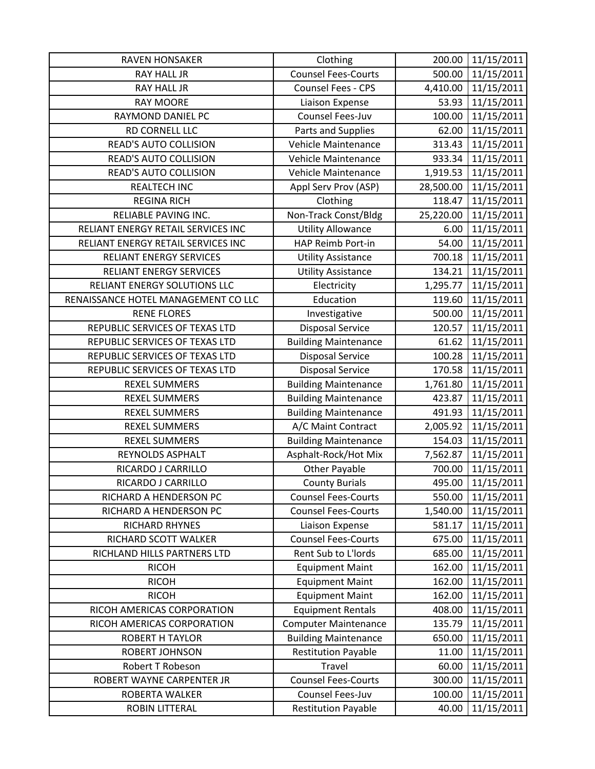| <b>RAVEN HONSAKER</b>               | Clothing                    | 200.00    | 11/15/2011 |
|-------------------------------------|-----------------------------|-----------|------------|
| <b>RAY HALL JR</b>                  | <b>Counsel Fees-Courts</b>  | 500.00    | 11/15/2011 |
| <b>RAY HALL JR</b>                  | Counsel Fees - CPS          | 4,410.00  | 11/15/2011 |
| <b>RAY MOORE</b>                    | Liaison Expense             | 53.93     | 11/15/2011 |
| RAYMOND DANIEL PC                   | Counsel Fees-Juv            | 100.00    | 11/15/2011 |
| RD CORNELL LLC                      | Parts and Supplies          | 62.00     | 11/15/2011 |
| <b>READ'S AUTO COLLISION</b>        | Vehicle Maintenance         | 313.43    | 11/15/2011 |
| <b>READ'S AUTO COLLISION</b>        | Vehicle Maintenance         | 933.34    | 11/15/2011 |
| READ'S AUTO COLLISION               | Vehicle Maintenance         | 1,919.53  | 11/15/2011 |
| <b>REALTECH INC</b>                 | Appl Serv Prov (ASP)        | 28,500.00 | 11/15/2011 |
| <b>REGINA RICH</b>                  | Clothing                    | 118.47    | 11/15/2011 |
| RELIABLE PAVING INC.                | Non-Track Const/Bldg        | 25,220.00 | 11/15/2011 |
| RELIANT ENERGY RETAIL SERVICES INC  | <b>Utility Allowance</b>    | 6.00      | 11/15/2011 |
| RELIANT ENERGY RETAIL SERVICES INC  | HAP Reimb Port-in           | 54.00     | 11/15/2011 |
| RELIANT ENERGY SERVICES             | <b>Utility Assistance</b>   | 700.18    | 11/15/2011 |
| RELIANT ENERGY SERVICES             | <b>Utility Assistance</b>   | 134.21    | 11/15/2011 |
| RELIANT ENERGY SOLUTIONS LLC        | Electricity                 | 1,295.77  | 11/15/2011 |
| RENAISSANCE HOTEL MANAGEMENT CO LLC | Education                   | 119.60    | 11/15/2011 |
| <b>RENE FLORES</b>                  | Investigative               | 500.00    | 11/15/2011 |
| REPUBLIC SERVICES OF TEXAS LTD      | <b>Disposal Service</b>     | 120.57    | 11/15/2011 |
| REPUBLIC SERVICES OF TEXAS LTD      | <b>Building Maintenance</b> | 61.62     | 11/15/2011 |
| REPUBLIC SERVICES OF TEXAS LTD      | <b>Disposal Service</b>     | 100.28    | 11/15/2011 |
| REPUBLIC SERVICES OF TEXAS LTD      | <b>Disposal Service</b>     | 170.58    | 11/15/2011 |
| <b>REXEL SUMMERS</b>                | <b>Building Maintenance</b> | 1,761.80  | 11/15/2011 |
| <b>REXEL SUMMERS</b>                | <b>Building Maintenance</b> | 423.87    | 11/15/2011 |
| <b>REXEL SUMMERS</b>                | <b>Building Maintenance</b> | 491.93    | 11/15/2011 |
| <b>REXEL SUMMERS</b>                | A/C Maint Contract          | 2,005.92  | 11/15/2011 |
| <b>REXEL SUMMERS</b>                | <b>Building Maintenance</b> | 154.03    | 11/15/2011 |
| REYNOLDS ASPHALT                    | Asphalt-Rock/Hot Mix        | 7,562.87  | 11/15/2011 |
| RICARDO J CARRILLO                  | <b>Other Payable</b>        | 700.00    | 11/15/2011 |
| RICARDO J CARRILLO                  | <b>County Burials</b>       | 495.00    | 11/15/2011 |
| RICHARD A HENDERSON PC              | <b>Counsel Fees-Courts</b>  | 550.00    | 11/15/2011 |
| RICHARD A HENDERSON PC              | <b>Counsel Fees-Courts</b>  | 1,540.00  | 11/15/2011 |
| <b>RICHARD RHYNES</b>               | <b>Liaison Expense</b>      | 581.17    | 11/15/2011 |
| RICHARD SCOTT WALKER                | <b>Counsel Fees-Courts</b>  | 675.00    | 11/15/2011 |
| RICHLAND HILLS PARTNERS LTD         | Rent Sub to L'Iords         | 685.00    | 11/15/2011 |
| <b>RICOH</b>                        | <b>Equipment Maint</b>      | 162.00    | 11/15/2011 |
| <b>RICOH</b>                        | <b>Equipment Maint</b>      | 162.00    | 11/15/2011 |
| <b>RICOH</b>                        | <b>Equipment Maint</b>      | 162.00    | 11/15/2011 |
| RICOH AMERICAS CORPORATION          | <b>Equipment Rentals</b>    | 408.00    | 11/15/2011 |
| RICOH AMERICAS CORPORATION          | <b>Computer Maintenance</b> | 135.79    | 11/15/2011 |
| <b>ROBERT H TAYLOR</b>              | <b>Building Maintenance</b> | 650.00    | 11/15/2011 |
| <b>ROBERT JOHNSON</b>               | <b>Restitution Payable</b>  | 11.00     | 11/15/2011 |
| Robert T Robeson                    | Travel                      | 60.00     | 11/15/2011 |
| ROBERT WAYNE CARPENTER JR           | <b>Counsel Fees-Courts</b>  | 300.00    | 11/15/2011 |
| ROBERTA WALKER                      | Counsel Fees-Juv            | 100.00    | 11/15/2011 |
| ROBIN LITTERAL                      | <b>Restitution Payable</b>  | 40.00     | 11/15/2011 |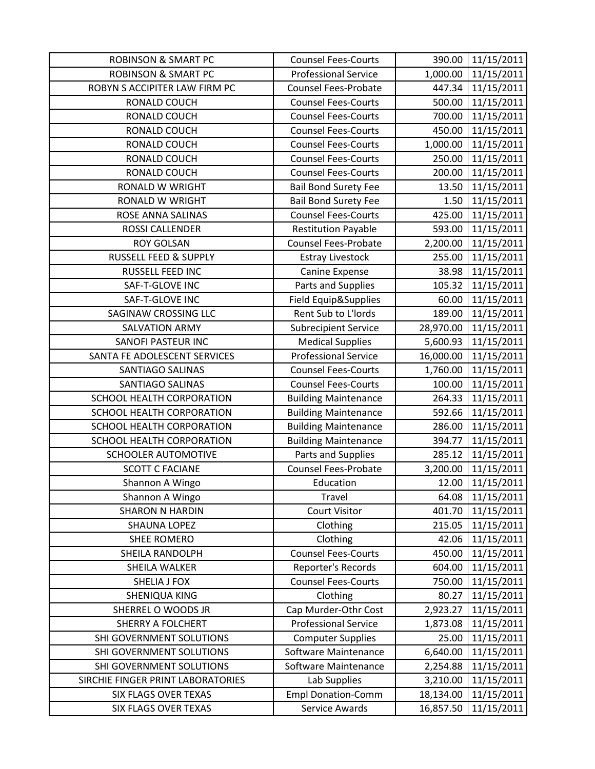| <b>ROBINSON &amp; SMART PC</b>    | <b>Counsel Fees-Courts</b>  | 390.00    | 11/15/2011 |
|-----------------------------------|-----------------------------|-----------|------------|
| <b>ROBINSON &amp; SMART PC</b>    | <b>Professional Service</b> | 1,000.00  | 11/15/2011 |
| ROBYN S ACCIPITER LAW FIRM PC     | <b>Counsel Fees-Probate</b> | 447.34    | 11/15/2011 |
| RONALD COUCH                      | <b>Counsel Fees-Courts</b>  | 500.00    | 11/15/2011 |
| RONALD COUCH                      | <b>Counsel Fees-Courts</b>  | 700.00    | 11/15/2011 |
| RONALD COUCH                      | <b>Counsel Fees-Courts</b>  | 450.00    | 11/15/2011 |
| RONALD COUCH                      | <b>Counsel Fees-Courts</b>  | 1,000.00  | 11/15/2011 |
| RONALD COUCH                      | <b>Counsel Fees-Courts</b>  | 250.00    | 11/15/2011 |
| RONALD COUCH                      | <b>Counsel Fees-Courts</b>  | 200.00    | 11/15/2011 |
| <b>RONALD W WRIGHT</b>            | <b>Bail Bond Surety Fee</b> | 13.50     | 11/15/2011 |
| <b>RONALD W WRIGHT</b>            | <b>Bail Bond Surety Fee</b> | 1.50      | 11/15/2011 |
| ROSE ANNA SALINAS                 | <b>Counsel Fees-Courts</b>  | 425.00    | 11/15/2011 |
| ROSSI CALLENDER                   | <b>Restitution Payable</b>  | 593.00    | 11/15/2011 |
| <b>ROY GOLSAN</b>                 | <b>Counsel Fees-Probate</b> | 2,200.00  | 11/15/2011 |
| <b>RUSSELL FEED &amp; SUPPLY</b>  | <b>Estray Livestock</b>     | 255.00    | 11/15/2011 |
| RUSSELL FEED INC                  | Canine Expense              | 38.98     | 11/15/2011 |
| SAF-T-GLOVE INC                   | Parts and Supplies          | 105.32    | 11/15/2011 |
| SAF-T-GLOVE INC                   | Field Equip&Supplies        | 60.00     | 11/15/2011 |
| SAGINAW CROSSING LLC              | Rent Sub to L'Iords         | 189.00    | 11/15/2011 |
| <b>SALVATION ARMY</b>             | <b>Subrecipient Service</b> | 28,970.00 | 11/15/2011 |
| SANOFI PASTEUR INC                | <b>Medical Supplies</b>     | 5,600.93  | 11/15/2011 |
| SANTA FE ADOLESCENT SERVICES      | <b>Professional Service</b> | 16,000.00 | 11/15/2011 |
| SANTIAGO SALINAS                  | <b>Counsel Fees-Courts</b>  | 1,760.00  | 11/15/2011 |
| SANTIAGO SALINAS                  | <b>Counsel Fees-Courts</b>  | 100.00    | 11/15/2011 |
| SCHOOL HEALTH CORPORATION         | <b>Building Maintenance</b> | 264.33    | 11/15/2011 |
| SCHOOL HEALTH CORPORATION         | <b>Building Maintenance</b> | 592.66    | 11/15/2011 |
| SCHOOL HEALTH CORPORATION         | <b>Building Maintenance</b> | 286.00    | 11/15/2011 |
| SCHOOL HEALTH CORPORATION         | <b>Building Maintenance</b> | 394.77    | 11/15/2011 |
| SCHOOLER AUTOMOTIVE               | Parts and Supplies          | 285.12    | 11/15/2011 |
| <b>SCOTT C FACIANE</b>            | <b>Counsel Fees-Probate</b> | 3,200.00  | 11/15/2011 |
| Shannon A Wingo                   | Education                   | 12.00     | 11/15/2011 |
| Shannon A Wingo                   | Travel                      | 64.08     | 11/15/2011 |
| <b>SHARON N HARDIN</b>            | <b>Court Visitor</b>        | 401.70    | 11/15/2011 |
| <b>SHAUNA LOPEZ</b>               | Clothing                    | 215.05    | 11/15/2011 |
| <b>SHEE ROMERO</b>                | Clothing                    | 42.06     | 11/15/2011 |
| <b>SHEILA RANDOLPH</b>            | <b>Counsel Fees-Courts</b>  | 450.00    | 11/15/2011 |
| SHEILA WALKER                     | Reporter's Records          | 604.00    | 11/15/2011 |
| SHELIA J FOX                      | <b>Counsel Fees-Courts</b>  | 750.00    | 11/15/2011 |
| SHENIQUA KING                     | Clothing                    | 80.27     | 11/15/2011 |
| SHERREL O WOODS JR                | Cap Murder-Othr Cost        | 2,923.27  | 11/15/2011 |
| <b>SHERRY A FOLCHERT</b>          | <b>Professional Service</b> | 1,873.08  | 11/15/2011 |
| SHI GOVERNMENT SOLUTIONS          | <b>Computer Supplies</b>    | 25.00     | 11/15/2011 |
| SHI GOVERNMENT SOLUTIONS          | Software Maintenance        | 6,640.00  | 11/15/2011 |
| SHI GOVERNMENT SOLUTIONS          | Software Maintenance        | 2,254.88  | 11/15/2011 |
| SIRCHIE FINGER PRINT LABORATORIES | Lab Supplies                | 3,210.00  | 11/15/2011 |
| <b>SIX FLAGS OVER TEXAS</b>       | <b>Empl Donation-Comm</b>   | 18,134.00 | 11/15/2011 |
| SIX FLAGS OVER TEXAS              | Service Awards              | 16,857.50 | 11/15/2011 |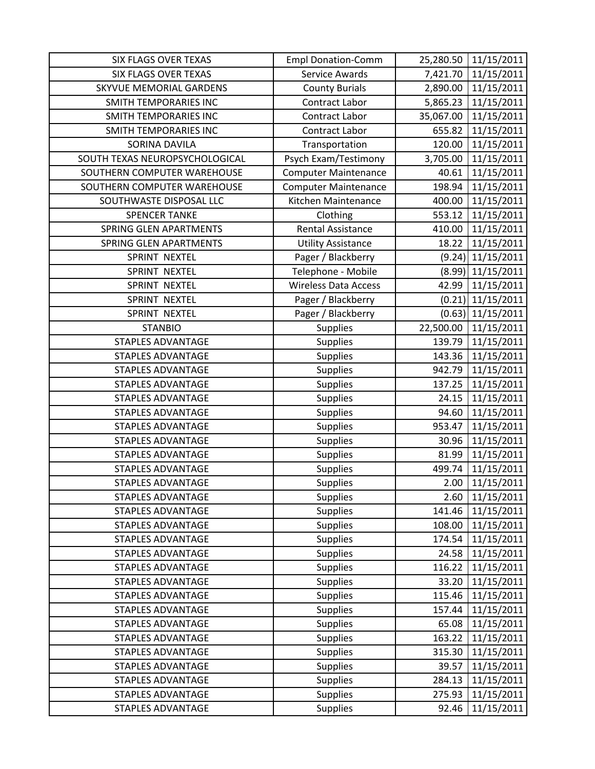| <b>SIX FLAGS OVER TEXAS</b>    | <b>Empl Donation-Comm</b>   | 25,280.50 | 11/15/2011          |
|--------------------------------|-----------------------------|-----------|---------------------|
| <b>SIX FLAGS OVER TEXAS</b>    | Service Awards              | 7,421.70  | 11/15/2011          |
| <b>SKYVUE MEMORIAL GARDENS</b> | <b>County Burials</b>       | 2,890.00  | 11/15/2011          |
| SMITH TEMPORARIES INC          | Contract Labor              | 5,865.23  | 11/15/2011          |
| SMITH TEMPORARIES INC          | Contract Labor              | 35,067.00 | 11/15/2011          |
| SMITH TEMPORARIES INC          | Contract Labor              | 655.82    | 11/15/2011          |
| SORINA DAVILA                  | Transportation              | 120.00    | 11/15/2011          |
| SOUTH TEXAS NEUROPSYCHOLOGICAL | Psych Exam/Testimony        | 3,705.00  | 11/15/2011          |
| SOUTHERN COMPUTER WAREHOUSE    | <b>Computer Maintenance</b> | 40.61     | 11/15/2011          |
| SOUTHERN COMPUTER WAREHOUSE    | <b>Computer Maintenance</b> | 198.94    | 11/15/2011          |
| SOUTHWASTE DISPOSAL LLC        | Kitchen Maintenance         | 400.00    | 11/15/2011          |
| <b>SPENCER TANKE</b>           | Clothing                    | 553.12    | 11/15/2011          |
| SPRING GLEN APARTMENTS         | <b>Rental Assistance</b>    | 410.00    | 11/15/2011          |
| SPRING GLEN APARTMENTS         | <b>Utility Assistance</b>   | 18.22     | 11/15/2011          |
| SPRINT NEXTEL                  | Pager / Blackberry          |           | $(9.24)$ 11/15/2011 |
| SPRINT NEXTEL                  | Telephone - Mobile          |           | $(8.99)$ 11/15/2011 |
| SPRINT NEXTEL                  | <b>Wireless Data Access</b> | 42.99     | 11/15/2011          |
| SPRINT NEXTEL                  | Pager / Blackberry          |           | $(0.21)$ 11/15/2011 |
| SPRINT NEXTEL                  | Pager / Blackberry          |           | $(0.63)$ 11/15/2011 |
| <b>STANBIO</b>                 | <b>Supplies</b>             | 22,500.00 | 11/15/2011          |
| <b>STAPLES ADVANTAGE</b>       | <b>Supplies</b>             | 139.79    | 11/15/2011          |
| <b>STAPLES ADVANTAGE</b>       | <b>Supplies</b>             | 143.36    | 11/15/2011          |
| <b>STAPLES ADVANTAGE</b>       | <b>Supplies</b>             | 942.79    | 11/15/2011          |
| <b>STAPLES ADVANTAGE</b>       | <b>Supplies</b>             | 137.25    | 11/15/2011          |
| <b>STAPLES ADVANTAGE</b>       | <b>Supplies</b>             | 24.15     | 11/15/2011          |
| <b>STAPLES ADVANTAGE</b>       | <b>Supplies</b>             | 94.60     | 11/15/2011          |
| <b>STAPLES ADVANTAGE</b>       | <b>Supplies</b>             | 953.47    | 11/15/2011          |
| <b>STAPLES ADVANTAGE</b>       | <b>Supplies</b>             | 30.96     | 11/15/2011          |
| <b>STAPLES ADVANTAGE</b>       | <b>Supplies</b>             | 81.99     | 11/15/2011          |
| <b>STAPLES ADVANTAGE</b>       | Supplies                    | 499.74    | 11/15/2011          |
| <b>STAPLES ADVANTAGE</b>       | <b>Supplies</b>             | 2.00      | 11/15/2011          |
| <b>STAPLES ADVANTAGE</b>       | <b>Supplies</b>             | 2.60      | 11/15/2011          |
| <b>STAPLES ADVANTAGE</b>       | <b>Supplies</b>             | 141.46    | 11/15/2011          |
| <b>STAPLES ADVANTAGE</b>       | <b>Supplies</b>             | 108.00    | 11/15/2011          |
| <b>STAPLES ADVANTAGE</b>       | <b>Supplies</b>             | 174.54    | 11/15/2011          |
| <b>STAPLES ADVANTAGE</b>       | <b>Supplies</b>             | 24.58     | 11/15/2011          |
| <b>STAPLES ADVANTAGE</b>       | <b>Supplies</b>             | 116.22    | 11/15/2011          |
| <b>STAPLES ADVANTAGE</b>       | <b>Supplies</b>             | 33.20     | 11/15/2011          |
| <b>STAPLES ADVANTAGE</b>       | <b>Supplies</b>             | 115.46    | 11/15/2011          |
| <b>STAPLES ADVANTAGE</b>       | <b>Supplies</b>             | 157.44    | 11/15/2011          |
| <b>STAPLES ADVANTAGE</b>       | <b>Supplies</b>             | 65.08     | 11/15/2011          |
| <b>STAPLES ADVANTAGE</b>       | <b>Supplies</b>             | 163.22    | 11/15/2011          |
| <b>STAPLES ADVANTAGE</b>       | <b>Supplies</b>             | 315.30    | 11/15/2011          |
| <b>STAPLES ADVANTAGE</b>       | <b>Supplies</b>             | 39.57     | 11/15/2011          |
| <b>STAPLES ADVANTAGE</b>       | <b>Supplies</b>             | 284.13    | 11/15/2011          |
| <b>STAPLES ADVANTAGE</b>       | <b>Supplies</b>             | 275.93    | 11/15/2011          |
| <b>STAPLES ADVANTAGE</b>       | <b>Supplies</b>             | 92.46     | 11/15/2011          |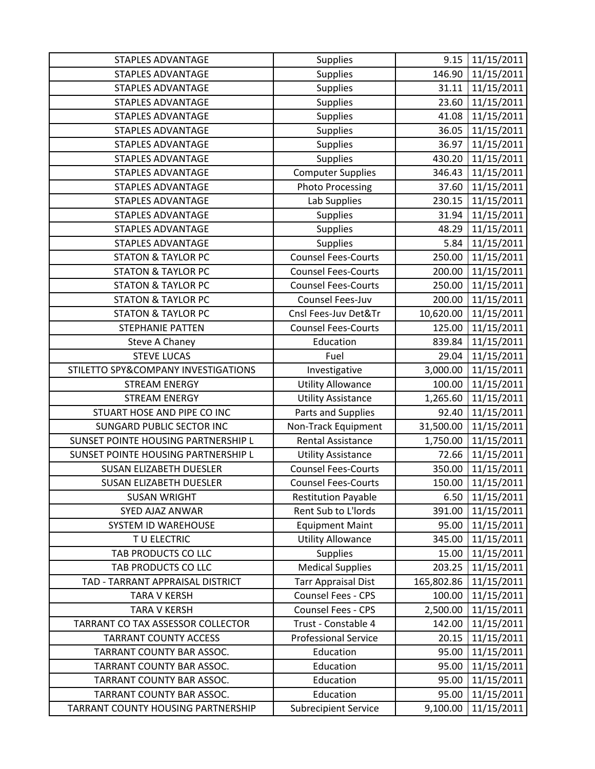| <b>STAPLES ADVANTAGE</b>            | <b>Supplies</b>             | 9.15       | 11/15/2011 |
|-------------------------------------|-----------------------------|------------|------------|
| <b>STAPLES ADVANTAGE</b>            | Supplies                    | 146.90     | 11/15/2011 |
| <b>STAPLES ADVANTAGE</b>            | Supplies                    | 31.11      | 11/15/2011 |
| <b>STAPLES ADVANTAGE</b>            | <b>Supplies</b>             | 23.60      | 11/15/2011 |
| <b>STAPLES ADVANTAGE</b>            | <b>Supplies</b>             | 41.08      | 11/15/2011 |
| <b>STAPLES ADVANTAGE</b>            | Supplies                    | 36.05      | 11/15/2011 |
| <b>STAPLES ADVANTAGE</b>            | Supplies                    | 36.97      | 11/15/2011 |
| <b>STAPLES ADVANTAGE</b>            | Supplies                    | 430.20     | 11/15/2011 |
| <b>STAPLES ADVANTAGE</b>            | <b>Computer Supplies</b>    | 346.43     | 11/15/2011 |
| <b>STAPLES ADVANTAGE</b>            | <b>Photo Processing</b>     | 37.60      | 11/15/2011 |
| <b>STAPLES ADVANTAGE</b>            | Lab Supplies                | 230.15     | 11/15/2011 |
| <b>STAPLES ADVANTAGE</b>            | Supplies                    | 31.94      | 11/15/2011 |
| <b>STAPLES ADVANTAGE</b>            | Supplies                    | 48.29      | 11/15/2011 |
| <b>STAPLES ADVANTAGE</b>            | <b>Supplies</b>             | 5.84       | 11/15/2011 |
| <b>STATON &amp; TAYLOR PC</b>       | <b>Counsel Fees-Courts</b>  | 250.00     | 11/15/2011 |
| <b>STATON &amp; TAYLOR PC</b>       | <b>Counsel Fees-Courts</b>  | 200.00     | 11/15/2011 |
| <b>STATON &amp; TAYLOR PC</b>       | <b>Counsel Fees-Courts</b>  | 250.00     | 11/15/2011 |
| <b>STATON &amp; TAYLOR PC</b>       | Counsel Fees-Juv            | 200.00     | 11/15/2011 |
| <b>STATON &amp; TAYLOR PC</b>       | Cnsl Fees-Juv Det&Tr        | 10,620.00  | 11/15/2011 |
| STEPHANIE PATTEN                    | <b>Counsel Fees-Courts</b>  | 125.00     | 11/15/2011 |
| <b>Steve A Chaney</b>               | Education                   | 839.84     | 11/15/2011 |
| <b>STEVE LUCAS</b>                  | Fuel                        | 29.04      | 11/15/2011 |
| STILETTO SPY&COMPANY INVESTIGATIONS | Investigative               | 3,000.00   | 11/15/2011 |
| <b>STREAM ENERGY</b>                | <b>Utility Allowance</b>    | 100.00     | 11/15/2011 |
| <b>STREAM ENERGY</b>                | <b>Utility Assistance</b>   | 1,265.60   | 11/15/2011 |
| STUART HOSE AND PIPE CO INC         | Parts and Supplies          | 92.40      | 11/15/2011 |
| SUNGARD PUBLIC SECTOR INC           | Non-Track Equipment         | 31,500.00  | 11/15/2011 |
| SUNSET POINTE HOUSING PARTNERSHIP L | <b>Rental Assistance</b>    | 1,750.00   | 11/15/2011 |
| SUNSET POINTE HOUSING PARTNERSHIP L | <b>Utility Assistance</b>   | 72.66      | 11/15/2011 |
| <b>SUSAN ELIZABETH DUESLER</b>      | <b>Counsel Fees-Courts</b>  | 350.00     | 11/15/2011 |
| <b>SUSAN ELIZABETH DUESLER</b>      | <b>Counsel Fees-Courts</b>  | 150.00     | 11/15/2011 |
| <b>SUSAN WRIGHT</b>                 | <b>Restitution Payable</b>  | 6.50       | 11/15/2011 |
| SYED AJAZ ANWAR                     | Rent Sub to L'Iords         | 391.00     | 11/15/2011 |
| SYSTEM ID WAREHOUSE                 | <b>Equipment Maint</b>      | 95.00      | 11/15/2011 |
| TU ELECTRIC                         | <b>Utility Allowance</b>    | 345.00     | 11/15/2011 |
| TAB PRODUCTS CO LLC                 | <b>Supplies</b>             | 15.00      | 11/15/2011 |
| TAB PRODUCTS CO LLC                 | <b>Medical Supplies</b>     | 203.25     | 11/15/2011 |
| TAD - TARRANT APPRAISAL DISTRICT    | <b>Tarr Appraisal Dist</b>  | 165,802.86 | 11/15/2011 |
| <b>TARA V KERSH</b>                 | Counsel Fees - CPS          | 100.00     | 11/15/2011 |
| <b>TARA V KERSH</b>                 | <b>Counsel Fees - CPS</b>   | 2,500.00   | 11/15/2011 |
| TARRANT CO TAX ASSESSOR COLLECTOR   | Trust - Constable 4         | 142.00     | 11/15/2011 |
| <b>TARRANT COUNTY ACCESS</b>        | <b>Professional Service</b> | 20.15      | 11/15/2011 |
| TARRANT COUNTY BAR ASSOC.           | Education                   | 95.00      | 11/15/2011 |
| TARRANT COUNTY BAR ASSOC.           | Education                   | 95.00      | 11/15/2011 |
| TARRANT COUNTY BAR ASSOC.           | Education                   | 95.00      | 11/15/2011 |
| TARRANT COUNTY BAR ASSOC.           | Education                   | 95.00      | 11/15/2011 |
| TARRANT COUNTY HOUSING PARTNERSHIP  | <b>Subrecipient Service</b> | 9,100.00   | 11/15/2011 |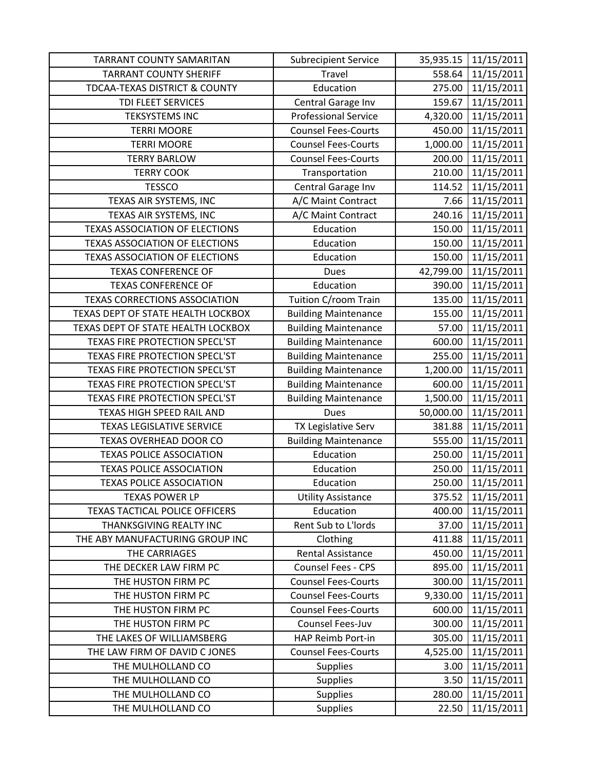| <b>TARRANT COUNTY SAMARITAN</b>          | <b>Subrecipient Service</b> | 35,935.15 | 11/15/2011 |
|------------------------------------------|-----------------------------|-----------|------------|
| <b>TARRANT COUNTY SHERIFF</b>            | Travel                      | 558.64    | 11/15/2011 |
| <b>TDCAA-TEXAS DISTRICT &amp; COUNTY</b> | Education                   | 275.00    | 11/15/2011 |
| TDI FLEET SERVICES                       | Central Garage Inv          | 159.67    | 11/15/2011 |
| <b>TEKSYSTEMS INC</b>                    | <b>Professional Service</b> | 4,320.00  | 11/15/2011 |
| <b>TERRI MOORE</b>                       | <b>Counsel Fees-Courts</b>  | 450.00    | 11/15/2011 |
| <b>TERRI MOORE</b>                       | <b>Counsel Fees-Courts</b>  | 1,000.00  | 11/15/2011 |
| <b>TERRY BARLOW</b>                      | <b>Counsel Fees-Courts</b>  | 200.00    | 11/15/2011 |
| <b>TERRY COOK</b>                        | Transportation              | 210.00    | 11/15/2011 |
| <b>TESSCO</b>                            | Central Garage Inv          | 114.52    | 11/15/2011 |
| TEXAS AIR SYSTEMS, INC                   | A/C Maint Contract          | 7.66      | 11/15/2011 |
| TEXAS AIR SYSTEMS, INC                   | A/C Maint Contract          | 240.16    | 11/15/2011 |
| <b>TEXAS ASSOCIATION OF ELECTIONS</b>    | Education                   | 150.00    | 11/15/2011 |
| <b>TEXAS ASSOCIATION OF ELECTIONS</b>    | Education                   | 150.00    | 11/15/2011 |
| <b>TEXAS ASSOCIATION OF ELECTIONS</b>    | Education                   | 150.00    | 11/15/2011 |
| <b>TEXAS CONFERENCE OF</b>               | <b>Dues</b>                 | 42,799.00 | 11/15/2011 |
| <b>TEXAS CONFERENCE OF</b>               | Education                   | 390.00    | 11/15/2011 |
| <b>TEXAS CORRECTIONS ASSOCIATION</b>     | Tuition C/room Train        | 135.00    | 11/15/2011 |
| TEXAS DEPT OF STATE HEALTH LOCKBOX       | <b>Building Maintenance</b> | 155.00    | 11/15/2011 |
| TEXAS DEPT OF STATE HEALTH LOCKBOX       | <b>Building Maintenance</b> | 57.00     | 11/15/2011 |
| TEXAS FIRE PROTECTION SPECL'ST           | <b>Building Maintenance</b> | 600.00    | 11/15/2011 |
| TEXAS FIRE PROTECTION SPECL'ST           | <b>Building Maintenance</b> | 255.00    | 11/15/2011 |
| TEXAS FIRE PROTECTION SPECL'ST           | <b>Building Maintenance</b> | 1,200.00  | 11/15/2011 |
| TEXAS FIRE PROTECTION SPECL'ST           | <b>Building Maintenance</b> | 600.00    | 11/15/2011 |
| TEXAS FIRE PROTECTION SPECL'ST           | <b>Building Maintenance</b> | 1,500.00  | 11/15/2011 |
| TEXAS HIGH SPEED RAIL AND                | Dues                        | 50,000.00 | 11/15/2011 |
| <b>TEXAS LEGISLATIVE SERVICE</b>         | TX Legislative Serv         | 381.88    | 11/15/2011 |
| TEXAS OVERHEAD DOOR CO                   | <b>Building Maintenance</b> | 555.00    | 11/15/2011 |
| <b>TEXAS POLICE ASSOCIATION</b>          | Education                   | 250.00    | 11/15/2011 |
| <b>TEXAS POLICE ASSOCIATION</b>          | Education                   | 250.00    | 11/15/2011 |
| <b>TEXAS POLICE ASSOCIATION</b>          | Education                   | 250.00    | 11/15/2011 |
| <b>TEXAS POWER LP</b>                    | <b>Utility Assistance</b>   | 375.52    | 11/15/2011 |
| <b>TEXAS TACTICAL POLICE OFFICERS</b>    | Education                   | 400.00    | 11/15/2011 |
| THANKSGIVING REALTY INC                  | Rent Sub to L'Iords         | 37.00     | 11/15/2011 |
| THE ABY MANUFACTURING GROUP INC          | Clothing                    | 411.88    | 11/15/2011 |
| THE CARRIAGES                            | <b>Rental Assistance</b>    | 450.00    | 11/15/2011 |
| THE DECKER LAW FIRM PC                   | Counsel Fees - CPS          | 895.00    | 11/15/2011 |
| THE HUSTON FIRM PC                       | <b>Counsel Fees-Courts</b>  | 300.00    | 11/15/2011 |
| THE HUSTON FIRM PC                       | <b>Counsel Fees-Courts</b>  | 9,330.00  | 11/15/2011 |
| THE HUSTON FIRM PC                       | <b>Counsel Fees-Courts</b>  | 600.00    | 11/15/2011 |
| THE HUSTON FIRM PC                       | Counsel Fees-Juv            | 300.00    | 11/15/2011 |
| THE LAKES OF WILLIAMSBERG                | HAP Reimb Port-in           | 305.00    | 11/15/2011 |
| THE LAW FIRM OF DAVID C JONES            | <b>Counsel Fees-Courts</b>  | 4,525.00  | 11/15/2011 |
| THE MULHOLLAND CO                        | <b>Supplies</b>             | 3.00      | 11/15/2011 |
| THE MULHOLLAND CO                        | <b>Supplies</b>             | 3.50      | 11/15/2011 |
| THE MULHOLLAND CO                        | <b>Supplies</b>             | 280.00    | 11/15/2011 |
| THE MULHOLLAND CO                        | <b>Supplies</b>             | 22.50     | 11/15/2011 |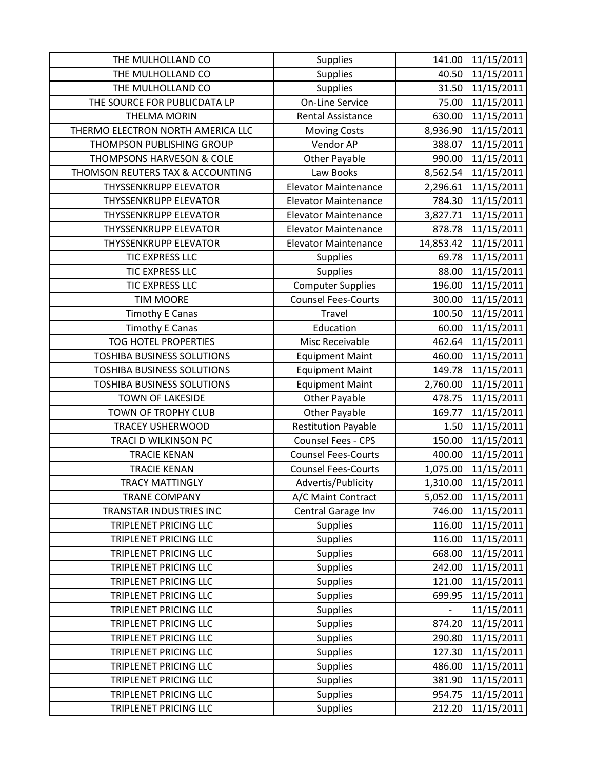| THE MULHOLLAND CO                 | Supplies                    | 141.00         | 11/15/2011 |
|-----------------------------------|-----------------------------|----------------|------------|
| THE MULHOLLAND CO                 | Supplies                    | 40.50          | 11/15/2011 |
| THE MULHOLLAND CO                 | Supplies                    | 31.50          | 11/15/2011 |
| THE SOURCE FOR PUBLICDATA LP      | <b>On-Line Service</b>      | 75.00          | 11/15/2011 |
| <b>THELMA MORIN</b>               | <b>Rental Assistance</b>    | 630.00         | 11/15/2011 |
| THERMO ELECTRON NORTH AMERICA LLC | <b>Moving Costs</b>         | 8,936.90       | 11/15/2011 |
| THOMPSON PUBLISHING GROUP         | Vendor AP                   | 388.07         | 11/15/2011 |
| THOMPSONS HARVESON & COLE         | <b>Other Payable</b>        | 990.00         | 11/15/2011 |
| THOMSON REUTERS TAX & ACCOUNTING  | Law Books                   | 8,562.54       | 11/15/2011 |
| <b>THYSSENKRUPP ELEVATOR</b>      | <b>Elevator Maintenance</b> | 2,296.61       | 11/15/2011 |
| <b>THYSSENKRUPP ELEVATOR</b>      | <b>Elevator Maintenance</b> | 784.30         | 11/15/2011 |
| <b>THYSSENKRUPP ELEVATOR</b>      | <b>Elevator Maintenance</b> | 3,827.71       | 11/15/2011 |
| <b>THYSSENKRUPP ELEVATOR</b>      | <b>Elevator Maintenance</b> | 878.78         | 11/15/2011 |
| <b>THYSSENKRUPP ELEVATOR</b>      | <b>Elevator Maintenance</b> | 14,853.42      | 11/15/2011 |
| TIC EXPRESS LLC                   | <b>Supplies</b>             | 69.78          | 11/15/2011 |
| TIC EXPRESS LLC                   | <b>Supplies</b>             | 88.00          | 11/15/2011 |
| <b>TIC EXPRESS LLC</b>            | <b>Computer Supplies</b>    | 196.00         | 11/15/2011 |
| <b>TIM MOORE</b>                  | <b>Counsel Fees-Courts</b>  | 300.00         | 11/15/2011 |
| <b>Timothy E Canas</b>            | Travel                      | 100.50         | 11/15/2011 |
| <b>Timothy E Canas</b>            | Education                   | 60.00          | 11/15/2011 |
| <b>TOG HOTEL PROPERTIES</b>       | Misc Receivable             | 462.64         | 11/15/2011 |
| <b>TOSHIBA BUSINESS SOLUTIONS</b> | <b>Equipment Maint</b>      | 460.00         | 11/15/2011 |
| <b>TOSHIBA BUSINESS SOLUTIONS</b> | <b>Equipment Maint</b>      | 149.78         | 11/15/2011 |
| <b>TOSHIBA BUSINESS SOLUTIONS</b> | <b>Equipment Maint</b>      | 2,760.00       | 11/15/2011 |
| TOWN OF LAKESIDE                  | Other Payable               | 478.75         | 11/15/2011 |
| TOWN OF TROPHY CLUB               | <b>Other Payable</b>        | 169.77         | 11/15/2011 |
| <b>TRACEY USHERWOOD</b>           | <b>Restitution Payable</b>  | 1.50           | 11/15/2011 |
| TRACI D WILKINSON PC              | Counsel Fees - CPS          | 150.00         | 11/15/2011 |
| <b>TRACIE KENAN</b>               | <b>Counsel Fees-Courts</b>  | 400.00         | 11/15/2011 |
| <b>TRACIE KENAN</b>               | <b>Counsel Fees-Courts</b>  | 1,075.00       | 11/15/2011 |
| <b>TRACY MATTINGLY</b>            | Advertis/Publicity          | 1,310.00       | 11/15/2011 |
| <b>TRANE COMPANY</b>              | A/C Maint Contract          | 5,052.00       | 11/15/2011 |
| TRANSTAR INDUSTRIES INC           | Central Garage Inv          | 746.00         | 11/15/2011 |
| <b>TRIPLENET PRICING LLC</b>      | <b>Supplies</b>             | 116.00         | 11/15/2011 |
| TRIPLENET PRICING LLC             | <b>Supplies</b>             | 116.00         | 11/15/2011 |
| <b>TRIPLENET PRICING LLC</b>      | <b>Supplies</b>             | 668.00         | 11/15/2011 |
| TRIPLENET PRICING LLC             | Supplies                    | 242.00         | 11/15/2011 |
| TRIPLENET PRICING LLC             | Supplies                    | 121.00         | 11/15/2011 |
| <b>TRIPLENET PRICING LLC</b>      | <b>Supplies</b>             | 699.95         | 11/15/2011 |
| TRIPLENET PRICING LLC             | <b>Supplies</b>             | $\overline{a}$ | 11/15/2011 |
| TRIPLENET PRICING LLC             | <b>Supplies</b>             | 874.20         | 11/15/2011 |
| <b>TRIPLENET PRICING LLC</b>      | <b>Supplies</b>             | 290.80         | 11/15/2011 |
| TRIPLENET PRICING LLC             | <b>Supplies</b>             | 127.30         | 11/15/2011 |
| TRIPLENET PRICING LLC             | <b>Supplies</b>             | 486.00         | 11/15/2011 |
| TRIPLENET PRICING LLC             | Supplies                    | 381.90         | 11/15/2011 |
| TRIPLENET PRICING LLC             | <b>Supplies</b>             | 954.75         | 11/15/2011 |
| TRIPLENET PRICING LLC             | <b>Supplies</b>             | 212.20         | 11/15/2011 |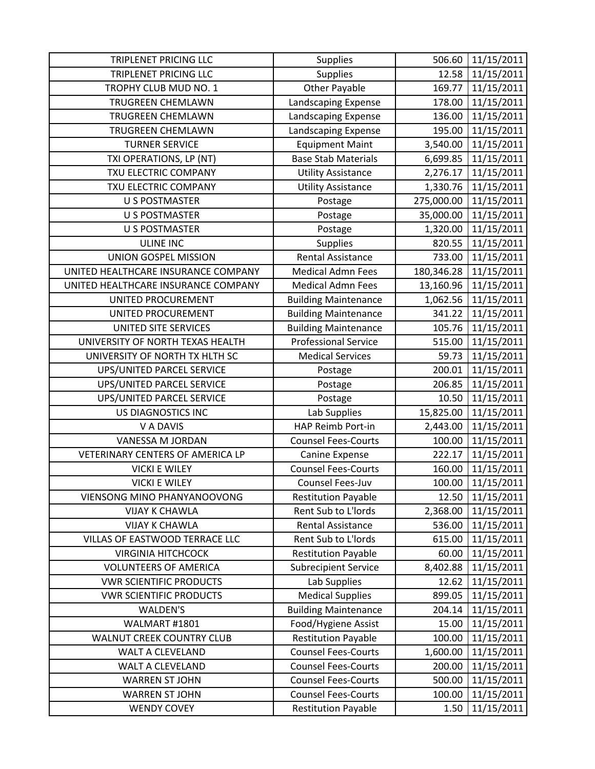| <b>TRIPLENET PRICING LLC</b>        | <b>Supplies</b>             | 506.60     | 11/15/2011 |
|-------------------------------------|-----------------------------|------------|------------|
| <b>TRIPLENET PRICING LLC</b>        | <b>Supplies</b>             | 12.58      | 11/15/2011 |
| TROPHY CLUB MUD NO. 1               | <b>Other Payable</b>        | 169.77     | 11/15/2011 |
| <b>TRUGREEN CHEMLAWN</b>            | Landscaping Expense         | 178.00     | 11/15/2011 |
| <b>TRUGREEN CHEMLAWN</b>            | Landscaping Expense         | 136.00     | 11/15/2011 |
| TRUGREEN CHEMLAWN                   | Landscaping Expense         | 195.00     | 11/15/2011 |
| <b>TURNER SERVICE</b>               | <b>Equipment Maint</b>      | 3,540.00   | 11/15/2011 |
| TXI OPERATIONS, LP (NT)             | <b>Base Stab Materials</b>  | 6,699.85   | 11/15/2011 |
| TXU ELECTRIC COMPANY                | <b>Utility Assistance</b>   | 2,276.17   | 11/15/2011 |
| TXU ELECTRIC COMPANY                | <b>Utility Assistance</b>   | 1,330.76   | 11/15/2011 |
| <b>U S POSTMASTER</b>               | Postage                     | 275,000.00 | 11/15/2011 |
| <b>U S POSTMASTER</b>               | Postage                     | 35,000.00  | 11/15/2011 |
| <b>U S POSTMASTER</b>               | Postage                     | 1,320.00   | 11/15/2011 |
| <b>ULINE INC</b>                    | <b>Supplies</b>             | 820.55     | 11/15/2011 |
| <b>UNION GOSPEL MISSION</b>         | <b>Rental Assistance</b>    | 733.00     | 11/15/2011 |
| UNITED HEALTHCARE INSURANCE COMPANY | <b>Medical Admn Fees</b>    | 180,346.28 | 11/15/2011 |
| UNITED HEALTHCARE INSURANCE COMPANY | <b>Medical Admn Fees</b>    | 13,160.96  | 11/15/2011 |
| UNITED PROCUREMENT                  | <b>Building Maintenance</b> | 1,062.56   | 11/15/2011 |
| UNITED PROCUREMENT                  | <b>Building Maintenance</b> | 341.22     | 11/15/2011 |
| UNITED SITE SERVICES                | <b>Building Maintenance</b> | 105.76     | 11/15/2011 |
| UNIVERSITY OF NORTH TEXAS HEALTH    | <b>Professional Service</b> | 515.00     | 11/15/2011 |
| UNIVERSITY OF NORTH TX HLTH SC      | <b>Medical Services</b>     | 59.73      | 11/15/2011 |
| UPS/UNITED PARCEL SERVICE           | Postage                     | 200.01     | 11/15/2011 |
| UPS/UNITED PARCEL SERVICE           | Postage                     | 206.85     | 11/15/2011 |
| UPS/UNITED PARCEL SERVICE           | Postage                     | 10.50      | 11/15/2011 |
| US DIAGNOSTICS INC                  | Lab Supplies                | 15,825.00  | 11/15/2011 |
| V A DAVIS                           | HAP Reimb Port-in           | 2,443.00   | 11/15/2011 |
| VANESSA M JORDAN                    | <b>Counsel Fees-Courts</b>  | 100.00     | 11/15/2011 |
| VETERINARY CENTERS OF AMERICA LP    | Canine Expense              | 222.17     | 11/15/2011 |
| <b>VICKI E WILEY</b>                | <b>Counsel Fees-Courts</b>  | 160.00     | 11/15/2011 |
| <b>VICKI E WILEY</b>                | Counsel Fees-Juv            | 100.00     | 11/15/2011 |
| VIENSONG MINO PHANYANOOVONG         | <b>Restitution Payable</b>  | 12.50      | 11/15/2011 |
| <b>VIJAY K CHAWLA</b>               | Rent Sub to L'Iords         | 2,368.00   | 11/15/2011 |
| <b>VIJAY K CHAWLA</b>               | <b>Rental Assistance</b>    | 536.00     | 11/15/2011 |
| VILLAS OF EASTWOOD TERRACE LLC      | Rent Sub to L'Iords         | 615.00     | 11/15/2011 |
| <b>VIRGINIA HITCHCOCK</b>           | <b>Restitution Payable</b>  | 60.00      | 11/15/2011 |
| <b>VOLUNTEERS OF AMERICA</b>        | <b>Subrecipient Service</b> | 8,402.88   | 11/15/2011 |
| <b>VWR SCIENTIFIC PRODUCTS</b>      | Lab Supplies                | 12.62      | 11/15/2011 |
| <b>VWR SCIENTIFIC PRODUCTS</b>      | <b>Medical Supplies</b>     | 899.05     | 11/15/2011 |
| <b>WALDEN'S</b>                     | <b>Building Maintenance</b> | 204.14     | 11/15/2011 |
| WALMART #1801                       | Food/Hygiene Assist         | 15.00      | 11/15/2011 |
| WALNUT CREEK COUNTRY CLUB           | <b>Restitution Payable</b>  | 100.00     | 11/15/2011 |
| WALT A CLEVELAND                    | <b>Counsel Fees-Courts</b>  | 1,600.00   | 11/15/2011 |
| WALT A CLEVELAND                    | <b>Counsel Fees-Courts</b>  | 200.00     | 11/15/2011 |
| <b>WARREN ST JOHN</b>               | <b>Counsel Fees-Courts</b>  | 500.00     | 11/15/2011 |
| <b>WARREN ST JOHN</b>               | <b>Counsel Fees-Courts</b>  | 100.00     | 11/15/2011 |
| <b>WENDY COVEY</b>                  | <b>Restitution Payable</b>  | 1.50       | 11/15/2011 |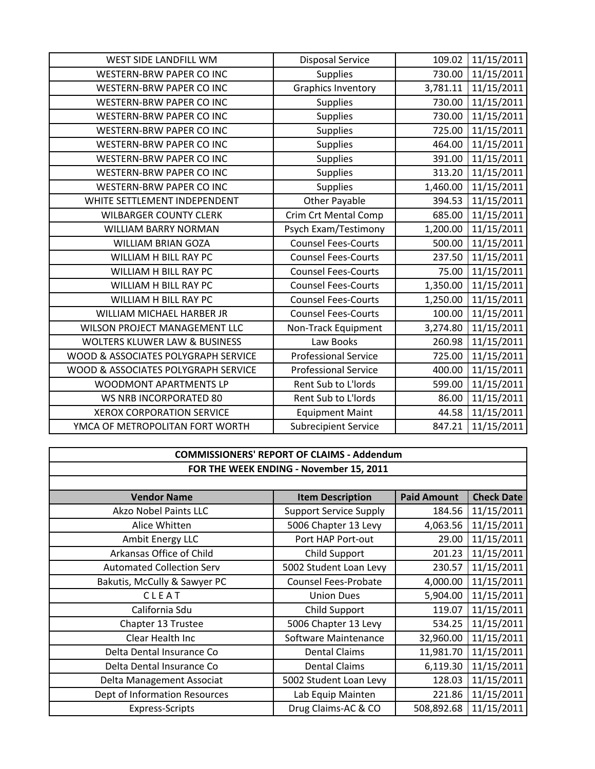| WEST SIDE LANDFILL WM                    | <b>Disposal Service</b>     | 109.02   | 11/15/2011 |
|------------------------------------------|-----------------------------|----------|------------|
| WESTERN-BRW PAPER CO INC                 | <b>Supplies</b>             | 730.00   | 11/15/2011 |
| <b>WESTERN-BRW PAPER CO INC</b>          | <b>Graphics Inventory</b>   | 3,781.11 | 11/15/2011 |
| <b>WESTERN-BRW PAPER CO INC</b>          | <b>Supplies</b>             | 730.00   | 11/15/2011 |
| <b>WESTERN-BRW PAPER CO INC</b>          | <b>Supplies</b>             | 730.00   | 11/15/2011 |
| <b>WESTERN-BRW PAPER CO INC</b>          | <b>Supplies</b>             | 725.00   | 11/15/2011 |
| WESTERN-BRW PAPER CO INC                 | <b>Supplies</b>             | 464.00   | 11/15/2011 |
| WESTERN-BRW PAPER CO INC                 | <b>Supplies</b>             | 391.00   | 11/15/2011 |
| <b>WESTERN-BRW PAPER CO INC</b>          | <b>Supplies</b>             | 313.20   | 11/15/2011 |
| <b>WESTERN-BRW PAPER CO INC</b>          | Supplies                    | 1,460.00 | 11/15/2011 |
| WHITE SETTLEMENT INDEPENDENT             | <b>Other Payable</b>        | 394.53   | 11/15/2011 |
| <b>WILBARGER COUNTY CLERK</b>            | <b>Crim Crt Mental Comp</b> | 685.00   | 11/15/2011 |
| <b>WILLIAM BARRY NORMAN</b>              | Psych Exam/Testimony        | 1,200.00 | 11/15/2011 |
| <b>WILLIAM BRIAN GOZA</b>                | <b>Counsel Fees-Courts</b>  | 500.00   | 11/15/2011 |
| WILLIAM H BILL RAY PC                    | <b>Counsel Fees-Courts</b>  | 237.50   | 11/15/2011 |
| WILLIAM H BILL RAY PC                    | <b>Counsel Fees-Courts</b>  | 75.00    | 11/15/2011 |
| WILLIAM H BILL RAY PC                    | <b>Counsel Fees-Courts</b>  | 1,350.00 | 11/15/2011 |
| WILLIAM H BILL RAY PC                    | <b>Counsel Fees-Courts</b>  | 1,250.00 | 11/15/2011 |
| WILLIAM MICHAEL HARBER JR                | <b>Counsel Fees-Courts</b>  | 100.00   | 11/15/2011 |
| WILSON PROJECT MANAGEMENT LLC            | Non-Track Equipment         | 3,274.80 | 11/15/2011 |
| <b>WOLTERS KLUWER LAW &amp; BUSINESS</b> | Law Books                   | 260.98   | 11/15/2011 |
| WOOD & ASSOCIATES POLYGRAPH SERVICE      | <b>Professional Service</b> | 725.00   | 11/15/2011 |
| WOOD & ASSOCIATES POLYGRAPH SERVICE      | <b>Professional Service</b> | 400.00   | 11/15/2011 |
| <b>WOODMONT APARTMENTS LP</b>            | Rent Sub to L'Iords         | 599.00   | 11/15/2011 |
| WS NRB INCORPORATED 80                   | Rent Sub to L'Iords         | 86.00    | 11/15/2011 |
| <b>XEROX CORPORATION SERVICE</b>         | <b>Equipment Maint</b>      | 44.58    | 11/15/2011 |
| YMCA OF METROPOLITAN FORT WORTH          | <b>Subrecipient Service</b> | 847.21   | 11/15/2011 |

## **COMMISSIONERS' REPORT OF CLAIMS ‐ Addendum FOR THE WEEK ENDING ‐ November 15, 2011**

| <b>Vendor Name</b>               | <b>Item Description</b>       | <b>Paid Amount</b> | <b>Check Date</b> |
|----------------------------------|-------------------------------|--------------------|-------------------|
| Akzo Nobel Paints LLC            | <b>Support Service Supply</b> | 184.56             | 11/15/2011        |
| Alice Whitten                    | 5006 Chapter 13 Levy          | 4,063.56           | 11/15/2011        |
| Ambit Energy LLC                 | Port HAP Port-out             | 29.00              | 11/15/2011        |
| Arkansas Office of Child         | Child Support                 | 201.23             | 11/15/2011        |
| <b>Automated Collection Serv</b> | 5002 Student Loan Levy        | 230.57             | 11/15/2011        |
| Bakutis, McCully & Sawyer PC     | <b>Counsel Fees-Probate</b>   | 4,000.00           | 11/15/2011        |
| CLEAT                            | <b>Union Dues</b>             | 5,904.00           | 11/15/2011        |
| California Sdu                   | Child Support                 | 119.07             | 11/15/2011        |
| Chapter 13 Trustee               | 5006 Chapter 13 Levy          | 534.25             | 11/15/2011        |
| Clear Health Inc                 | Software Maintenance          | 32,960.00          | 11/15/2011        |
| Delta Dental Insurance Co        | <b>Dental Claims</b>          | 11,981.70          | 11/15/2011        |
| Delta Dental Insurance Co        | <b>Dental Claims</b>          | 6,119.30           | 11/15/2011        |
| Delta Management Associat        | 5002 Student Loan Levy        | 128.03             | 11/15/2011        |
| Dept of Information Resources    | Lab Equip Mainten             | 221.86             | 11/15/2011        |
| <b>Express-Scripts</b>           | Drug Claims-AC & CO           | 508,892.68         | 11/15/2011        |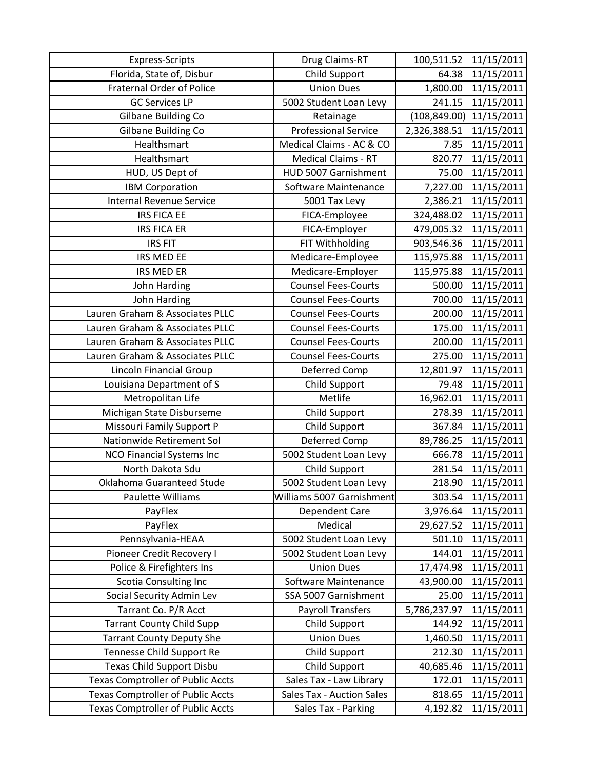| <b>Express-Scripts</b>                   | Drug Claims-RT              | 100,511.52    | 11/15/2011 |
|------------------------------------------|-----------------------------|---------------|------------|
| Florida, State of, Disbur                | <b>Child Support</b>        | 64.38         | 11/15/2011 |
| <b>Fraternal Order of Police</b>         | <b>Union Dues</b>           | 1,800.00      | 11/15/2011 |
| <b>GC Services LP</b>                    | 5002 Student Loan Levy      | 241.15        | 11/15/2011 |
| Gilbane Building Co                      | Retainage                   | (108, 849.00) | 11/15/2011 |
| Gilbane Building Co                      | <b>Professional Service</b> | 2,326,388.51  | 11/15/2011 |
| Healthsmart                              | Medical Claims - AC & CO    | 7.85          | 11/15/2011 |
| Healthsmart                              | <b>Medical Claims - RT</b>  | 820.77        | 11/15/2011 |
| HUD, US Dept of                          | HUD 5007 Garnishment        | 75.00         | 11/15/2011 |
| <b>IBM Corporation</b>                   | Software Maintenance        | 7,227.00      | 11/15/2011 |
| <b>Internal Revenue Service</b>          | 5001 Tax Levy               | 2,386.21      | 11/15/2011 |
| <b>IRS FICA EE</b>                       | FICA-Employee               | 324,488.02    | 11/15/2011 |
| <b>IRS FICA ER</b>                       | FICA-Employer               | 479,005.32    | 11/15/2011 |
| <b>IRS FIT</b>                           | FIT Withholding             | 903,546.36    | 11/15/2011 |
| IRS MED EE                               | Medicare-Employee           | 115,975.88    | 11/15/2011 |
| <b>IRS MED ER</b>                        | Medicare-Employer           | 115,975.88    | 11/15/2011 |
| John Harding                             | <b>Counsel Fees-Courts</b>  | 500.00        | 11/15/2011 |
| John Harding                             | <b>Counsel Fees-Courts</b>  | 700.00        | 11/15/2011 |
| Lauren Graham & Associates PLLC          | <b>Counsel Fees-Courts</b>  | 200.00        | 11/15/2011 |
| Lauren Graham & Associates PLLC          | <b>Counsel Fees-Courts</b>  | 175.00        | 11/15/2011 |
| Lauren Graham & Associates PLLC          | <b>Counsel Fees-Courts</b>  | 200.00        | 11/15/2011 |
| Lauren Graham & Associates PLLC          | <b>Counsel Fees-Courts</b>  | 275.00        | 11/15/2011 |
| Lincoln Financial Group                  | Deferred Comp               | 12,801.97     | 11/15/2011 |
| Louisiana Department of S                | <b>Child Support</b>        | 79.48         | 11/15/2011 |
| Metropolitan Life                        | Metlife                     | 16,962.01     | 11/15/2011 |
| Michigan State Disburseme                | Child Support               | 278.39        | 11/15/2011 |
| <b>Missouri Family Support P</b>         | <b>Child Support</b>        | 367.84        | 11/15/2011 |
| Nationwide Retirement Sol                | Deferred Comp               | 89,786.25     | 11/15/2011 |
| <b>NCO Financial Systems Inc</b>         | 5002 Student Loan Levy      | 666.78        | 11/15/2011 |
| North Dakota Sdu                         | <b>Child Support</b>        | 281.54        | 11/15/2011 |
| Oklahoma Guaranteed Stude                | 5002 Student Loan Levy      | 218.90        | 11/15/2011 |
| Paulette Williams                        | Williams 5007 Garnishment   | 303.54        | 11/15/2011 |
| PayFlex                                  | Dependent Care              | 3,976.64      | 11/15/2011 |
| PayFlex                                  | Medical                     | 29,627.52     | 11/15/2011 |
| Pennsylvania-HEAA                        | 5002 Student Loan Levy      | 501.10        | 11/15/2011 |
| Pioneer Credit Recovery I                | 5002 Student Loan Levy      | 144.01        | 11/15/2011 |
| Police & Firefighters Ins                | <b>Union Dues</b>           | 17,474.98     | 11/15/2011 |
| <b>Scotia Consulting Inc</b>             | Software Maintenance        | 43,900.00     | 11/15/2011 |
| Social Security Admin Lev                | SSA 5007 Garnishment        | 25.00         | 11/15/2011 |
| Tarrant Co. P/R Acct                     | <b>Payroll Transfers</b>    | 5,786,237.97  | 11/15/2011 |
| <b>Tarrant County Child Supp</b>         | <b>Child Support</b>        | 144.92        | 11/15/2011 |
| <b>Tarrant County Deputy She</b>         | <b>Union Dues</b>           | 1,460.50      | 11/15/2011 |
| Tennesse Child Support Re                | Child Support               | 212.30        | 11/15/2011 |
| Texas Child Support Disbu                | <b>Child Support</b>        | 40,685.46     | 11/15/2011 |
| <b>Texas Comptroller of Public Accts</b> | Sales Tax - Law Library     | 172.01        | 11/15/2011 |
| <b>Texas Comptroller of Public Accts</b> | Sales Tax - Auction Sales   | 818.65        | 11/15/2011 |
| <b>Texas Comptroller of Public Accts</b> | Sales Tax - Parking         | 4,192.82      | 11/15/2011 |